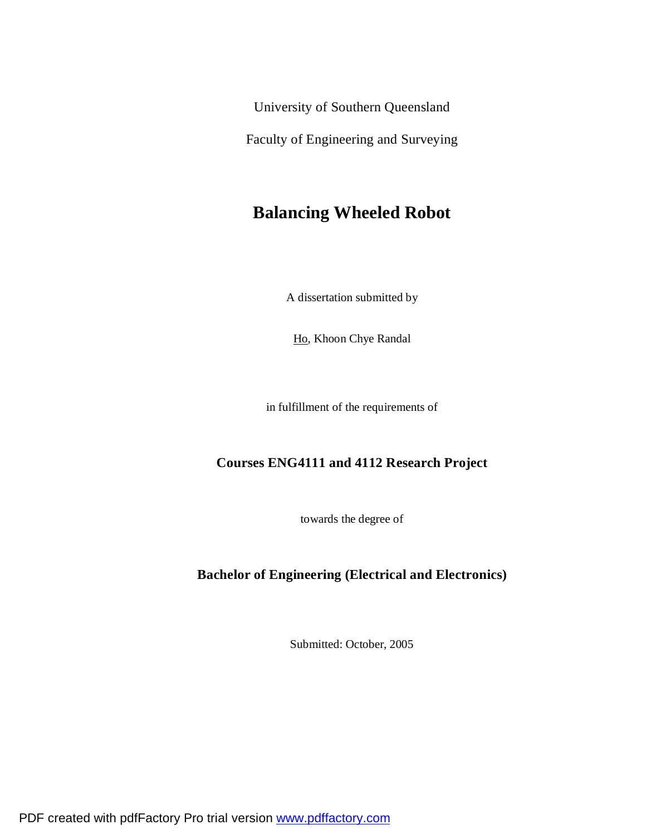University of Southern Queensland

Faculty of Engineering and Surveying

# **Balancing Wheeled Robot**

A dissertation submitted by

Ho, Khoon Chye Randal

in fulfillment of the requirements of

### **Courses ENG4111 and 4112 Research Project**

towards the degree of

### **Bachelor of Engineering (Electrical and Electronics)**

Submitted: October, 2005

PDF created with pdfFactory Pro trial version [www.pdffactory.com](http://www.pdffactory.com)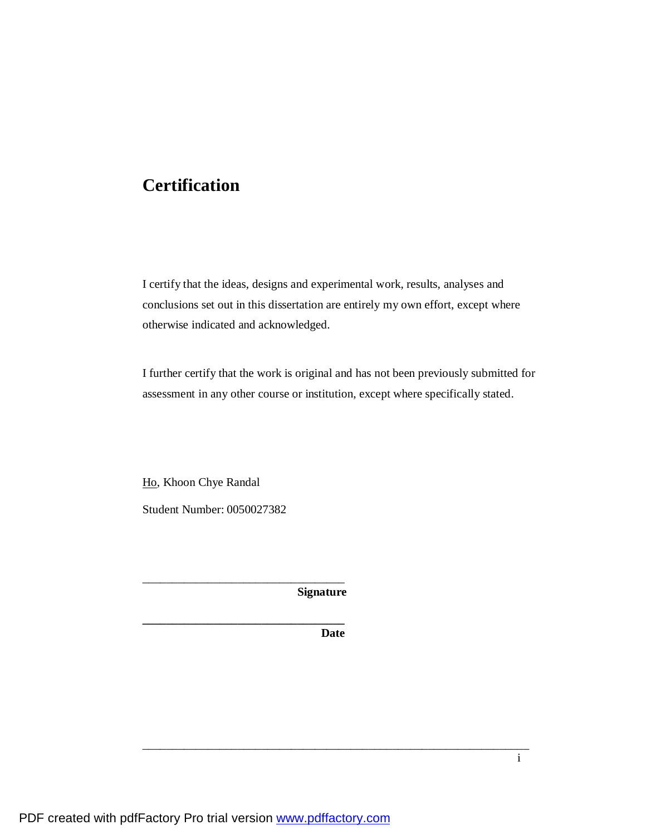# **Certification**

I certify that the ideas, designs and experimental work, results, analyses and conclusions set out in this dissertation are entirely my own effort, except where otherwise indicated and acknowledged.

I further certify that the work is original and has not been previously submitted for assessment in any other course or institution, except where specifically stated.

Ho, Khoon Chye Randal Student Number: 0050027382

\_\_\_\_\_\_\_\_\_\_\_\_\_\_\_\_\_\_\_\_\_\_\_\_\_\_\_\_\_\_\_\_\_\_

**\_\_\_\_\_\_\_\_\_\_\_\_\_\_\_\_\_\_\_\_\_\_\_\_\_\_\_\_\_\_\_\_\_\_** 

 **Signature** 

 **Date**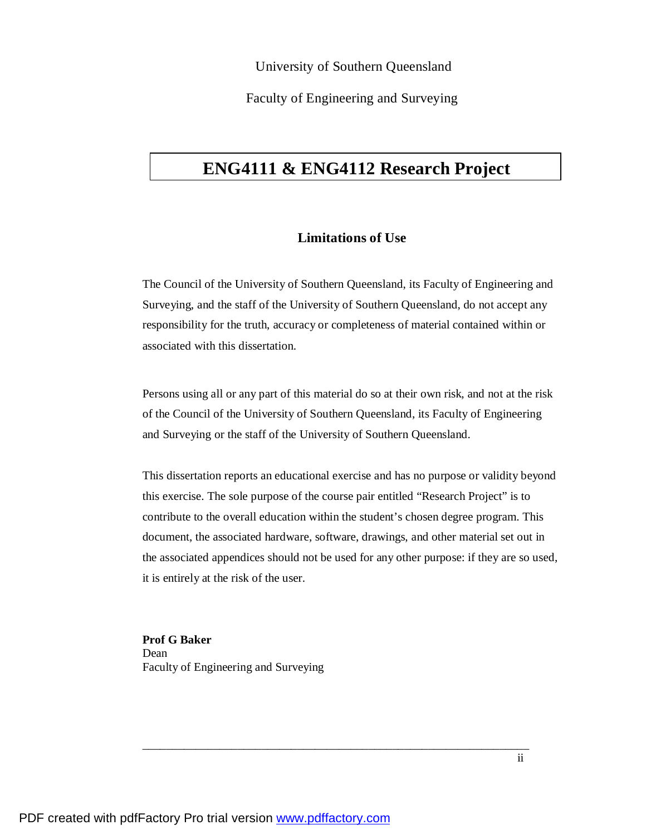University of Southern Queensland

Faculty of Engineering and Surveying

# **ENG4111 & ENG4112 Research Project**

### **Limitations of Use**

The Council of the University of Southern Queensland, its Faculty of Engineering and Surveying, and the staff of the University of Southern Queensland, do not accept any responsibility for the truth, accuracy or completeness of material contained within or associated with this dissertation.

Persons using all or any part of this material do so at their own risk, and not at the risk of the Council of the University of Southern Queensland, its Faculty of Engineering and Surveying or the staff of the University of Southern Queensland.

This dissertation reports an educational exercise and has no purpose or validity beyond this exercise. The sole purpose of the course pair entitled "Research Project" is to contribute to the overall education within the student's chosen degree program. This document, the associated hardware, software, drawings, and other material set out in the associated appendices should not be used for any other purpose: if they are so used, it is entirely at the risk of the user.

\_\_\_\_\_\_\_\_\_\_\_\_\_\_\_\_\_\_\_\_\_\_\_\_\_\_\_\_\_\_\_\_\_\_\_\_\_\_\_\_\_\_\_\_\_\_\_\_\_\_\_\_\_\_\_\_\_\_\_\_\_\_\_\_\_

**Prof G Baker**  Dean Faculty of Engineering and Surveying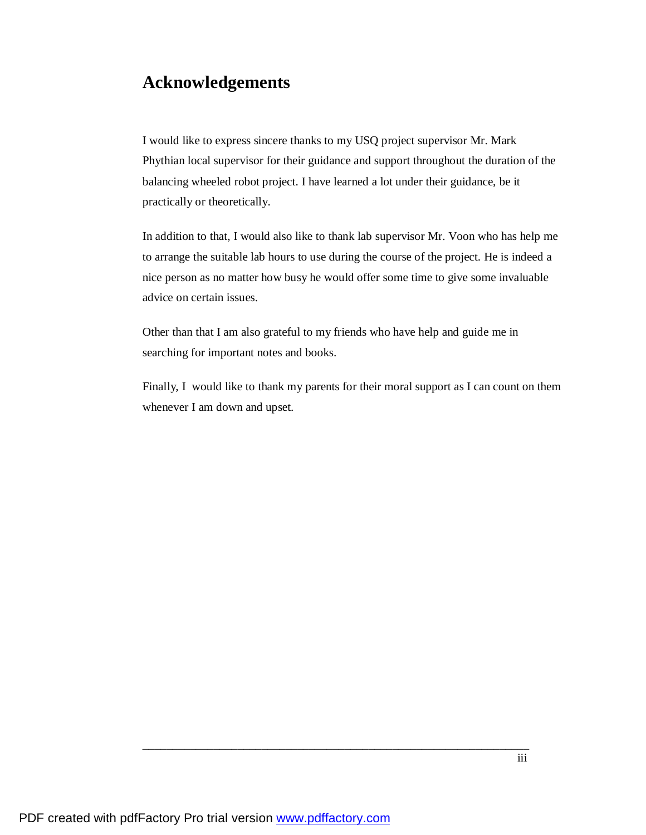# **Acknowledgements**

I would like to express sincere thanks to my USQ project supervisor Mr. Mark Phythian local supervisor for their guidance and support throughout the duration of the balancing wheeled robot project. I have learned a lot under their guidance, be it practically or theoretically.

In addition to that, I would also like to thank lab supervisor Mr. Voon who has help me to arrange the suitable lab hours to use during the course of the project. He is indeed a nice person as no matter how busy he would offer some time to give some invaluable advice on certain issues.

Other than that I am also grateful to my friends who have help and guide me in searching for important notes and books.

Finally, I would like to thank my parents for their moral support as I can count on them whenever I am down and upset.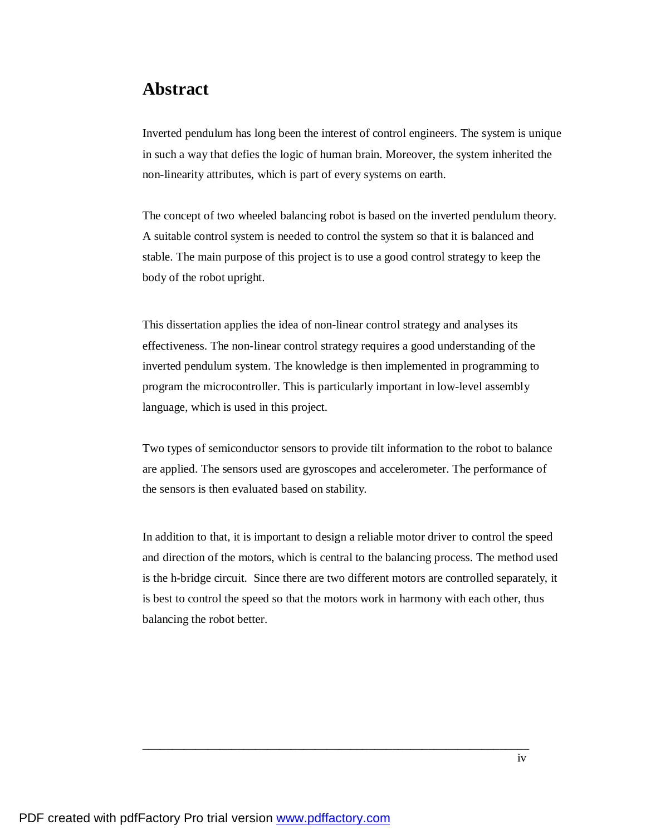## **Abstract**

Inverted pendulum has long been the interest of control engineers. The system is unique in such a way that defies the logic of human brain. Moreover, the system inherited the non-linearity attributes, which is part of every systems on earth.

The concept of two wheeled balancing robot is based on the inverted pendulum theory. A suitable control system is needed to control the system so that it is balanced and stable. The main purpose of this project is to use a good control strategy to keep the body of the robot upright.

This dissertation applies the idea of non-linear control strategy and analyses its effectiveness. The non-linear control strategy requires a good understanding of the inverted pendulum system. The knowledge is then implemented in programming to program the microcontroller. This is particularly important in low-level assembly language, which is used in this project.

Two types of semiconductor sensors to provide tilt information to the robot to balance are applied. The sensors used are gyroscopes and accelerometer. The performance of the sensors is then evaluated based on stability.

In addition to that, it is important to design a reliable motor driver to control the speed and direction of the motors, which is central to the balancing process. The method used is the h-bridge circuit. Since there are two different motors are controlled separately, it is best to control the speed so that the motors work in harmony with each other, thus balancing the robot better.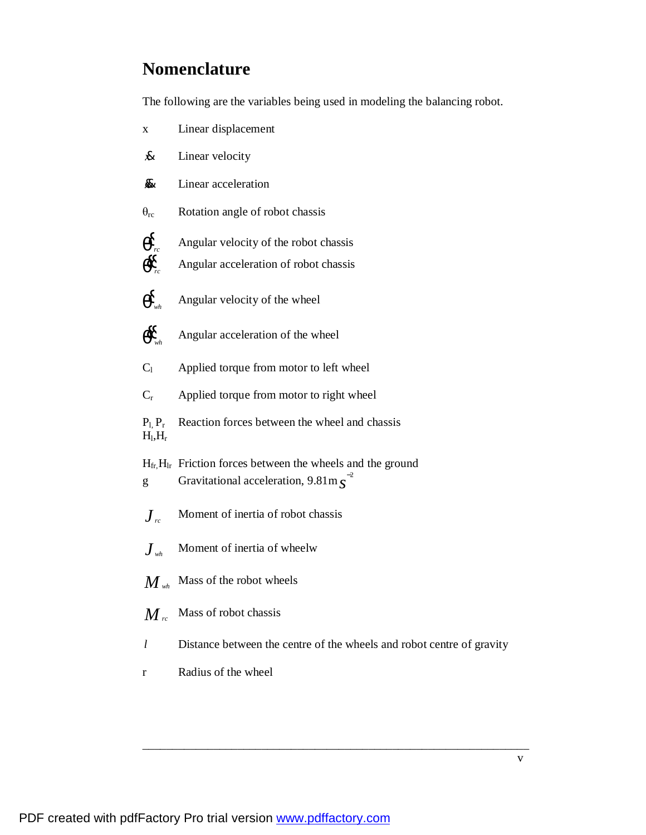# **Nomenclature**

The following are the variables being used in modeling the balancing robot.

- x Linear displacement
- *x*& Linear velocity
- *x* Linear acceleration
- $\theta_{\rm rc}$  Rotation angle of robot chassis
- $\boldsymbol{q}_{\textit{rc}}^{\!\!\leftarrow}$ Angular velocity of the robot chassis
- *q* & *rc* Angular acceleration of robot chassis
- *q* & *wh* Angular velocity of the wheel
- *q* & *wh* Angular acceleration of the wheel
- $C_1$  Applied torque from motor to left wheel
- Cr Applied torque from motor to right wheel
- $P_l$ ,  $P_r$  Reaction forces between the wheel and chassis  $H_l$ , $H_r$
- $H_{fr}$ ,  $H_{lr}$  Friction forces between the wheels and the ground
- g Gravitational acceleration,  $9.81 \text{m s}^{-2}$
- $J_{rc}$  Moment of inertia of robot chassis
- $J_{wh}$  Moment of inertia of wheelw
- $M_{wh}$  Mass of the robot wheels
- $M_{rc}$  Mass of robot chassis
- *l* Distance between the centre of the wheels and robot centre of gravity

\_\_\_\_\_\_\_\_\_\_\_\_\_\_\_\_\_\_\_\_\_\_\_\_\_\_\_\_\_\_\_\_\_\_\_\_\_\_\_\_\_\_\_\_\_\_\_\_\_\_\_\_\_\_\_\_\_\_\_\_\_\_\_\_\_

r Radius of the wheel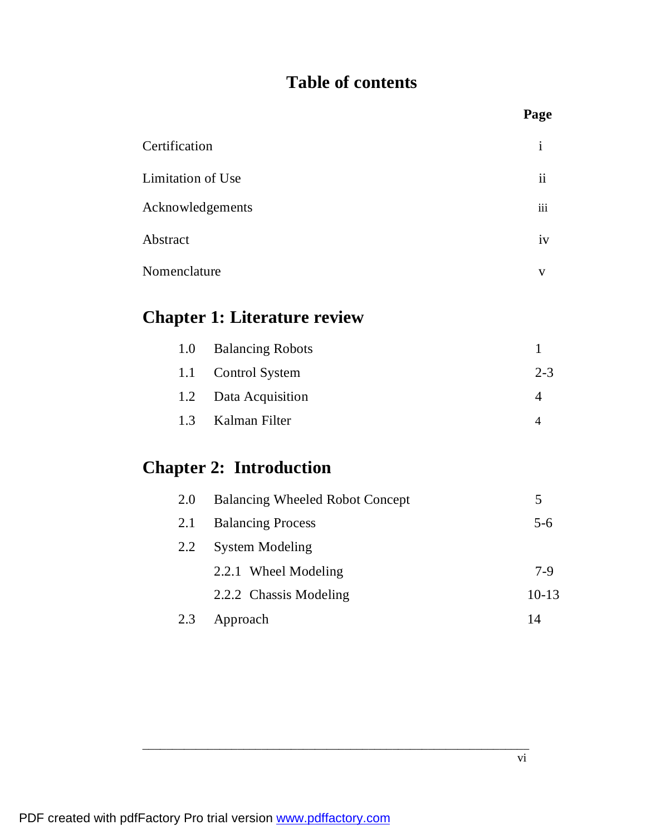# **Table of contents**

|                          |                                        | Page           |
|--------------------------|----------------------------------------|----------------|
| Certification            |                                        | $\mathbf{i}$   |
| <b>Limitation of Use</b> |                                        | ii             |
| Acknowledgements         |                                        | iii            |
| Abstract                 |                                        | iv             |
| Nomenclature             |                                        | V              |
|                          | <b>Chapter 1: Literature review</b>    |                |
| 1.0                      | <b>Balancing Robots</b>                | $\mathbf{1}$   |
| 1.1                      | <b>Control System</b>                  | $2 - 3$        |
| 1.2                      | Data Acquisition                       | $\overline{4}$ |
| 1.3                      | Kalman Filter                          | $\overline{4}$ |
|                          | <b>Chapter 2: Introduction</b>         |                |
| 2.0                      | <b>Balancing Wheeled Robot Concept</b> | 5              |
| 2.1                      | <b>Balancing Process</b>               | $5-6$          |
| 2.2                      | <b>System Modeling</b>                 |                |
|                          | 2.2.1 Wheel Modeling                   | $7-9$          |
|                          | 2.2.2 Chassis Modeling                 | $10-13$        |
| 2.3                      | Approach                               | 14             |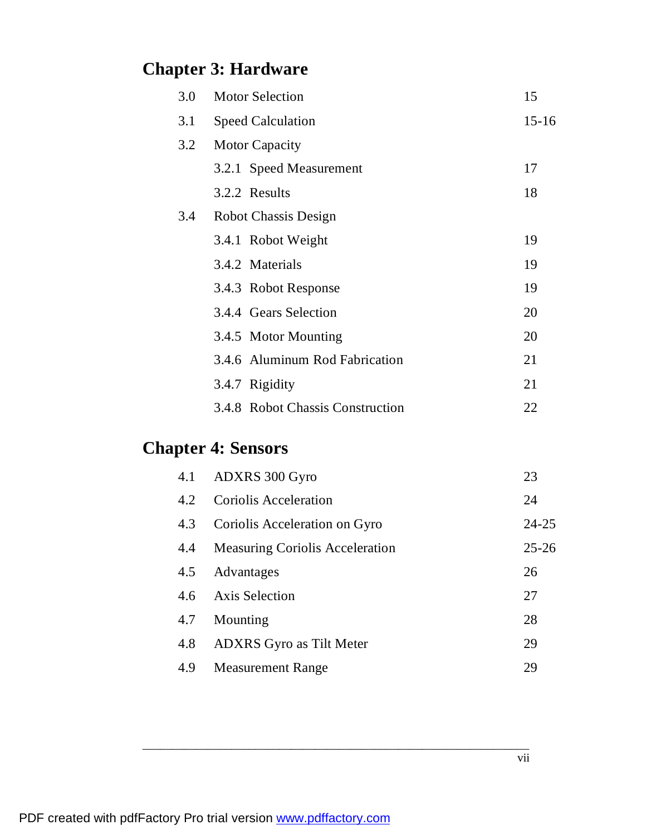# **Chapter 3: Hardware**

| 3.0 | <b>Motor Selection</b>           | 15      |
|-----|----------------------------------|---------|
| 3.1 | <b>Speed Calculation</b>         | $15-16$ |
| 3.2 | <b>Motor Capacity</b>            |         |
|     | 3.2.1 Speed Measurement          | 17      |
|     | 3.2.2 Results                    | 18      |
| 3.4 | <b>Robot Chassis Design</b>      |         |
|     | 3.4.1 Robot Weight               | 19      |
|     | 3.4.2 Materials                  | 19      |
|     | 3.4.3 Robot Response             | 19      |
|     | 3.4.4 Gears Selection            | 20      |
|     | 3.4.5 Motor Mounting             | 20      |
|     | 3.4.6 Aluminum Rod Fabrication   | 21      |
|     | 3.4.7 Rigidity                   | 21      |
|     | 3.4.8 Robot Chassis Construction | 22      |

# **Chapter 4: Sensors**

| 4.1 | ADXRS 300 Gyro                         | 23        |
|-----|----------------------------------------|-----------|
| 4.2 | <b>Coriolis Acceleration</b>           | 24        |
| 4.3 | Coriolis Acceleration on Gyro          | 24-25     |
| 4.4 | <b>Measuring Coriolis Acceleration</b> | $25 - 26$ |
| 4.5 | Advantages                             | 26        |
| 4.6 | <b>Axis Selection</b>                  | 27        |
| 4.7 | Mounting                               | 28        |
| 4.8 | <b>ADXRS</b> Gyro as Tilt Meter        | 29        |
| 4.9 | <b>Measurement Range</b>               | 29        |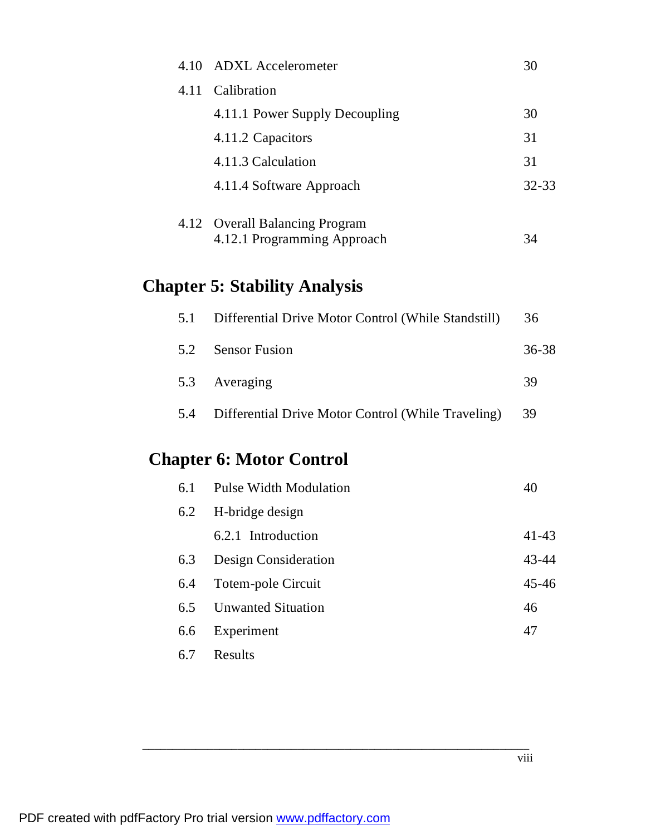| 4.10 | <b>ADXL</b> Accelerometer      |           |
|------|--------------------------------|-----------|
|      | 4.11 Calibration               |           |
|      | 4.11.1 Power Supply Decoupling | 30        |
|      | 4.11.2 Capacitors              | 31        |
|      | 4.11.3 Calculation             | 31        |
|      | 4.11.4 Software Approach       | $32 - 33$ |
|      |                                |           |
|      | 4.12 Overall Balancing Program |           |
|      | 4.12.1 Programming Approach    | 34        |

# **Chapter 5: Stability Analysis**

| 5.1 | Differential Drive Motor Control (While Standstill) | 36    |
|-----|-----------------------------------------------------|-------|
| 5.2 | <b>Sensor Fusion</b>                                | 36-38 |
|     | 5.3 Averaging                                       | 39    |
| 5.4 | Differential Drive Motor Control (While Traveling)  | 39    |

# **Chapter 6: Motor Control**

| 6.1 | <b>Pulse Width Modulation</b> | 40        |
|-----|-------------------------------|-----------|
| 6.2 | H-bridge design               |           |
|     | 6.2.1 Introduction            | $41 - 43$ |
| 6.3 | Design Consideration          | $43 - 44$ |
| 6.4 | Totem-pole Circuit            | $45 - 46$ |
| 6.5 | <b>Unwanted Situation</b>     | 46        |
| 6.6 | Experiment                    | 47        |
| 6.7 | Results                       |           |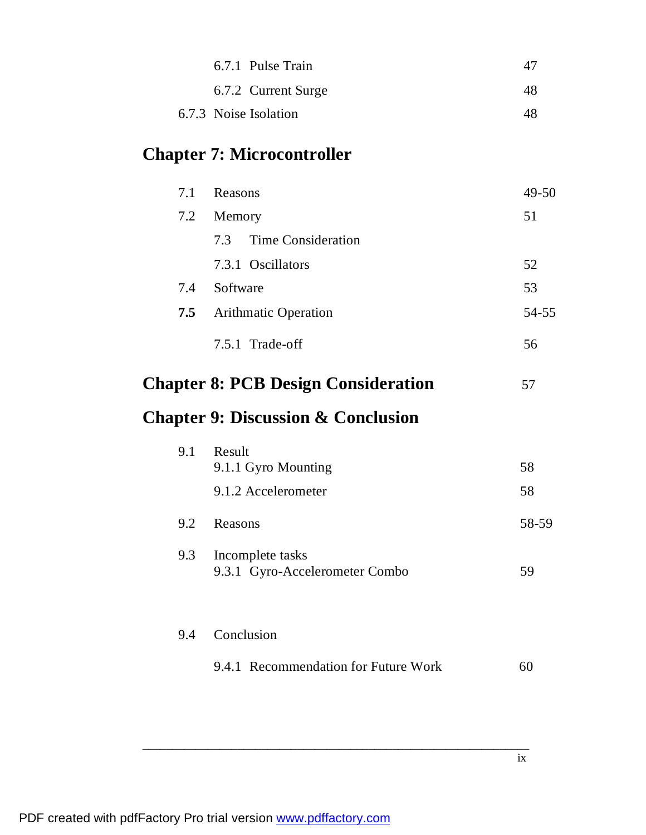| 6.7.1 Pulse Train     | $\Delta$ <sup>'</sup> |
|-----------------------|-----------------------|
| 6.7.2 Current Surge   | 48                    |
| 6.7.3 Noise Isolation |                       |

# **Chapter 7: Microcontroller**

| 7.1 | Reasons                          | $49 - 50$ |
|-----|----------------------------------|-----------|
| 7.2 | Memory                           | 51        |
|     | <b>Time Consideration</b><br>7.3 |           |
|     | 7.3.1 Oscillators                | 52        |
| 7.4 | Software                         | 53        |
| 7.5 | <b>Arithmatic Operation</b>      | 54-55     |
|     | 7.5.1 Trade-off                  | 56        |

# **Chapter 8: PCB Design Consideration** 57

# **Chapter 9: Discussion & Conclusion**

| 9.1 | Result<br>9.1.1 Gyro Mounting                      | 58    |
|-----|----------------------------------------------------|-------|
|     | 9.1.2 Accelerometer                                | 58    |
| 9.2 | Reasons                                            | 58-59 |
| 9.3 | Incomplete tasks<br>9.3.1 Gyro-Accelerometer Combo | 59    |
| 9.4 | Conclusion                                         |       |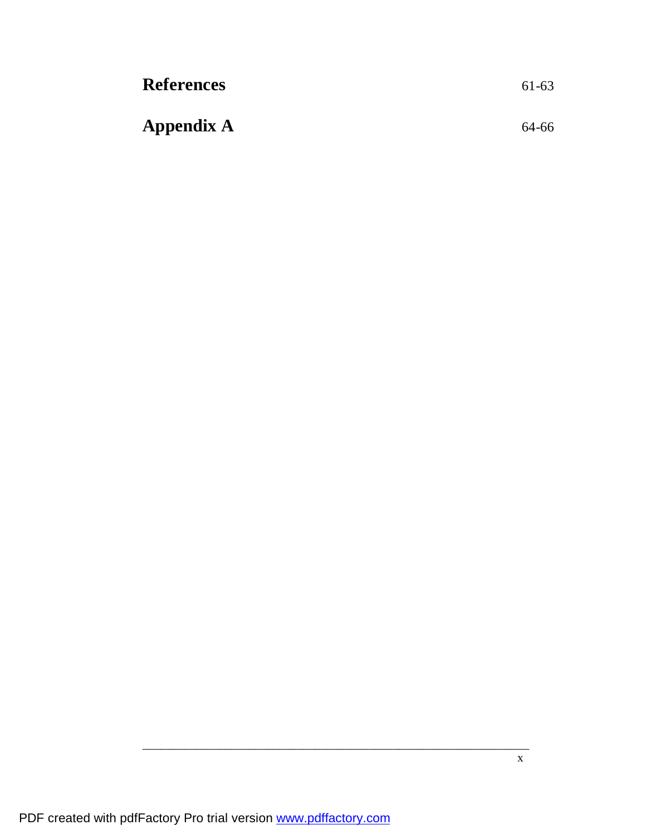| <b>References</b> | 61-63 |
|-------------------|-------|
| Appendix A        | 64-66 |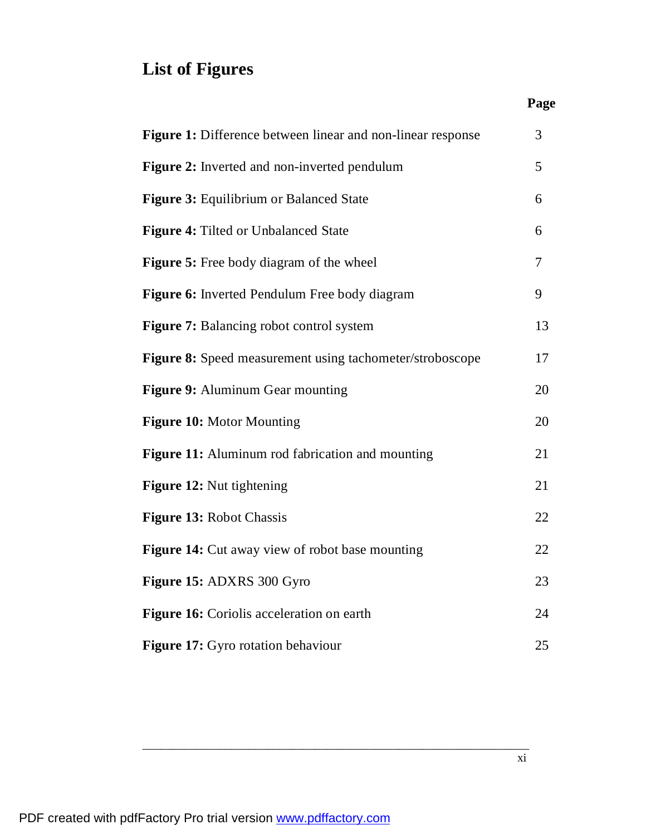# **List of Figures**

|  | Page |
|--|------|

| Figure 1: Difference between linear and non-linear response     | 3  |
|-----------------------------------------------------------------|----|
| Figure 2: Inverted and non-inverted pendulum                    | 5  |
| Figure 3: Equilibrium or Balanced State                         | 6  |
| Figure 4: Tilted or Unbalanced State                            | 6  |
| <b>Figure 5:</b> Free body diagram of the wheel                 | 7  |
| Figure 6: Inverted Pendulum Free body diagram                   | 9  |
| <b>Figure 7:</b> Balancing robot control system                 | 13 |
| <b>Figure 8:</b> Speed measurement using tachometer/stroboscope | 17 |
| Figure 9: Aluminum Gear mounting                                | 20 |
| Figure 10: Motor Mounting                                       | 20 |
| Figure 11: Aluminum rod fabrication and mounting                | 21 |
| Figure 12: Nut tightening                                       | 21 |
| Figure 13: Robot Chassis                                        | 22 |
| <b>Figure 14:</b> Cut away view of robot base mounting          | 22 |
| Figure 15: ADXRS 300 Gyro                                       | 23 |
| Figure 16: Coriolis acceleration on earth                       | 24 |
| Figure 17: Gyro rotation behaviour                              | 25 |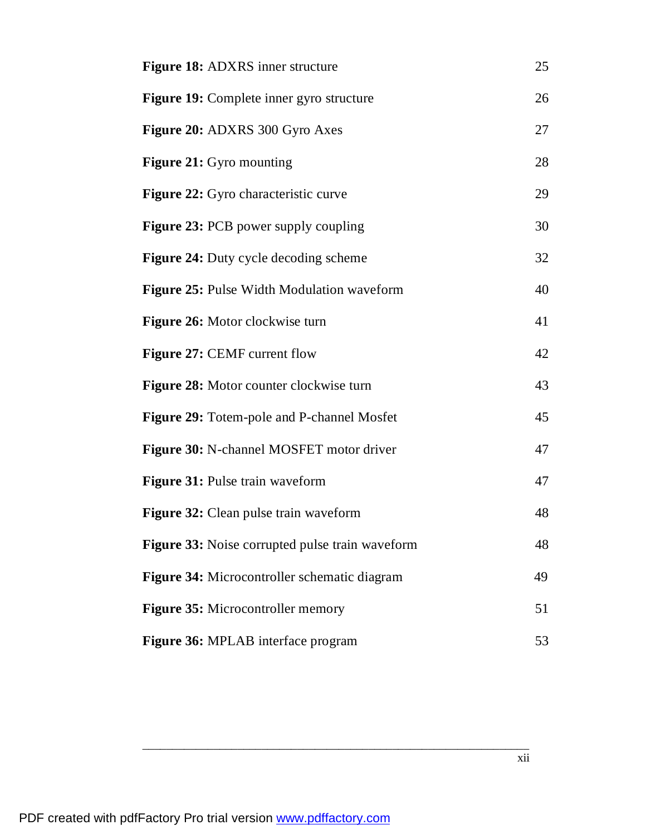| <b>Figure 18:</b> ADXRS inner structure         | 25 |
|-------------------------------------------------|----|
| Figure 19: Complete inner gyro structure        | 26 |
| Figure 20: ADXRS 300 Gyro Axes                  | 27 |
| <b>Figure 21:</b> Gyro mounting                 | 28 |
| <b>Figure 22:</b> Gyro characteristic curve     | 29 |
| <b>Figure 23: PCB</b> power supply coupling     | 30 |
| <b>Figure 24:</b> Duty cycle decoding scheme    | 32 |
| Figure 25: Pulse Width Modulation waveform      | 40 |
| <b>Figure 26:</b> Motor clockwise turn          | 41 |
| Figure 27: CEMF current flow                    | 42 |
| Figure 28: Motor counter clockwise turn         | 43 |
| Figure 29: Totem-pole and P-channel Mosfet      | 45 |
| Figure 30: N-channel MOSFET motor driver        | 47 |
| Figure 31: Pulse train waveform                 | 47 |
| <b>Figure 32:</b> Clean pulse train waveform    | 48 |
| Figure 33: Noise corrupted pulse train waveform | 48 |
| Figure 34: Microcontroller schematic diagram    | 49 |
| <b>Figure 35: Microcontroller memory</b>        | 51 |
| Figure 36: MPLAB interface program              | 53 |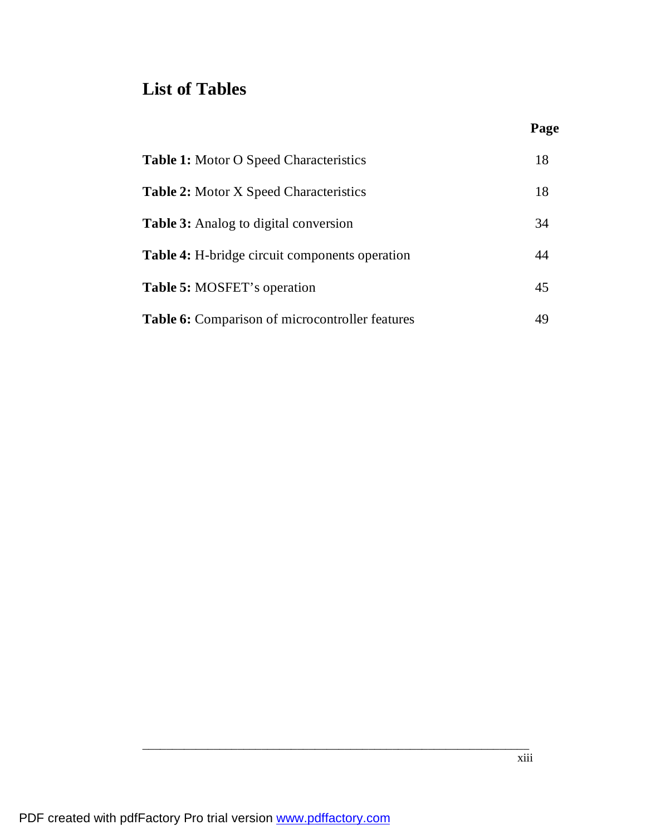# **List of Tables**

| <b>Table 1:</b> Motor O Speed Characteristics         | 18 |
|-------------------------------------------------------|----|
| <b>Table 2:</b> Motor X Speed Characteristics         | 18 |
| <b>Table 3:</b> Analog to digital conversion          | 34 |
| <b>Table 4:</b> H-bridge circuit components operation | 44 |
| <b>Table 5: MOSFET's operation</b>                    | 45 |
| Table 6: Comparison of microcontroller features       | 49 |

 **Page**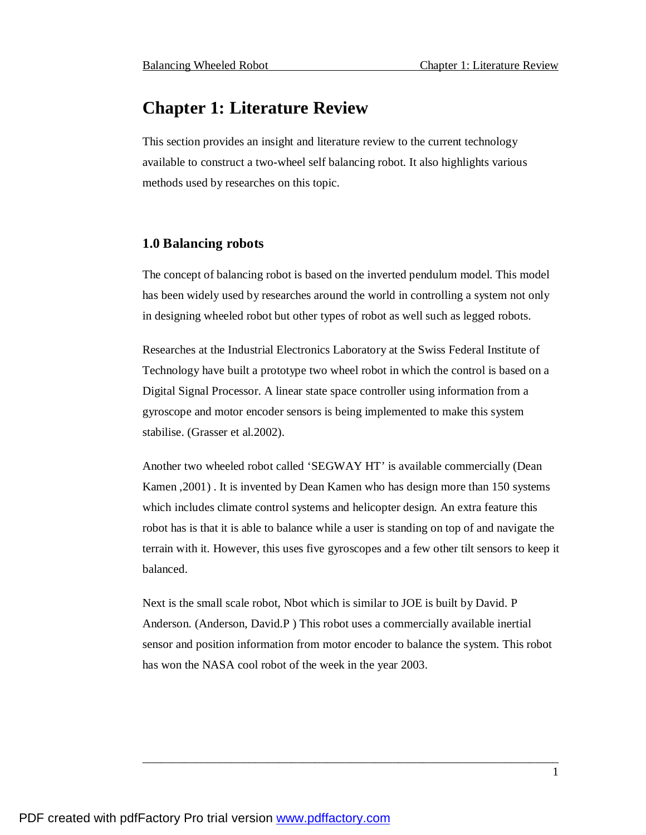## **Chapter 1: Literature Review**

This section provides an insight and literature review to the current technology available to construct a two-wheel self balancing robot. It also highlights various methods used by researches on this topic.

### **1.0 Balancing robots**

The concept of balancing robot is based on the inverted pendulum model. This model has been widely used by researches around the world in controlling a system not only in designing wheeled robot but other types of robot as well such as legged robots.

Researches at the Industrial Electronics Laboratory at the Swiss Federal Institute of Technology have built a prototype two wheel robot in which the control is based on a Digital Signal Processor. A linear state space controller using information from a gyroscope and motor encoder sensors is being implemented to make this system stabilise. (Grasser et al.2002).

Another two wheeled robot called 'SEGWAY HT' is available commercially (Dean Kamen ,2001) . It is invented by Dean Kamen who has design more than 150 systems which includes climate control systems and helicopter design. An extra feature this robot has is that it is able to balance while a user is standing on top of and navigate the terrain with it. However, this uses five gyroscopes and a few other tilt sensors to keep it balanced.

Next is the small scale robot, Nbot which is similar to JOE is built by David. P Anderson. (Anderson, David.P ) This robot uses a commercially available inertial sensor and position information from motor encoder to balance the system. This robot has won the NASA cool robot of the week in the year 2003.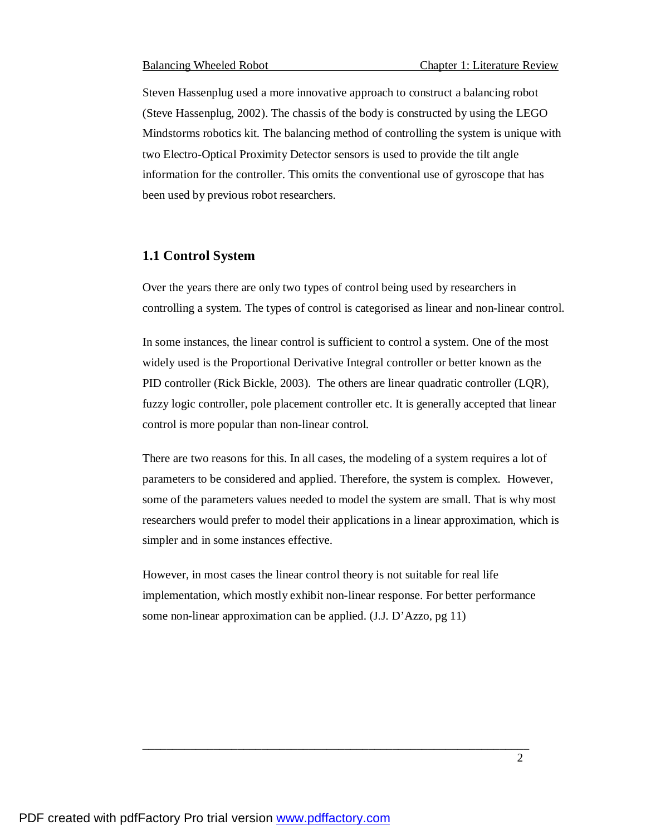Steven Hassenplug used a more innovative approach to construct a balancing robot (Steve Hassenplug, 2002). The chassis of the body is constructed by using the LEGO Mindstorms robotics kit. The balancing method of controlling the system is unique with two Electro-Optical Proximity Detector sensors is used to provide the tilt angle information for the controller. This omits the conventional use of gyroscope that has been used by previous robot researchers.

#### **1.1 Control System**

Over the years there are only two types of control being used by researchers in controlling a system. The types of control is categorised as linear and non-linear control.

In some instances, the linear control is sufficient to control a system. One of the most widely used is the Proportional Derivative Integral controller or better known as the PID controller (Rick Bickle, 2003). The others are linear quadratic controller (LQR), fuzzy logic controller, pole placement controller etc. It is generally accepted that linear control is more popular than non-linear control.

There are two reasons for this. In all cases, the modeling of a system requires a lot of parameters to be considered and applied. Therefore, the system is complex. However, some of the parameters values needed to model the system are small. That is why most researchers would prefer to model their applications in a linear approximation, which is simpler and in some instances effective.

However, in most cases the linear control theory is not suitable for real life implementation, which mostly exhibit non-linear response. For better performance some non-linear approximation can be applied. (J.J. D'Azzo, pg 11)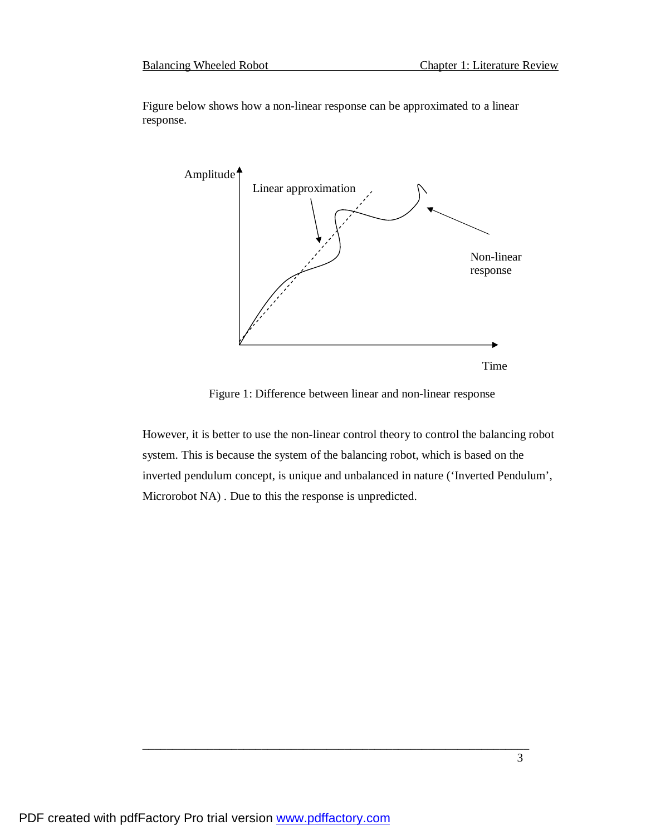Figure below shows how a non-linear response can be approximated to a linear response.



Figure 1: Difference between linear and non-linear response

However, it is better to use the non-linear control theory to control the balancing robot system. This is because the system of the balancing robot, which is based on the inverted pendulum concept, is unique and unbalanced in nature ('Inverted Pendulum', Microrobot NA) . Due to this the response is unpredicted.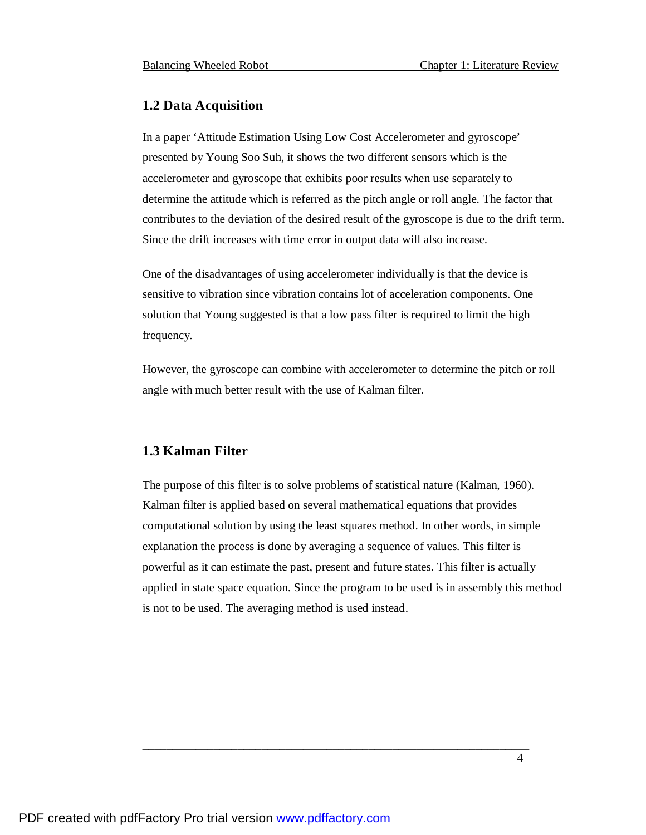### **1.2 Data Acquisition**

In a paper 'Attitude Estimation Using Low Cost Accelerometer and gyroscope' presented by Young Soo Suh, it shows the two different sensors which is the accelerometer and gyroscope that exhibits poor results when use separately to determine the attitude which is referred as the pitch angle or roll angle. The factor that contributes to the deviation of the desired result of the gyroscope is due to the drift term. Since the drift increases with time error in output data will also increase.

One of the disadvantages of using accelerometer individually is that the device is sensitive to vibration since vibration contains lot of acceleration components. One solution that Young suggested is that a low pass filter is required to limit the high frequency.

However, the gyroscope can combine with accelerometer to determine the pitch or roll angle with much better result with the use of Kalman filter.

### **1.3 Kalman Filter**

The purpose of this filter is to solve problems of statistical nature (Kalman, 1960). Kalman filter is applied based on several mathematical equations that provides computational solution by using the least squares method. In other words, in simple explanation the process is done by averaging a sequence of values. This filter is powerful as it can estimate the past, present and future states. This filter is actually applied in state space equation. Since the program to be used is in assembly this method is not to be used. The averaging method is used instead.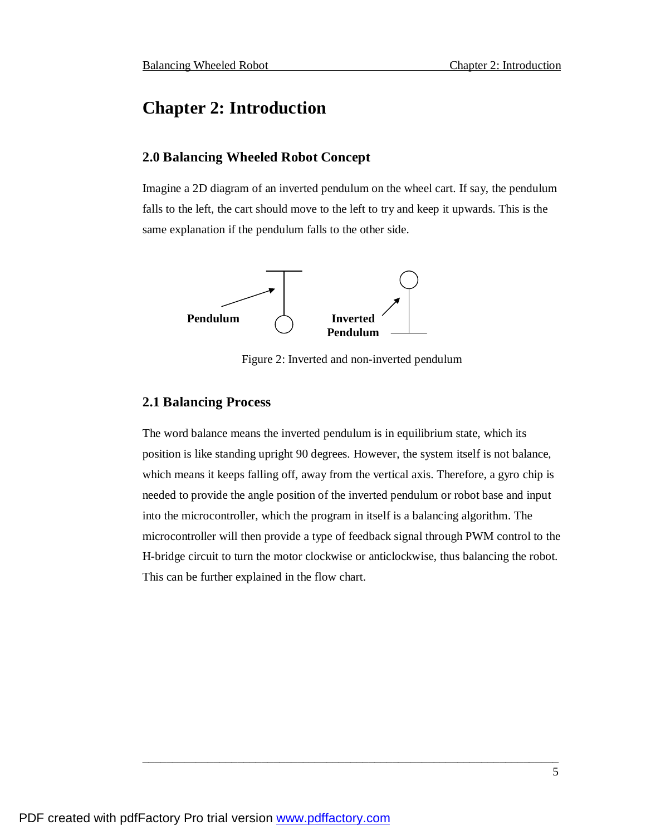## **Chapter 2: Introduction**

### **2.0 Balancing Wheeled Robot Concept**

Imagine a 2D diagram of an inverted pendulum on the wheel cart. If say, the pendulum falls to the left, the cart should move to the left to try and keep it upwards. This is the same explanation if the pendulum falls to the other side.



Figure 2: Inverted and non-inverted pendulum

### **2.1 Balancing Process**

The word balance means the inverted pendulum is in equilibrium state, which its position is like standing upright 90 degrees. However, the system itself is not balance, which means it keeps falling off, away from the vertical axis. Therefore, a gyro chip is needed to provide the angle position of the inverted pendulum or robot base and input into the microcontroller, which the program in itself is a balancing algorithm. The microcontroller will then provide a type of feedback signal through PWM control to the H-bridge circuit to turn the motor clockwise or anticlockwise, thus balancing the robot. This can be further explained in the flow chart.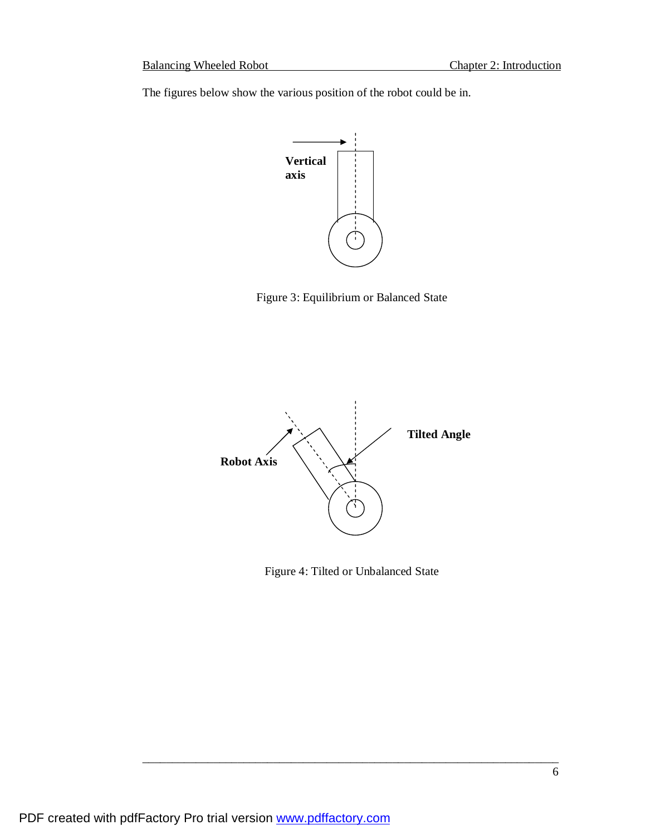The figures below show the various position of the robot could be in.



Figure 3: Equilibrium or Balanced State



Figure 4: Tilted or Unbalanced State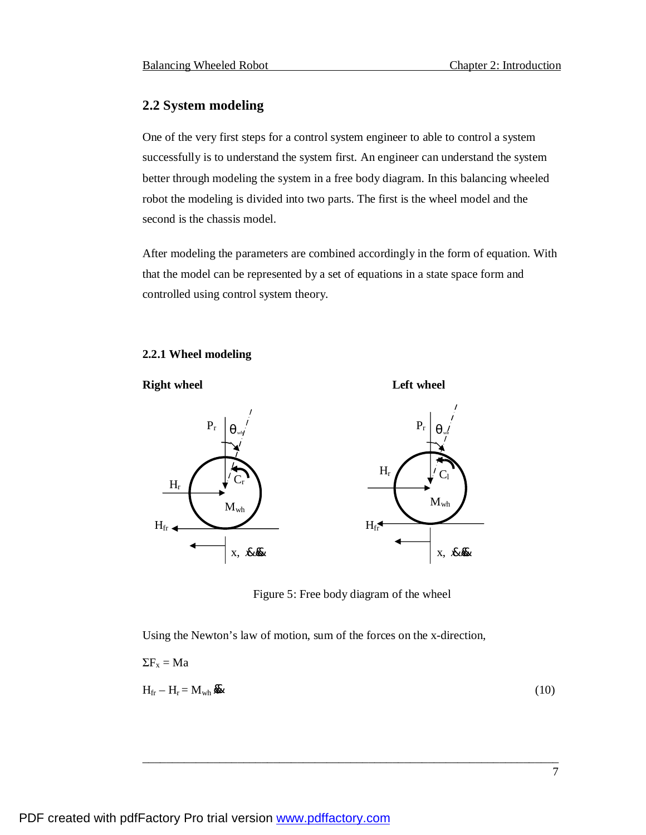#### **2.2 System modeling**

One of the very first steps for a control system engineer to able to control a system successfully is to understand the system first. An engineer can understand the system better through modeling the system in a free body diagram. In this balancing wheeled robot the modeling is divided into two parts. The first is the wheel model and the second is the chassis model.

After modeling the parameters are combined accordingly in the form of equation. With that the model can be represented by a set of equations in a state space form and controlled using control system theory.

#### **2.2.1 Wheel modeling**



Figure 5: Free body diagram of the wheel

Using the Newton's law of motion, sum of the forces on the x-direction,

 $\Sigma F_x = Ma$ 

$$
H_{fr} - H_r = M_{wh} \mathcal{R} \tag{10}
$$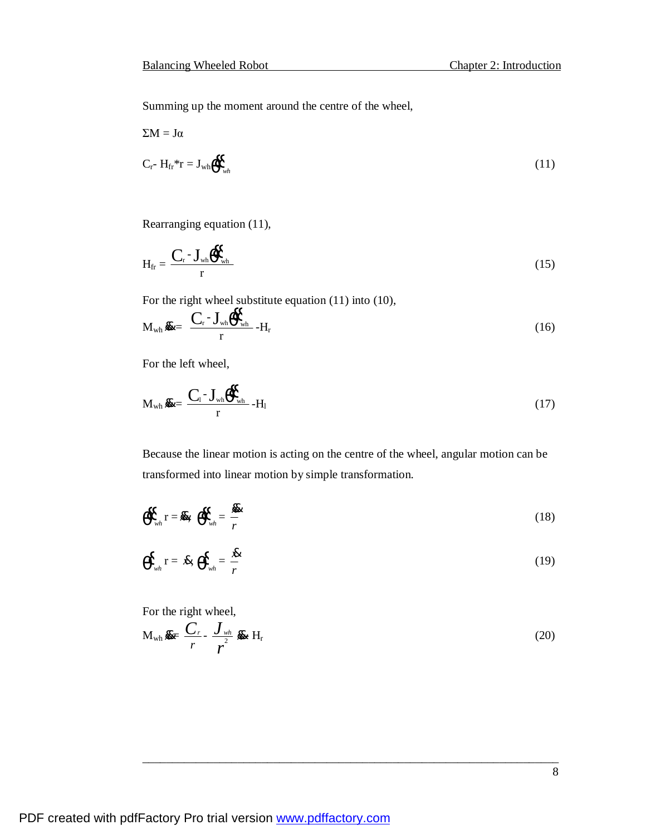Summing up the moment around the centre of the wheel,

$$
\Sigma M = J\alpha
$$
  
\n
$$
C_{r} - H_{fr} * r = J_{wh} \oint_{rwh} \tag{11}
$$

Rearranging equation (11),

$$
H_{fr} = \frac{C_r - J_{wh} \mathbf{Q}_{wh}^2}{r}
$$
 (15)

For the right wheel substitute equation (11) into (10),

$$
M_{wh} \mathbf{R} = \frac{C_r - J_{wh} \mathbf{Q}_{wh}^T}{r} - H_r
$$
 (16)

For the left wheel,

$$
M_{wh} \mathbf{R} = \frac{C_1 - J_{wh} \mathbf{Q}_{wh}^2}{r} - H_1
$$
 (17)

Because the linear motion is acting on the centre of the wheel, angular motion can be transformed into linear motion by simple transformation.

$$
\partial_{v_{wh}}^{\mathcal{S}} \mathbf{r} = \mathbf{R}, \quad \partial_{v_{wh}}^{\mathcal{S}} = \frac{\mathbf{R}}{r}
$$
 (18)

$$
\boldsymbol{q}_{\text{wh}}^{\boldsymbol{\xi}} \mathbf{r} = \boldsymbol{\mathcal{R}}, \ \boldsymbol{q}_{\text{wh}}^{\boldsymbol{\xi}} = \frac{\boldsymbol{\mathcal{R}}}{r}
$$
 (19)

For the right wheel,  $M_{wh}$  *x* $\underset{r}{\mathbf{r}}$  $C_{r}$ <sub>-</sub> *r*  $J_{\frac{wh}{2}}$  $x \rightarrow H_r$  (20)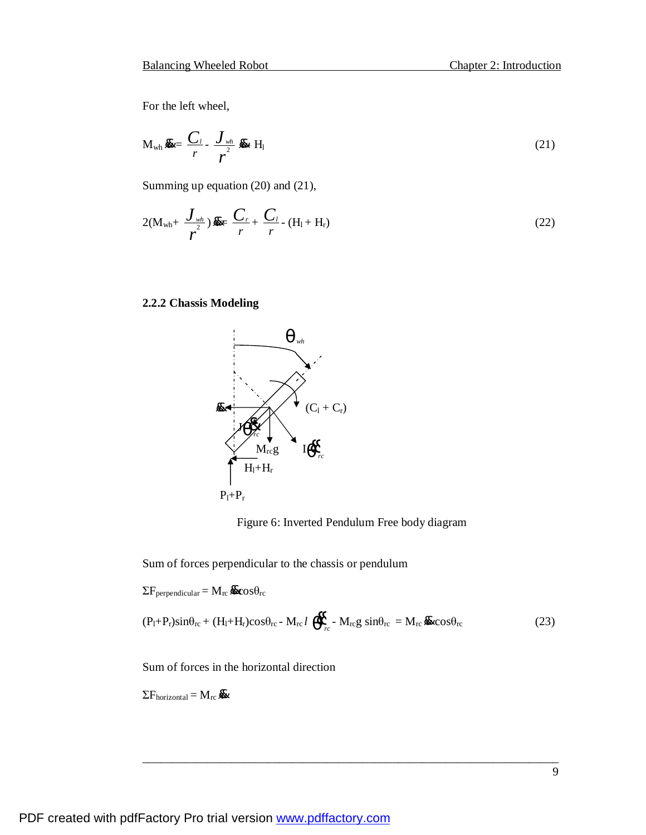For the left wheel,

$$
M_{wh} \mathcal{R} = \frac{C_l}{r} - \frac{J_{wh}}{r} \mathcal{R} \cdot H_l
$$
 (21)

Summing up equation (20) and (21),

$$
2(M_{wh}+\frac{\boldsymbol{J}_{wh}}{r})\boldsymbol{g}_{\boldsymbol{E}}\boldsymbol{L}_{r}+\frac{\boldsymbol{C}_{l}}{r}\boldsymbol{H}_{l}+H_{r})
$$
\n(22)

### **2.2.2 Chassis Modeling**





Sum of forces perpendicular to the chassis or pendulum

$$
\Sigma F_{perpendicular} = M_{rc} \mathbf{R} \cos \theta_{rc}
$$
  
(P<sub>1</sub>+P<sub>r</sub>)sin $\theta_{rc}$  + (H<sub>1</sub>+H<sub>r</sub>)cos $\theta_{rc}$  - M<sub>rc</sub>l  $\mathbf{Q}_{rc}^{\mathbf{Q}} - M_{rc}g \sin \theta_{rc} = M_{rc} \mathbf{R} \cos \theta_{rc}$  (23)

\_\_\_\_\_\_\_\_\_\_\_\_\_\_\_\_\_\_\_\_\_\_\_\_\_\_\_\_\_\_\_\_\_\_\_\_\_\_\_\_\_\_\_\_\_\_\_\_\_\_\_\_\_\_\_\_\_\_\_\_\_\_\_\_\_\_\_\_\_\_

Sum of forces in the horizontal direction

 $\Sigma F_{horizontal} = M_{rc}$  **&**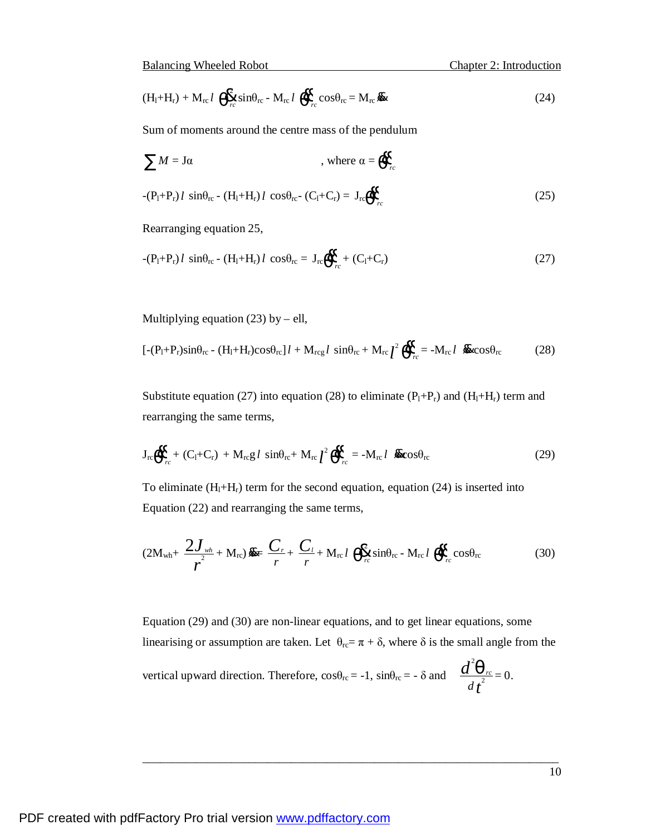$$
(H_l + H_r) + M_{rc} l \oint_{rc} \hat{\mathbf{K}} \sin \theta_{rc} - M_{rc} l \oint_{rc} \cos \theta_{rc} = M_{rc} \hat{\mathbf{K}} \tag{24}
$$

Sum of moments around the centre mass of the pendulum

$$
\sum M = J\alpha \qquad , \text{ where } \alpha = \text{ or } \alpha
$$
  
-(P<sub>1</sub>+P<sub>r</sub>) l sin $\theta_{rc}$  - (H<sub>1</sub>+H<sub>r</sub>) l cos $\theta_{rc}$  - (C<sub>1</sub>+C<sub>r</sub>) = J<sub>rc</sub>  $\oint_{rc}^{T} (25)$ 

Rearranging equation 25,

$$
-(P_1+P_r) l \sin\theta_{rc} - (H_1+H_r) l \cos\theta_{rc} = J_{rc} \partial_{rc}^2 + (C_1+C_r)
$$
\n(27)

Multiplying equation  $(23)$  by – ell,

$$
[-(P_1+P_r)\sin\theta_{rc} - (H_1+H_r)\cos\theta_{rc}] l + M_{rcg} l \sin\theta_{rc} + M_{rc} l^2 \partial_{rc} = -M_{rc} l \&cos\theta_{rc}
$$
 (28)

Substitute equation (27) into equation (28) to eliminate  $(P_1+P_r)$  and  $(H_1+H_r)$  term and rearranging the same terms,

$$
\mathbf{J}_{\rm rc}\boldsymbol{\phi}_{\rm rc}^{\rm sc} + (\mathbf{C}_{\rm l} + \mathbf{C}_{\rm r}) + \mathbf{M}_{\rm rc} \mathbf{g} \, l \, \sin \theta_{\rm rc} + \mathbf{M}_{\rm rc} \, l^2 \, \boldsymbol{\phi}_{\rm rc}^{\rm sc} = -\mathbf{M}_{\rm rc} \, l \, \mathbf{\&} \cos \theta_{\rm rc} \tag{29}
$$

To eliminate  $(H_1 + H_r)$  term for the second equation, equation (24) is inserted into Equation (22) and rearranging the same terms,

$$
(2M_{wh} + \frac{2J_{wh}}{r} + M_{rc}) \mathcal{L} = \frac{C_r}{r} + \frac{C_l}{r} + M_{rc}l \mathcal{L} \mathcal{L} \sin\theta_{rc} - M_{rc}l \mathcal{L} \mathcal{L} \cos\theta_{rc}
$$
(30)

Equation (29) and (30) are non-linear equations, and to get linear equations, some linearising or assumption are taken. Let  $\theta_{rc} = \pi + \delta$ , where  $\delta$  is the small angle from the  $\overline{\cdot}$ <sup>2</sup>

vertical upward direction. Therefore, 
$$
\cos\theta_{rc} = -1
$$
,  $\sin\theta_{rc} = -\delta$  and  $\frac{d^2 \mathbf{q}_{rc}}{dt^2} = 0$ .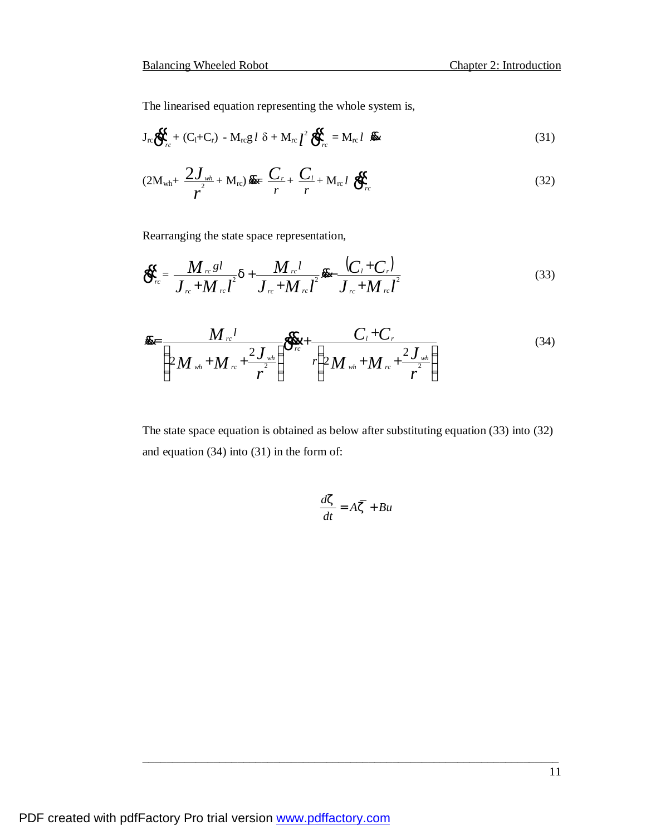The linearised equation representing the whole system is,

$$
J_{rc}\underbrace{\partial \mathcal{L}}_{rc} + (C_l + C_r) - M_{rc}g \, l \, \delta + M_{rc} \, l^2 \underbrace{\partial \mathcal{L}}_{rc} = M_{rc} \, l \, \underbrace{\partial \mathcal{L}}_{nc}
$$
 (31)

$$
(2M_{wh} + \frac{2J_{wh}}{r} + M_{rc})\mathbf{R} = \frac{C_r}{r} + \frac{C_l}{r} + M_{rc}l\mathbf{R}
$$
\n(32)

Rearranging the state space representation,

$$
\mathbf{d}_{rc}^2 = \frac{M_{rc}gl}{J_{rc} + M_{rc}l^2}d + \frac{M_{rc}l}{J_{rc} + M_{rc}l^2} \mathbf{d}^2 - \frac{(C_l + C_r)}{J_{rc} + M_{rc}l^2}
$$
(33)

$$
\mathbf{E} = \frac{M_{rc}l}{\left(2M_{wh} + M_{rc} + \frac{2J_{wh}}{r}\right)} \mathbf{E} + \frac{C_l + C_r}{r \left(2M_{wh} + M_{rc} + \frac{2J_{wh}}{r}\right)}
$$
(34)

The state space equation is obtained as below after substituting equation (33) into (32) and equation (34) into (31) in the form of:

$$
\frac{dz}{dt} = A\overline{z} + Bu
$$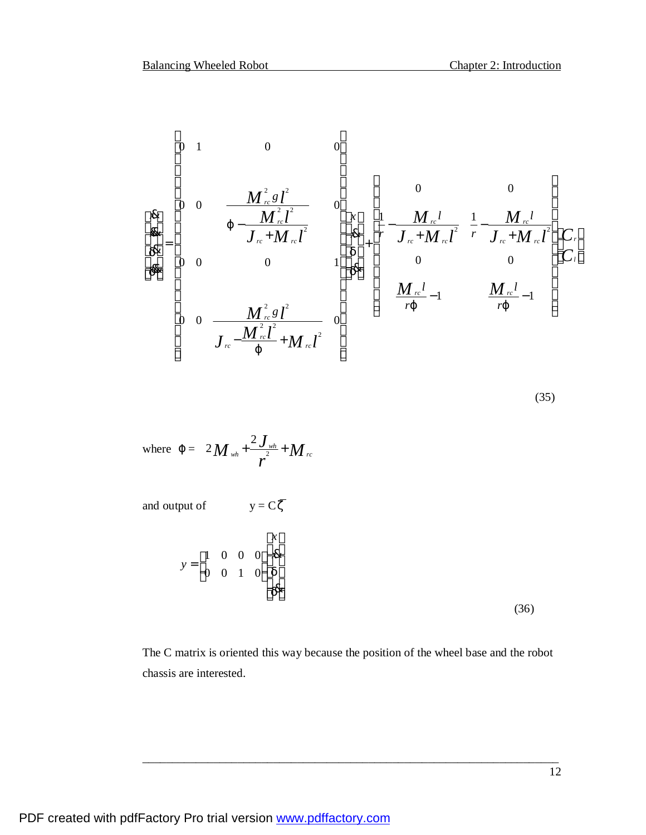$$
\begin{bmatrix}\n\mathbf{R} \\
\mathbf{R} \\
\mathbf{R} \\
\mathbf{R} \\
\mathbf{R} \\
\mathbf{R} \\
\mathbf{R} \\
\mathbf{R} \\
\mathbf{R} \\
\mathbf{R} \\
\mathbf{R} \\
\mathbf{R} \\
\mathbf{R} \\
\mathbf{R} \\
\mathbf{R} \\
\mathbf{R} \\
\mathbf{R} \\
\mathbf{R} \\
\mathbf{R} \\
\mathbf{R} \\
\mathbf{R} \\
\mathbf{R} \\
\mathbf{R} \\
\mathbf{R} \\
\mathbf{R} \\
\mathbf{R} \\
\mathbf{R} \\
\mathbf{R} \\
\mathbf{R} \\
\mathbf{R} \\
\mathbf{R} \\
\mathbf{R} \\
\mathbf{R} \\
\mathbf{R} \\
\mathbf{R} \\
\mathbf{R} \\
\mathbf{R} \\
\mathbf{R} \\
\mathbf{R} \\
\mathbf{R} \\
\mathbf{R} \\
\mathbf{R} \\
\mathbf{R} \\
\mathbf{R} \\
\mathbf{R} \\
\mathbf{R} \\
\mathbf{R} \\
\mathbf{R} \\
\mathbf{R} \\
\mathbf{R} \\
\mathbf{R} \\
\mathbf{R} \\
\mathbf{R} \\
\mathbf{R} \\
\mathbf{R} \\
\mathbf{R} \\
\mathbf{R} \\
\mathbf{R} \\
\mathbf{R} \\
\mathbf{R} \\
\mathbf{R} \\
\mathbf{R} \\
\mathbf{R} \\
\mathbf{R} \\
\mathbf{R} \\
\mathbf{R} \\
\mathbf{R} \\
\mathbf{R} \\
\mathbf{R} \\
\mathbf{R} \\
\mathbf{R} \\
\mathbf{R} \\
\mathbf{R} \\
\mathbf{R} \\
\mathbf{R} \\
\mathbf{R} \\
\mathbf{R} \\
\mathbf{R} \\
\mathbf{R} \\
\mathbf{R} \\
\mathbf{R} \\
\mathbf{R} \\
\mathbf{R} \\
\mathbf{R} \\
\mathbf{R} \\
\mathbf{R} \\
\mathbf{R} \\
\mathbf{R} \\
\mathbf{R} \\
\mathbf{R} \\
\mathbf{R} \\
\mathbf{R} \\
\mathbf{R} \\
\mathbf{R} \\
\mathbf{R} \\
\mathbf{R} \\
\mathbf{R} \\
\mathbf{R} \\
\mathbf{R} \\
\mathbf{R} \\
\mathbf{R} \\
\mathbf{R} \\
\mathbf{R} \\
\mathbf{R} \\
\mathbf{R} \\
\mathbf{R} \\
\mathbf{R} \\
\mathbf{
$$

(35)

where 
$$
j = 2M_{wh} + \frac{2J_{wh}}{r} + M_{rc}
$$

and output of  $y = C\overline{z}$ 

$$
y = \begin{bmatrix} 1 & 0 & 0 & 0 \\ 0 & 0 & 1 & 0 \end{bmatrix} \begin{bmatrix} x \\ x \\ d \\ d \\ d \end{bmatrix} \tag{36}
$$

The C matrix is oriented this way because the position of the wheel base and the robot chassis are interested.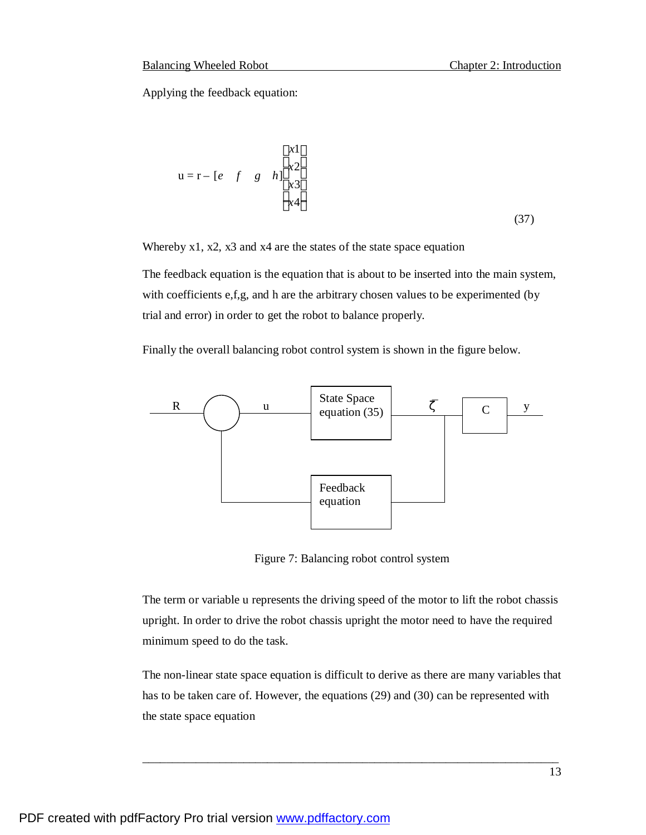Applying the feedback equation:

$$
u = r - [e \quad f \quad g \quad h] \begin{bmatrix} x1 \\ x2 \\ x3 \\ x4 \end{bmatrix}
$$
 (37)

Whereby  $x1$ ,  $x2$ ,  $x3$  and  $x4$  are the states of the state space equation

The feedback equation is the equation that is about to be inserted into the main system, with coefficients e,f,g, and h are the arbitrary chosen values to be experimented (by trial and error) in order to get the robot to balance properly.

Finally the overall balancing robot control system is shown in the figure below.



Figure 7: Balancing robot control system

The term or variable u represents the driving speed of the motor to lift the robot chassis upright. In order to drive the robot chassis upright the motor need to have the required minimum speed to do the task.

The non-linear state space equation is difficult to derive as there are many variables that has to be taken care of. However, the equations (29) and (30) can be represented with the state space equation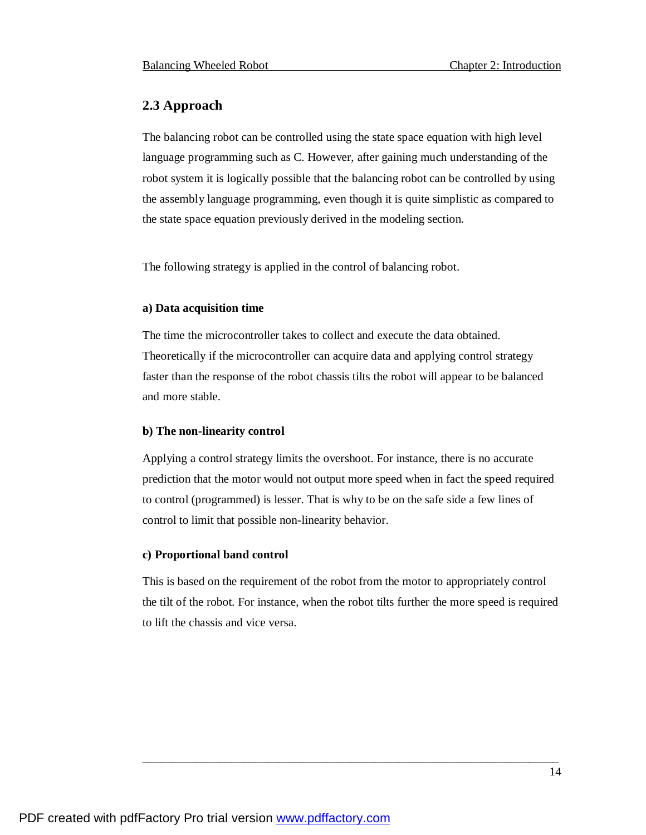### **2.3 Approach**

The balancing robot can be controlled using the state space equation with high level language programming such as C. However, after gaining much understanding of the robot system it is logically possible that the balancing robot can be controlled by using the assembly language programming, even though it is quite simplistic as compared to the state space equation previously derived in the modeling section.

The following strategy is applied in the control of balancing robot.

#### **a) Data acquisition time**

The time the microcontroller takes to collect and execute the data obtained. Theoretically if the microcontroller can acquire data and applying control strategy faster than the response of the robot chassis tilts the robot will appear to be balanced and more stable.

#### **b) The non-linearity control**

Applying a control strategy limits the overshoot. For instance, there is no accurate prediction that the motor would not output more speed when in fact the speed required to control (programmed) is lesser. That is why to be on the safe side a few lines of control to limit that possible non-linearity behavior.

#### **c) Proportional band control**

This is based on the requirement of the robot from the motor to appropriately control the tilt of the robot. For instance, when the robot tilts further the more speed is required to lift the chassis and vice versa.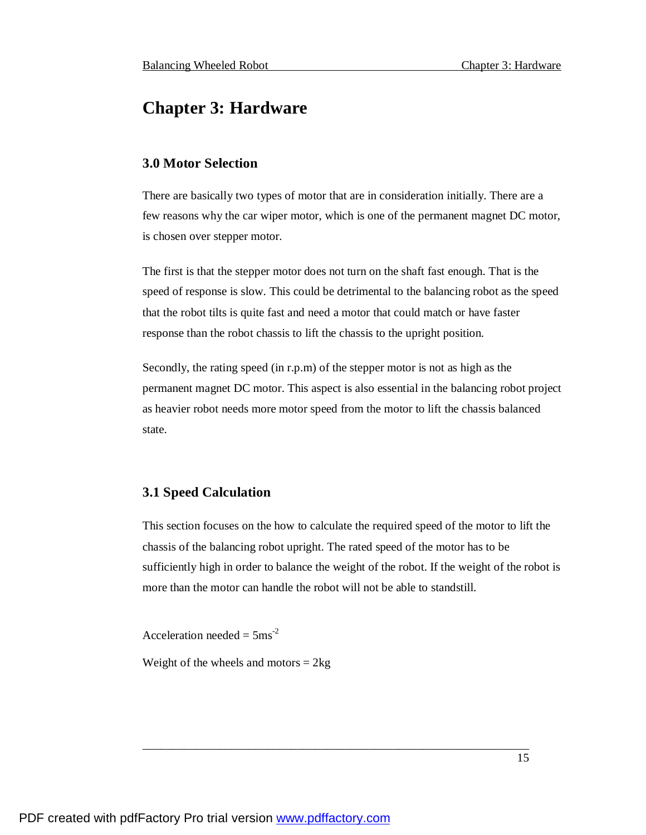### **Chapter 3: Hardware**

### **3.0 Motor Selection**

There are basically two types of motor that are in consideration initially. There are a few reasons why the car wiper motor, which is one of the permanent magnet DC motor, is chosen over stepper motor.

The first is that the stepper motor does not turn on the shaft fast enough. That is the speed of response is slow. This could be detrimental to the balancing robot as the speed that the robot tilts is quite fast and need a motor that could match or have faster response than the robot chassis to lift the chassis to the upright position.

Secondly, the rating speed (in r.p.m) of the stepper motor is not as high as the permanent magnet DC motor. This aspect is also essential in the balancing robot project as heavier robot needs more motor speed from the motor to lift the chassis balanced state.

#### **3.1 Speed Calculation**

This section focuses on the how to calculate the required speed of the motor to lift the chassis of the balancing robot upright. The rated speed of the motor has to be sufficiently high in order to balance the weight of the robot. If the weight of the robot is more than the motor can handle the robot will not be able to standstill.

\_\_\_\_\_\_\_\_\_\_\_\_\_\_\_\_\_\_\_\_\_\_\_\_\_\_\_\_\_\_\_\_\_\_\_\_\_\_\_\_\_\_\_\_\_\_\_\_\_\_\_\_\_\_\_\_\_\_\_\_\_\_\_\_\_

Acceleration needed =  $5 \text{ms}^2$ 

Weight of the wheels and motors  $= 2kg$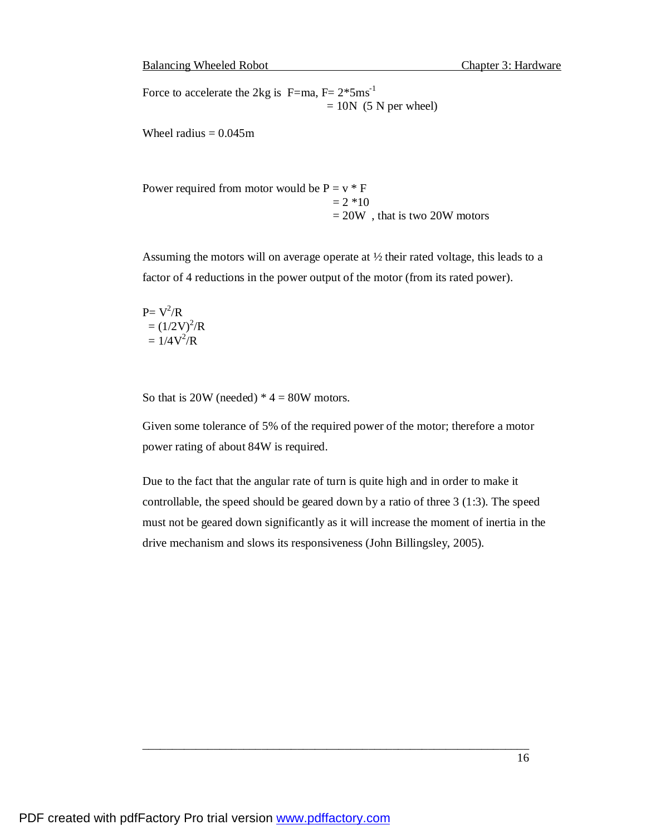Force to accelerate the 2kg is  $F=ma$ ,  $F= 2*5ms^{-1}$  $= 10N$  (5 N per wheel)

Wheel radius  $= 0.045$ m

Power required from motor would be 
$$
P = v * F
$$
  
= 2 \* 10  
= 20W , that is two 20W motors

Assuming the motors will on average operate at ½ their rated voltage, this leads to a factor of 4 reductions in the power output of the motor (from its rated power).

 $P = V^2/R$  $=(1/2V)^{2}/R$  $= 1/4V^2/R$ 

So that is 20W (needed)  $*$  4 = 80W motors.

Given some tolerance of 5% of the required power of the motor; therefore a motor power rating of about 84W is required.

Due to the fact that the angular rate of turn is quite high and in order to make it controllable, the speed should be geared down by a ratio of three 3 (1:3). The speed must not be geared down significantly as it will increase the moment of inertia in the drive mechanism and slows its responsiveness (John Billingsley, 2005).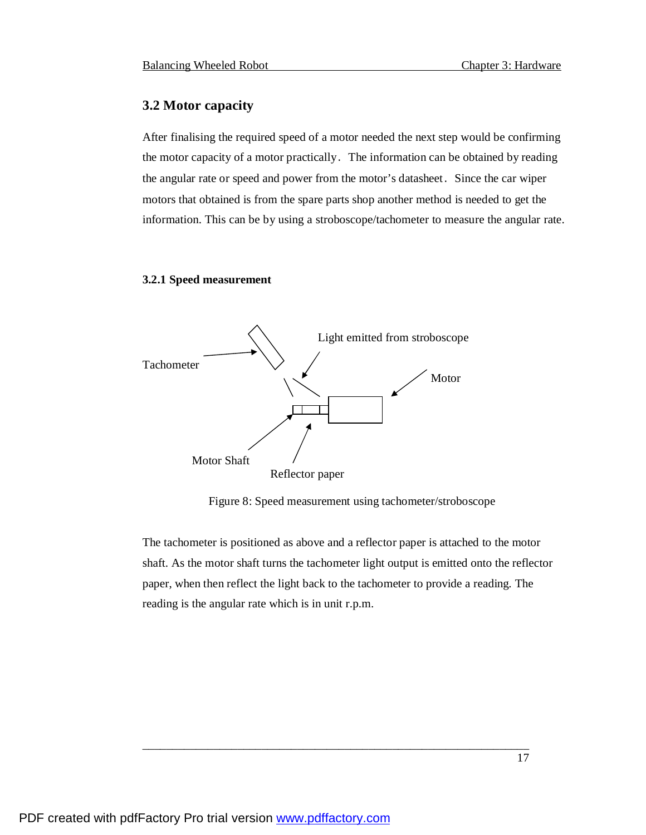### **3.2 Motor capacity**

After finalising the required speed of a motor needed the next step would be confirming the motor capacity of a motor practically. The information can be obtained by reading the angular rate or speed and power from the motor's datasheet. Since the car wiper motors that obtained is from the spare parts shop another method is needed to get the information. This can be by using a stroboscope/tachometer to measure the angular rate.

#### **3.2.1 Speed measurement**



Figure 8: Speed measurement using tachometer/stroboscope

The tachometer is positioned as above and a reflector paper is attached to the motor shaft. As the motor shaft turns the tachometer light output is emitted onto the reflector paper, when then reflect the light back to the tachometer to provide a reading. The reading is the angular rate which is in unit r.p.m.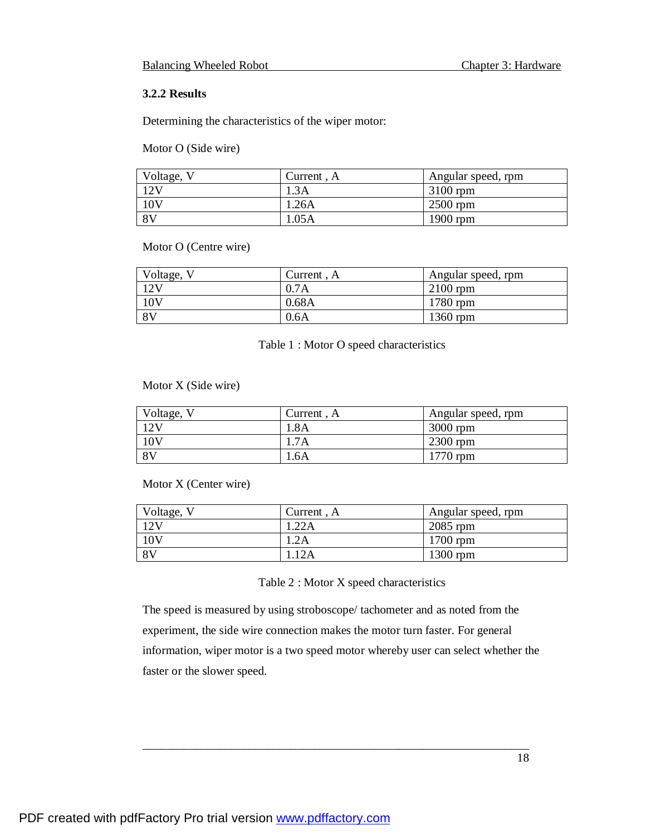#### **3.2.2 Results**

Determining the characteristics of the wiper motor:

Motor O (Side wire)

| Voltage, | Current, A | Angular speed, rpm |
|----------|------------|--------------------|
| 12V      | 1.3A       | $3100$ rpm         |
| 10V      | 1.26A      | $2500$ rpm         |
| 8V       | 1.05A      | 1900 rpm           |

Motor O (Centre wire)

| Voltage, | Current, A | Angular speed, rpm |
|----------|------------|--------------------|
| 12V      | 0.7A       | $2100$ rpm         |
| 10V      | 0.68A      | 1780 rpm           |
| - 8 V    | 0.6A       | 1360 rpm           |

Table 1 : Motor O speed characteristics

Motor X (Side wire)

| Voltage, | Current, A | Angular speed, rpm |
|----------|------------|--------------------|
| 12V      | 1.8A       | $3000$ rpm         |
| 10V      | .7A        | $2300$ rpm         |
| 8V       | .6A        | 770 rpm            |

Motor X (Center wire)

| Voltage, | Current, A | Angular speed, rpm |
|----------|------------|--------------------|
| 12V      | .22A       | $2085$ rpm         |
| 10V      | 1.2A       | 1700 rpm           |
| 8V       |            | $1300$ rpm         |

Table 2 : Motor X speed characteristics

The speed is measured by using stroboscope/ tachometer and as noted from the experiment, the side wire connection makes the motor turn faster. For general information, wiper motor is a two speed motor whereby user can select whether the faster or the slower speed.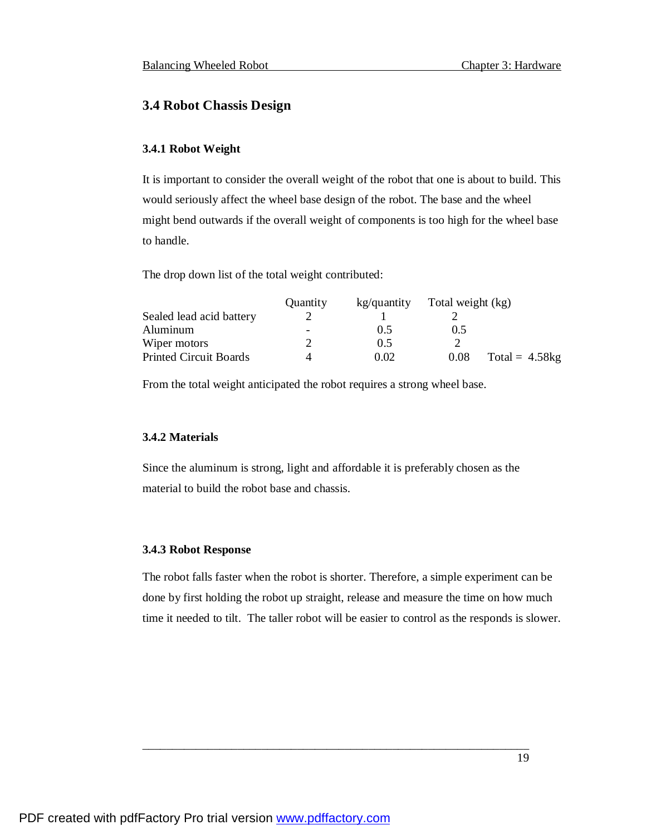### **3.4 Robot Chassis Design**

#### **3.4.1 Robot Weight**

It is important to consider the overall weight of the robot that one is about to build. This would seriously affect the wheel base design of the robot. The base and the wheel might bend outwards if the overall weight of components is too high for the wheel base to handle.

The drop down list of the total weight contributed:

|                               | Quantity | kg/quantity | Total weight (kg) |                   |
|-------------------------------|----------|-------------|-------------------|-------------------|
| Sealed lead acid battery      |          |             |                   |                   |
| Aluminum                      | -        | 0.5         | 0.5               |                   |
| Wiper motors                  |          | 0.5         |                   |                   |
| <b>Printed Circuit Boards</b> |          | 0.02        | 0.08              | Total = $4.58$ kg |

From the total weight anticipated the robot requires a strong wheel base.

#### **3.4.2 Materials**

Since the aluminum is strong, light and affordable it is preferably chosen as the material to build the robot base and chassis.

#### **3.4.3 Robot Response**

The robot falls faster when the robot is shorter. Therefore, a simple experiment can be done by first holding the robot up straight, release and measure the time on how much time it needed to tilt. The taller robot will be easier to control as the responds is slower.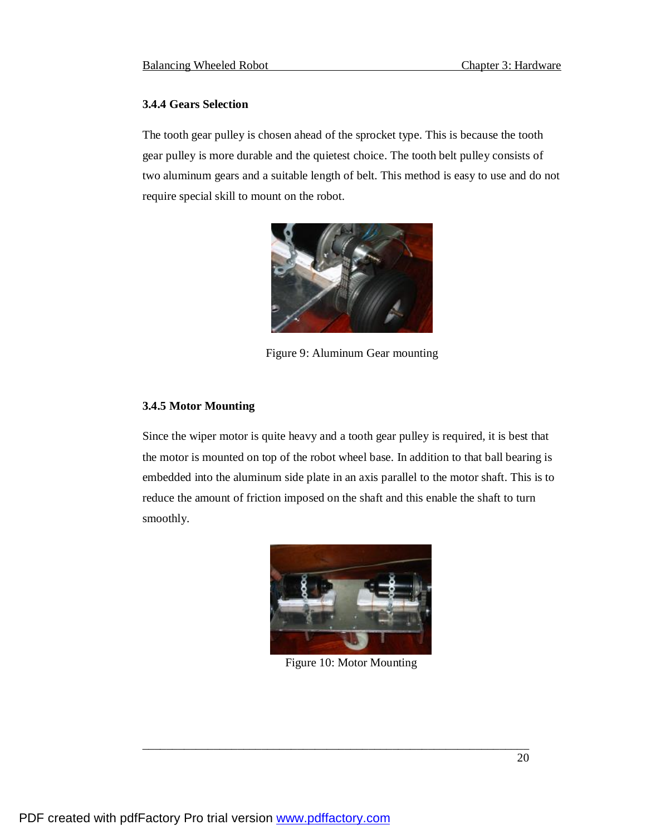#### **3.4.4 Gears Selection**

The tooth gear pulley is chosen ahead of the sprocket type. This is because the tooth gear pulley is more durable and the quietest choice. The tooth belt pulley consists of two aluminum gears and a suitable length of belt. This method is easy to use and do not require special skill to mount on the robot.



Figure 9: Aluminum Gear mounting

### **3.4.5 Motor Mounting**

Since the wiper motor is quite heavy and a tooth gear pulley is required, it is best that the motor is mounted on top of the robot wheel base. In addition to that ball bearing is embedded into the aluminum side plate in an axis parallel to the motor shaft. This is to reduce the amount of friction imposed on the shaft and this enable the shaft to turn smoothly.



Figure 10: Motor Mounting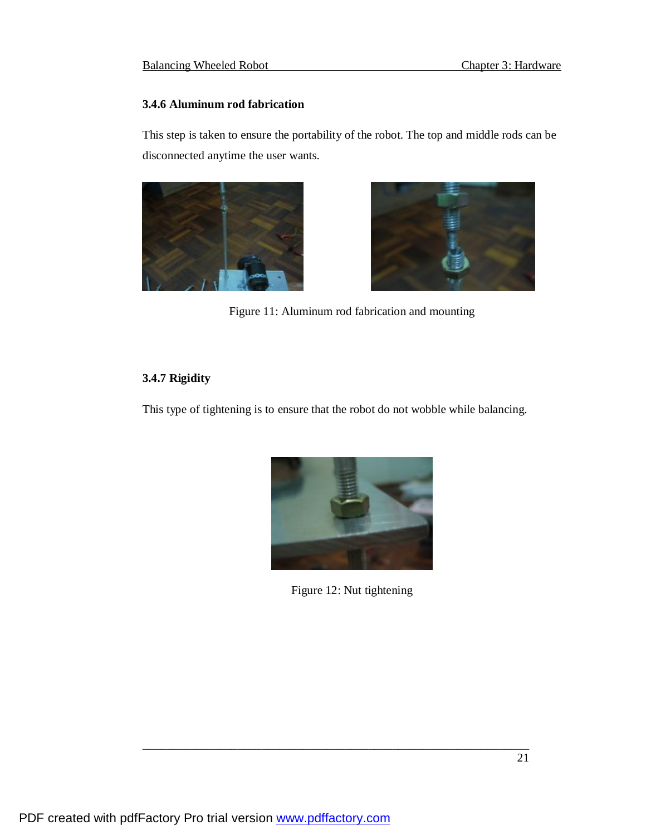#### **3.4.6 Aluminum rod fabrication**

This step is taken to ensure the portability of the robot. The top and middle rods can be disconnected anytime the user wants.





Figure 11: Aluminum rod fabrication and mounting

### **3.4.7 Rigidity**

This type of tightening is to ensure that the robot do not wobble while balancing.



Figure 12: Nut tightening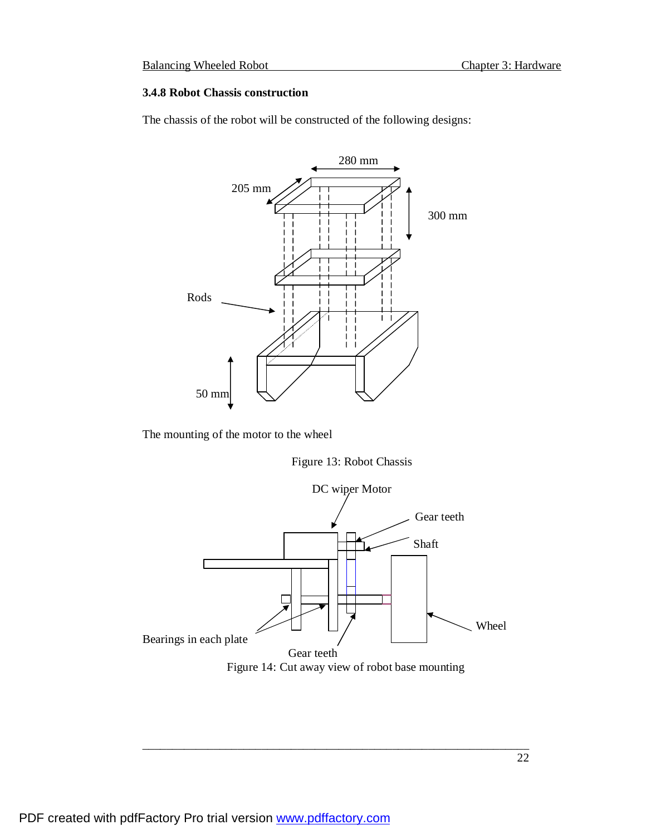#### **3.4.8 Robot Chassis construction**

The chassis of the robot will be constructed of the following designs:



The mounting of the motor to the wheel



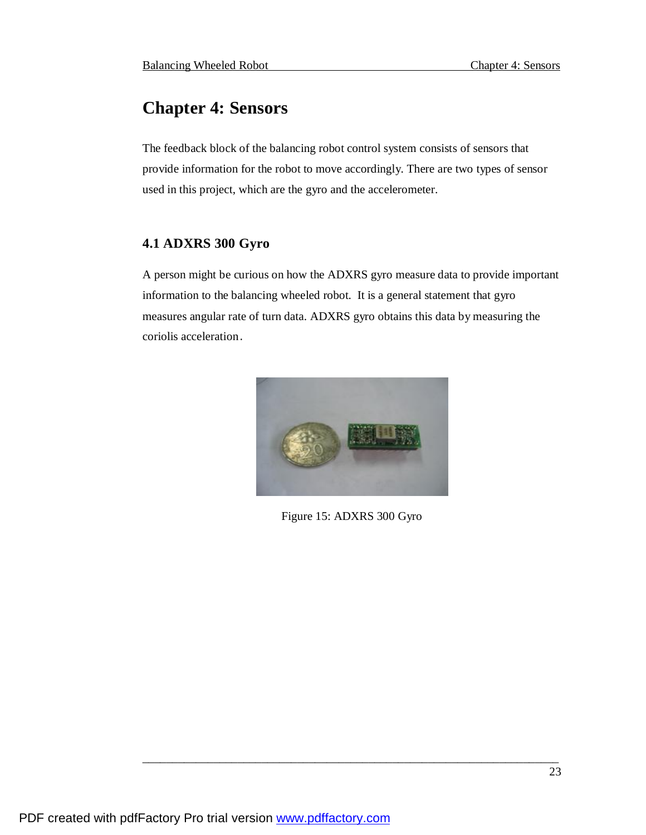# **Chapter 4: Sensors**

The feedback block of the balancing robot control system consists of sensors that provide information for the robot to move accordingly. There are two types of sensor used in this project, which are the gyro and the accelerometer.

# **4.1 ADXRS 300 Gyro**

A person might be curious on how the ADXRS gyro measure data to provide important information to the balancing wheeled robot. It is a general statement that gyro measures angular rate of turn data. ADXRS gyro obtains this data by measuring the coriolis acceleration.



Figure 15: ADXRS 300 Gyro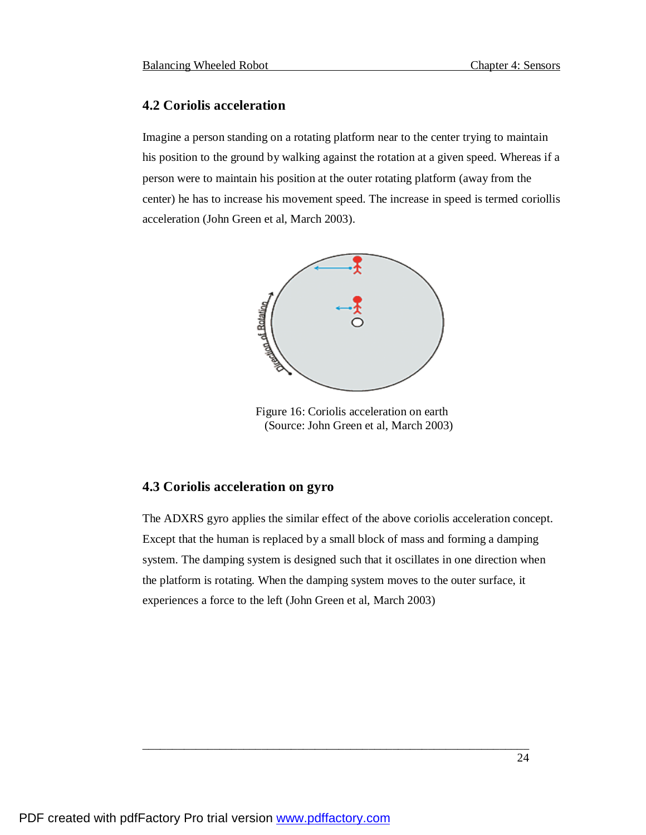## **4.2 Coriolis acceleration**

Imagine a person standing on a rotating platform near to the center trying to maintain his position to the ground by walking against the rotation at a given speed. Whereas if a person were to maintain his position at the outer rotating platform (away from the center) he has to increase his movement speed. The increase in speed is termed coriollis acceleration (John Green et al, March 2003).



Figure 16: Coriolis acceleration on earth (Source: John Green et al, March 2003)

## **4.3 Coriolis acceleration on gyro**

The ADXRS gyro applies the similar effect of the above coriolis acceleration concept. Except that the human is replaced by a small block of mass and forming a damping system. The damping system is designed such that it oscillates in one direction when the platform is rotating. When the damping system moves to the outer surface, it experiences a force to the left (John Green et al, March 2003)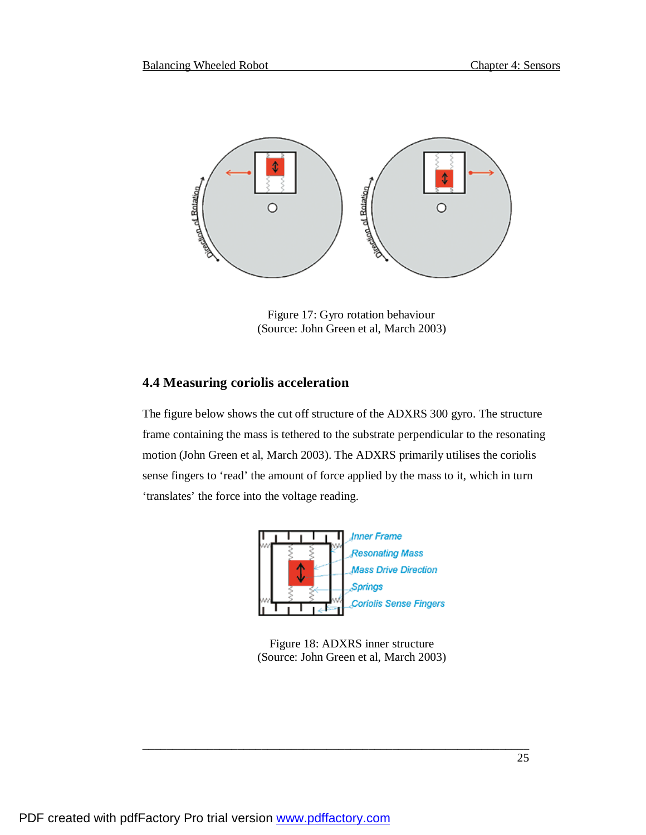

Figure 17: Gyro rotation behaviour (Source: John Green et al, March 2003)

# **4.4 Measuring coriolis acceleration**

The figure below shows the cut off structure of the ADXRS 300 gyro. The structure frame containing the mass is tethered to the substrate perpendicular to the resonating motion (John Green et al, March 2003). The ADXRS primarily utilises the coriolis sense fingers to 'read' the amount of force applied by the mass to it, which in turn 'translates' the force into the voltage reading.



Figure 18: ADXRS inner structure (Source: John Green et al, March 2003)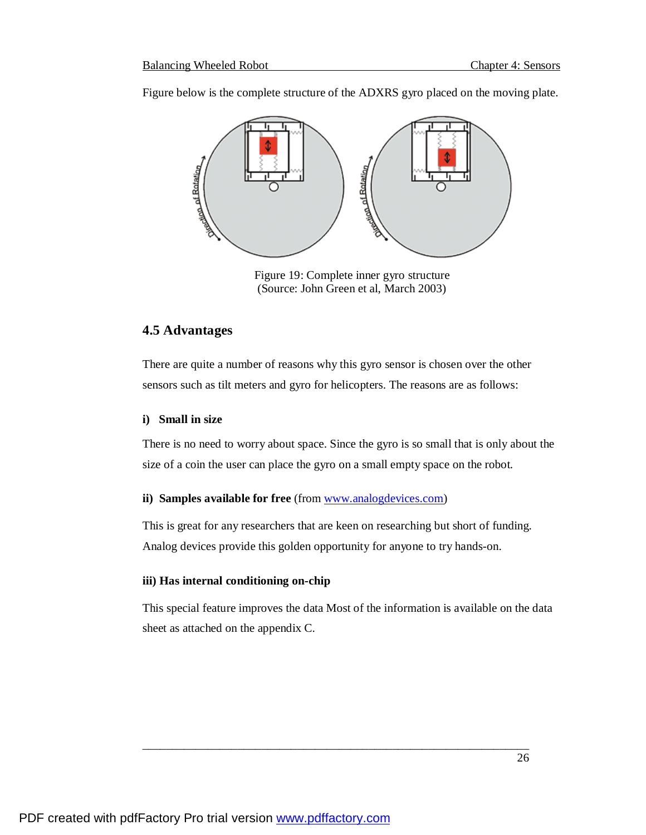Figure below is the complete structure of the ADXRS gyro placed on the moving plate.



Figure 19: Complete inner gyro structure (Source: John Green et al, March 2003)

# **4.5 Advantages**

There are quite a number of reasons why this gyro sensor is chosen over the other sensors such as tilt meters and gyro for helicopters. The reasons are as follows:

### **i) Small in size**

There is no need to worry about space. Since the gyro is so small that is only about the size of a coin the user can place the gyro on a small empty space on the robot.

### **ii) Samples available for free** (from [www.analogdevices.com\)](http://www.analogdevices.com)

This is great for any researchers that are keen on researching but short of funding. Analog devices provide this golden opportunity for anyone to try hands-on.

#### **iii) Has internal conditioning on-chip**

This special feature improves the data Most of the information is available on the data sheet as attached on the appendix C.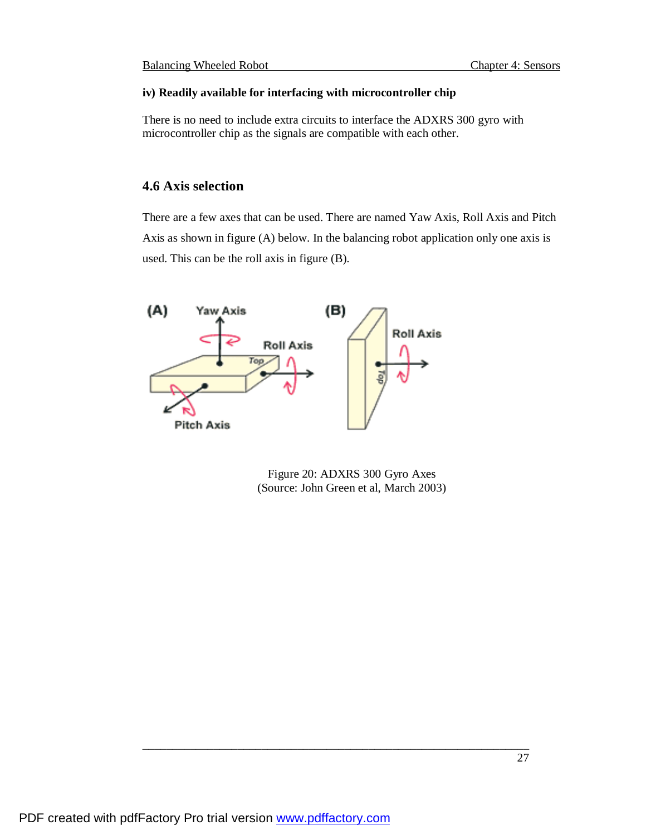### **iv) Readily available for interfacing with microcontroller chip**

There is no need to include extra circuits to interface the ADXRS 300 gyro with microcontroller chip as the signals are compatible with each other.

# **4.6 Axis selection**

There are a few axes that can be used. There are named Yaw Axis, Roll Axis and Pitch Axis as shown in figure (A) below. In the balancing robot application only one axis is used. This can be the roll axis in figure (B).



Figure 20: ADXRS 300 Gyro Axes (Source: John Green et al, March 2003)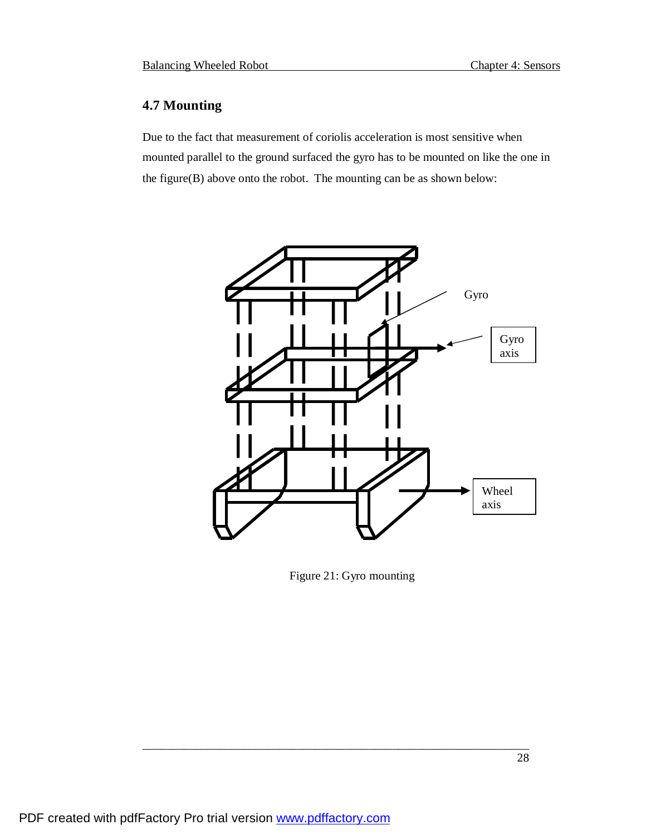# **4.7 Mounting**

Due to the fact that measurement of coriolis acceleration is most sensitive when mounted parallel to the ground surfaced the gyro has to be mounted on like the one in the figure(B) above onto the robot. The mounting can be as shown below:



Figure 21: Gyro mounting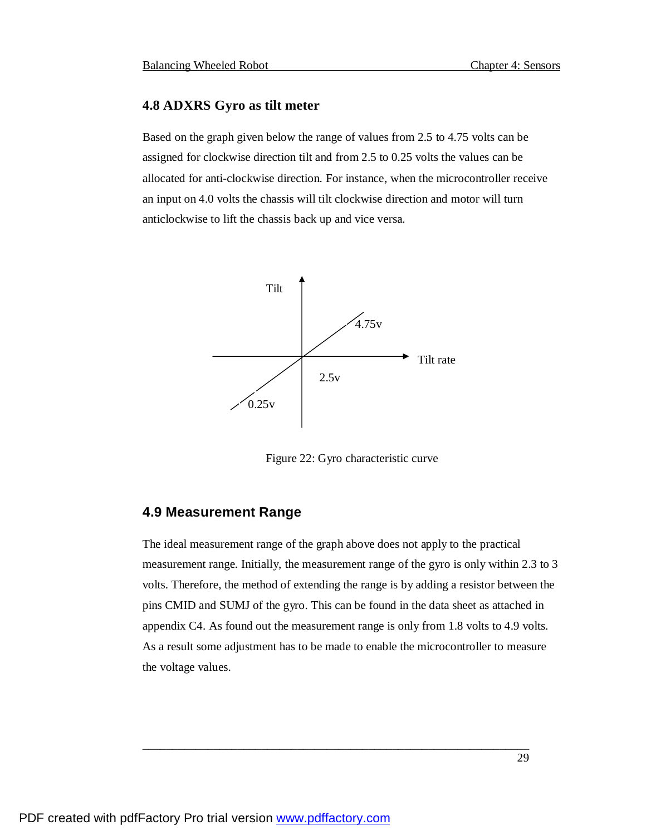### **4.8 ADXRS Gyro as tilt meter**

Based on the graph given below the range of values from 2.5 to 4.75 volts can be assigned for clockwise direction tilt and from 2.5 to 0.25 volts the values can be allocated for anti-clockwise direction. For instance, when the microcontroller receive an input on 4.0 volts the chassis will tilt clockwise direction and motor will turn anticlockwise to lift the chassis back up and vice versa.



Figure 22: Gyro characteristic curve

## **4.9 Measurement Range**

The ideal measurement range of the graph above does not apply to the practical measurement range. Initially, the measurement range of the gyro is only within 2.3 to 3 volts. Therefore, the method of extending the range is by adding a resistor between the pins CMID and SUMJ of the gyro. This can be found in the data sheet as attached in appendix C4. As found out the measurement range is only from 1.8 volts to 4.9 volts. As a result some adjustment has to be made to enable the microcontroller to measure the voltage values.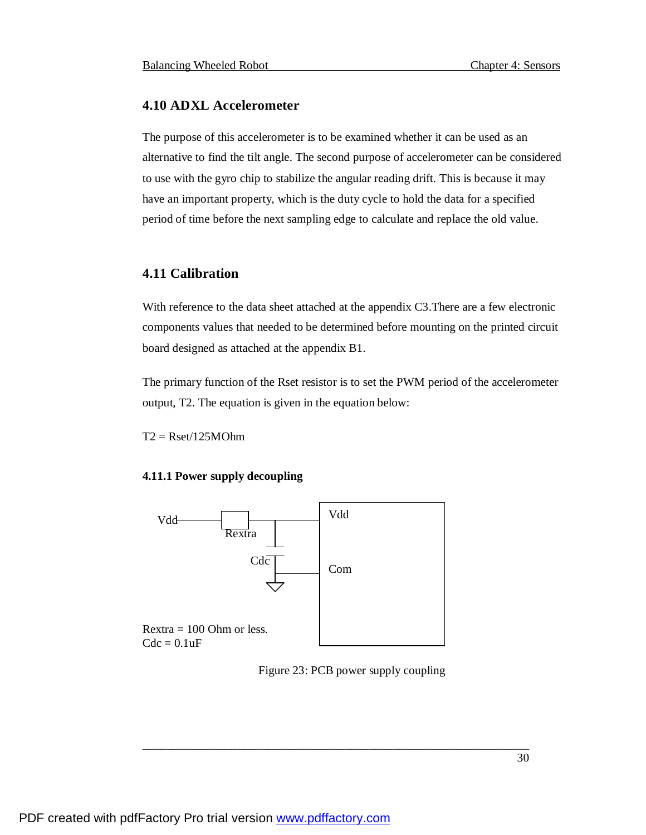### **4.10 ADXL Accelerometer**

The purpose of this accelerometer is to be examined whether it can be used as an alternative to find the tilt angle. The second purpose of accelerometer can be considered to use with the gyro chip to stabilize the angular reading drift. This is because it may have an important property, which is the duty cycle to hold the data for a specified period of time before the next sampling edge to calculate and replace the old value.

## **4.11 Calibration**

With reference to the data sheet attached at the appendix C3.There are a few electronic components values that needed to be determined before mounting on the printed circuit board designed as attached at the appendix B1.

The primary function of the Rset resistor is to set the PWM period of the accelerometer output, T2. The equation is given in the equation below:

 $T2 =$ Rset/125MOhm

#### **4.11.1 Power supply decoupling**



Figure 23: PCB power supply coupling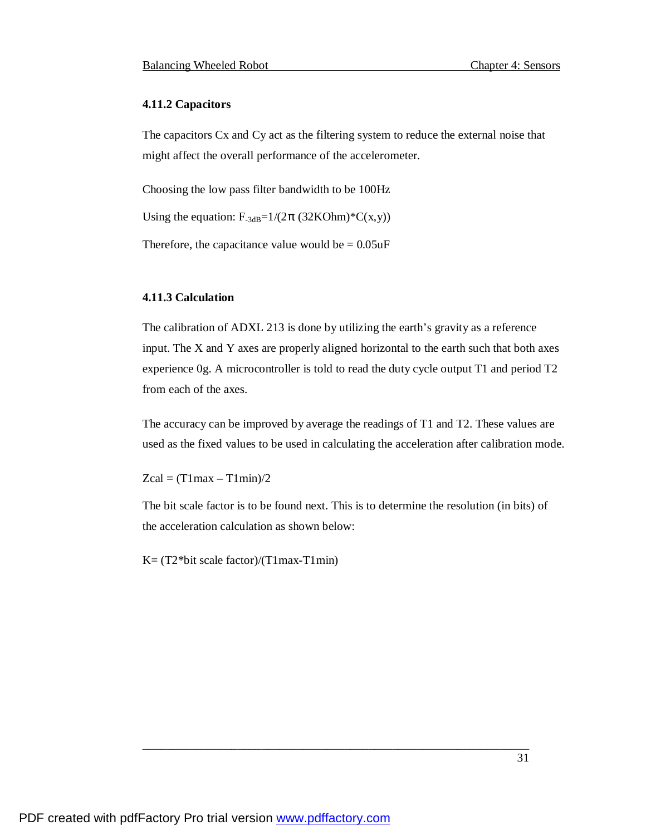#### **4.11.2 Capacitors**

The capacitors Cx and Cy act as the filtering system to reduce the external noise that might affect the overall performance of the accelerometer.

Choosing the low pass filter bandwidth to be 100Hz

Using the equation:  $F_{-3dB} = 1/(2p (32KOhm)*C(x, y))$ 

Therefore, the capacitance value would be  $= 0.05$ uF

#### **4.11.3 Calculation**

The calibration of ADXL 213 is done by utilizing the earth's gravity as a reference input. The X and Y axes are properly aligned horizontal to the earth such that both axes experience 0g. A microcontroller is told to read the duty cycle output T1 and period T2 from each of the axes.

The accuracy can be improved by average the readings of T1 and T2. These values are used as the fixed values to be used in calculating the acceleration after calibration mode.

 $Zcal = (T1max - T1min)/2$ 

The bit scale factor is to be found next. This is to determine the resolution (in bits) of the acceleration calculation as shown below:

\_\_\_\_\_\_\_\_\_\_\_\_\_\_\_\_\_\_\_\_\_\_\_\_\_\_\_\_\_\_\_\_\_\_\_\_\_\_\_\_\_\_\_\_\_\_\_\_\_\_\_\_\_\_\_\_\_\_\_\_\_\_\_\_\_

K= (T2\*bit scale factor)/(T1max-T1min)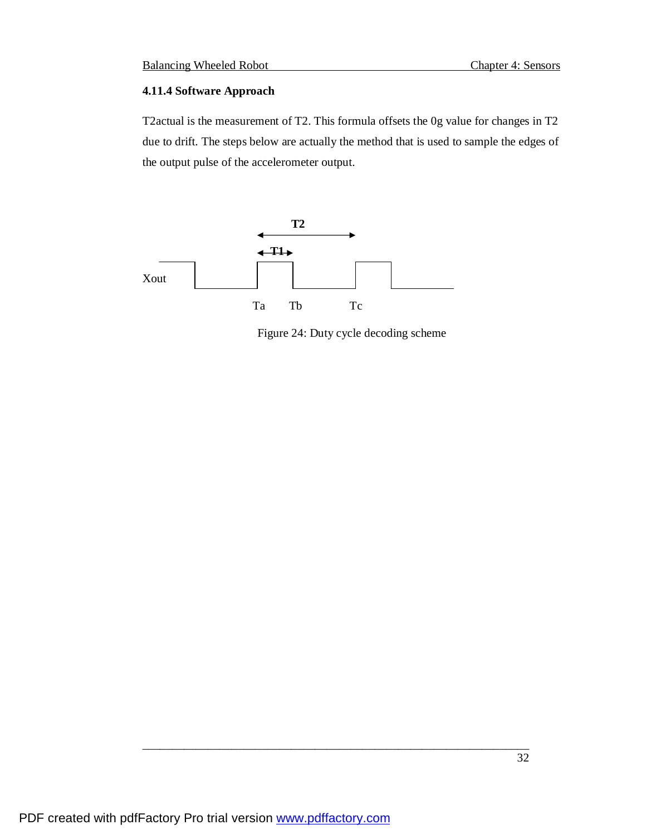### **4.11.4 Software Approach**

T2actual is the measurement of T2. This formula offsets the 0g value for changes in T2 due to drift. The steps below are actually the method that is used to sample the edges of the output pulse of the accelerometer output.



Figure 24: Duty cycle decoding scheme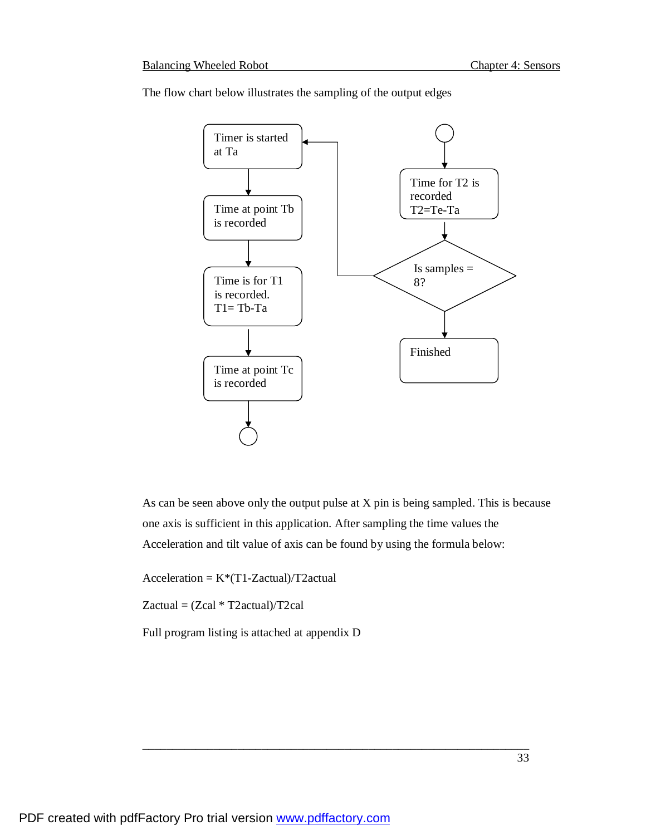

The flow chart below illustrates the sampling of the output edges

As can be seen above only the output pulse at X pin is being sampled. This is because one axis is sufficient in this application. After sampling the time values the Acceleration and tilt value of axis can be found by using the formula below:

\_\_\_\_\_\_\_\_\_\_\_\_\_\_\_\_\_\_\_\_\_\_\_\_\_\_\_\_\_\_\_\_\_\_\_\_\_\_\_\_\_\_\_\_\_\_\_\_\_\_\_\_\_\_\_\_\_\_\_\_\_\_\_\_\_

Acceleration = K\*(T1-Zactual)/T2actual

 $Zactual = (Zcal * T2actual)/T2cal$ 

Full program listing is attached at appendix D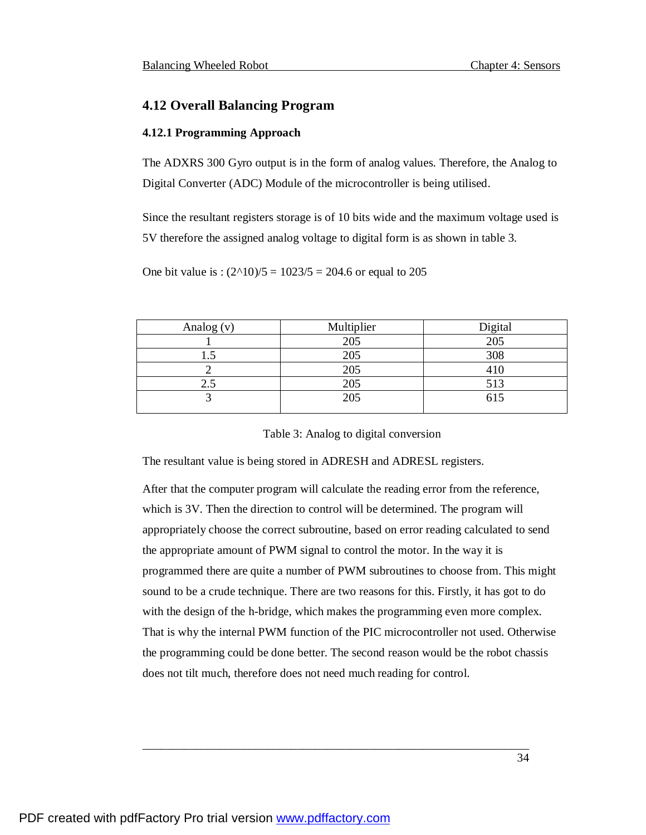# **4.12 Overall Balancing Program**

### **4.12.1 Programming Approach**

The ADXRS 300 Gyro output is in the form of analog values. Therefore, the Analog to Digital Converter (ADC) Module of the microcontroller is being utilised.

Since the resultant registers storage is of 10 bits wide and the maximum voltage used is 5V therefore the assigned analog voltage to digital form is as shown in table 3.

One bit value is :  $(2^{\text{A}}10)/5 = 1023/5 = 204.6$  or equal to 205

| Analog $(v)$ | Multiplier | Digital |
|--------------|------------|---------|
|              | 205        | 205     |
|              | 205        | 308     |
|              | 205        | 410     |
| د.ء          | 205        | 513     |
|              | 205        | 615     |
|              |            |         |

Table 3: Analog to digital conversion

The resultant value is being stored in ADRESH and ADRESL registers.

After that the computer program will calculate the reading error from the reference, which is 3V. Then the direction to control will be determined. The program will appropriately choose the correct subroutine, based on error reading calculated to send the appropriate amount of PWM signal to control the motor. In the way it is programmed there are quite a number of PWM subroutines to choose from. This might sound to be a crude technique. There are two reasons for this. Firstly, it has got to do with the design of the h-bridge, which makes the programming even more complex. That is why the internal PWM function of the PIC microcontroller not used. Otherwise the programming could be done better. The second reason would be the robot chassis does not tilt much, therefore does not need much reading for control.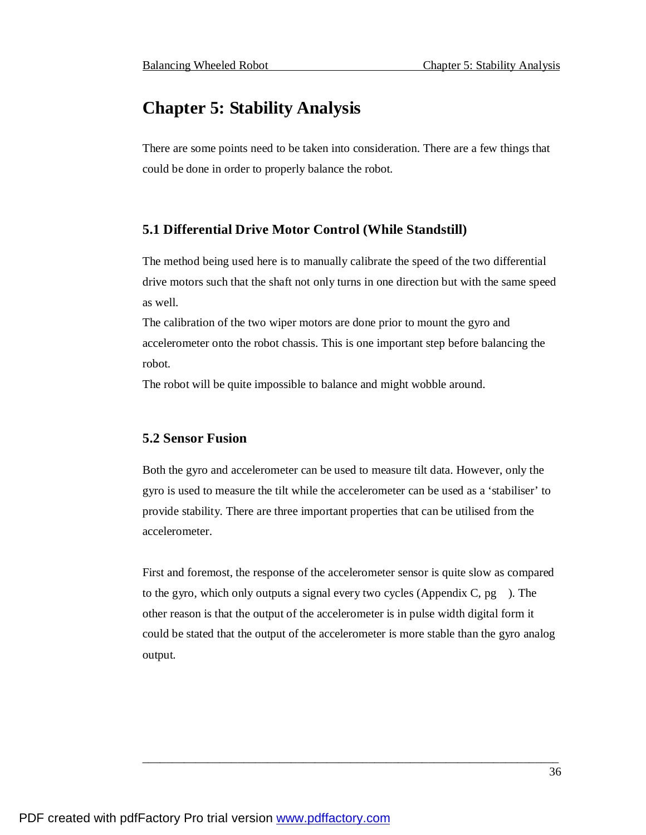# **Chapter 5: Stability Analysis**

There are some points need to be taken into consideration. There are a few things that could be done in order to properly balance the robot.

## **5.1 Differential Drive Motor Control (While Standstill)**

The method being used here is to manually calibrate the speed of the two differential drive motors such that the shaft not only turns in one direction but with the same speed as well.

The calibration of the two wiper motors are done prior to mount the gyro and accelerometer onto the robot chassis. This is one important step before balancing the robot.

The robot will be quite impossible to balance and might wobble around.

### **5.2 Sensor Fusion**

Both the gyro and accelerometer can be used to measure tilt data. However, only the gyro is used to measure the tilt while the accelerometer can be used as a 'stabiliser' to provide stability. There are three important properties that can be utilised from the accelerometer.

First and foremost, the response of the accelerometer sensor is quite slow as compared to the gyro, which only outputs a signal every two cycles (Appendix C, pg ). The other reason is that the output of the accelerometer is in pulse width digital form it could be stated that the output of the accelerometer is more stable than the gyro analog output.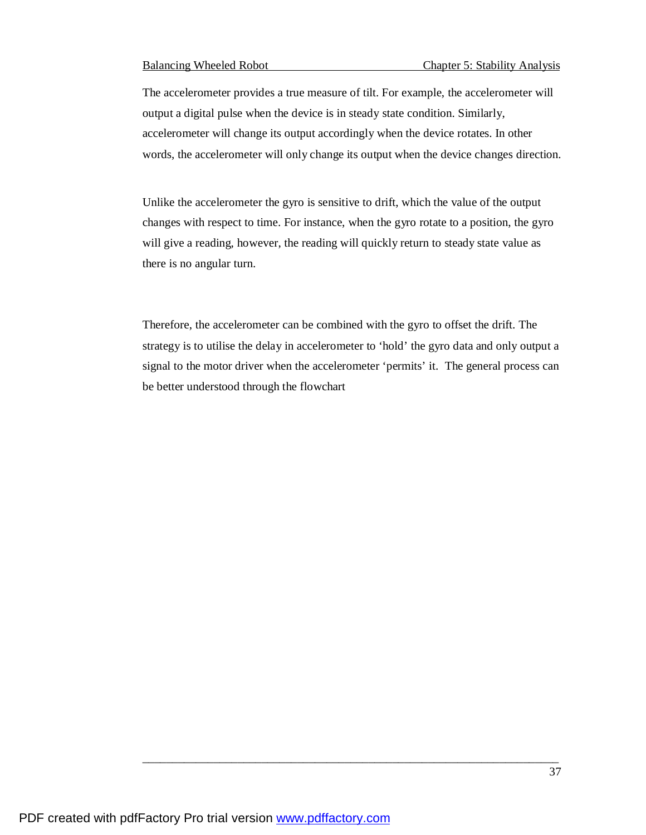The accelerometer provides a true measure of tilt. For example, the accelerometer will output a digital pulse when the device is in steady state condition. Similarly, accelerometer will change its output accordingly when the device rotates. In other words, the accelerometer will only change its output when the device changes direction.

Unlike the accelerometer the gyro is sensitive to drift, which the value of the output changes with respect to time. For instance, when the gyro rotate to a position, the gyro will give a reading, however, the reading will quickly return to steady state value as there is no angular turn.

Therefore, the accelerometer can be combined with the gyro to offset the drift. The strategy is to utilise the delay in accelerometer to 'hold' the gyro data and only output a signal to the motor driver when the accelerometer 'permits' it. The general process can be better understood through the flowchart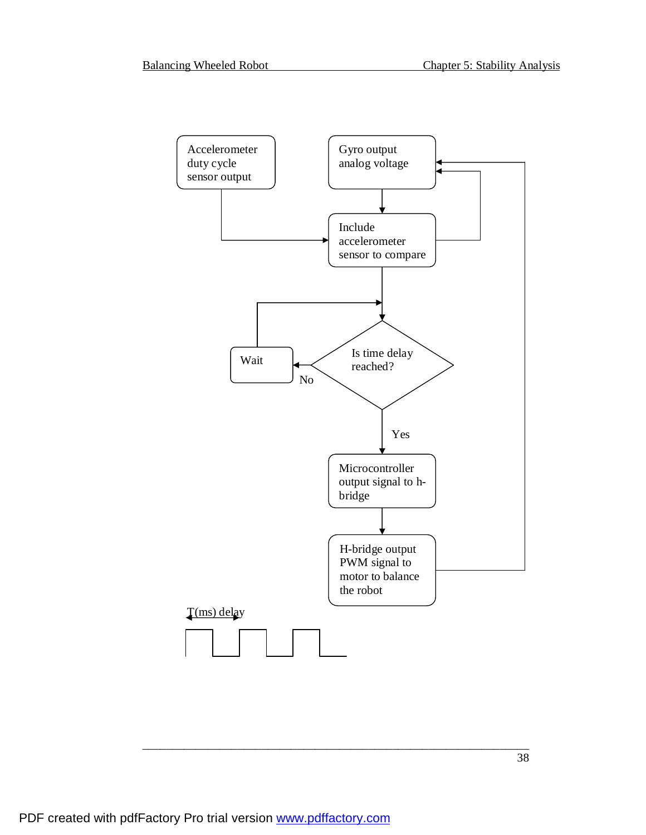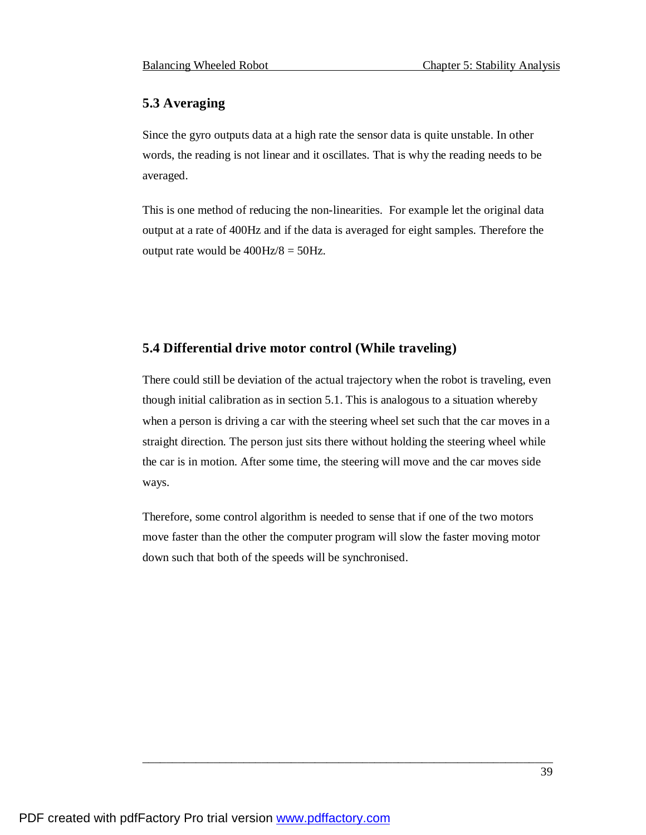# **5.3 Averaging**

Since the gyro outputs data at a high rate the sensor data is quite unstable. In other words, the reading is not linear and it oscillates. That is why the reading needs to be averaged.

This is one method of reducing the non-linearities. For example let the original data output at a rate of 400Hz and if the data is averaged for eight samples. Therefore the output rate would be  $400\text{Hz}/8 = 50\text{Hz}$ .

# **5.4 Differential drive motor control (While traveling)**

There could still be deviation of the actual trajectory when the robot is traveling, even though initial calibration as in section 5.1. This is analogous to a situation whereby when a person is driving a car with the steering wheel set such that the car moves in a straight direction. The person just sits there without holding the steering wheel while the car is in motion. After some time, the steering will move and the car moves side ways.

Therefore, some control algorithm is needed to sense that if one of the two motors move faster than the other the computer program will slow the faster moving motor down such that both of the speeds will be synchronised.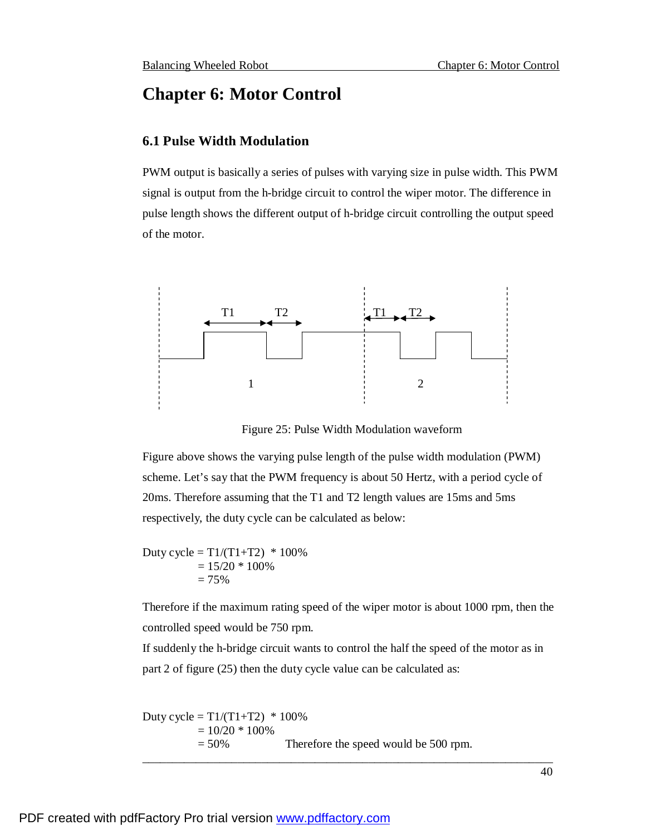# **Chapter 6: Motor Control**

### **6.1 Pulse Width Modulation**

PWM output is basically a series of pulses with varying size in pulse width. This PWM signal is output from the h-bridge circuit to control the wiper motor. The difference in pulse length shows the different output of h-bridge circuit controlling the output speed of the motor.



Figure 25: Pulse Width Modulation waveform

Figure above shows the varying pulse length of the pulse width modulation (PWM) scheme. Let's say that the PWM frequency is about 50 Hertz, with a period cycle of 20ms. Therefore assuming that the T1 and T2 length values are 15ms and 5ms respectively, the duty cycle can be calculated as below:

Duty cycle =  $T1/(T1+T2)$  \* 100%  $= 15/20 * 100\%$  $= 75%$ 

Therefore if the maximum rating speed of the wiper motor is about 1000 rpm, then the controlled speed would be 750 rpm.

If suddenly the h-bridge circuit wants to control the half the speed of the motor as in part 2 of figure (25) then the duty cycle value can be calculated as:

\_\_\_\_\_\_\_\_\_\_\_\_\_\_\_\_\_\_\_\_\_\_\_\_\_\_\_\_\_\_\_\_\_\_\_\_\_\_\_\_\_\_\_\_\_\_\_\_\_\_\_\_\_\_\_\_\_\_\_\_\_\_\_\_\_\_\_\_\_ Duty cycle =  $T1/(T1+T2)$  \* 100%  $= 10/20 * 100%$  $= 50\%$  Therefore the speed would be 500 rpm.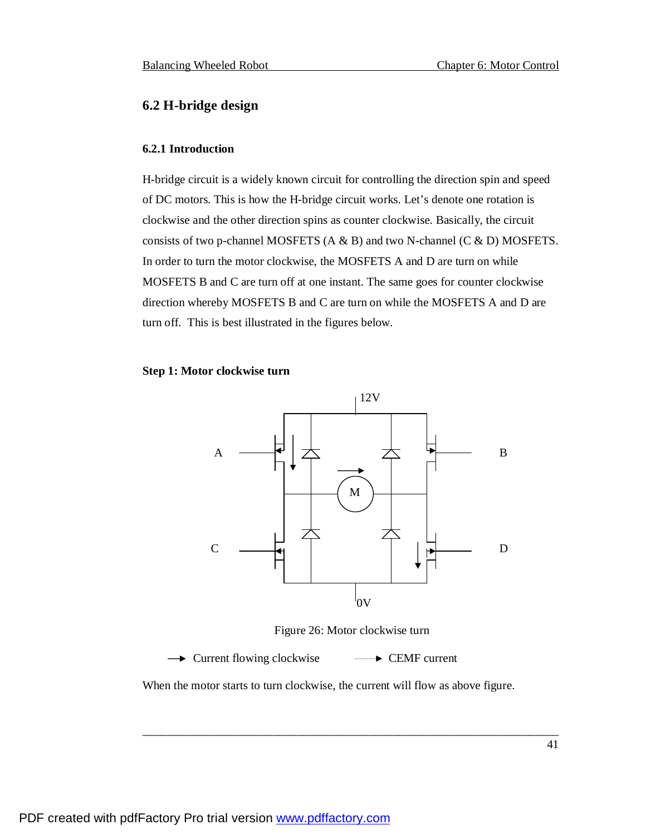## **6.2 H-bridge design**

#### **6.2.1 Introduction**

H-bridge circuit is a widely known circuit for controlling the direction spin and speed of DC motors. This is how the H-bridge circuit works. Let's denote one rotation is clockwise and the other direction spins as counter clockwise. Basically, the circuit consists of two p-channel MOSFETS  $(A \& B)$  and two N-channel  $(C \& D)$  MOSFETS. In order to turn the motor clockwise, the MOSFETS A and D are turn on while MOSFETS B and C are turn off at one instant. The same goes for counter clockwise direction whereby MOSFETS B and C are turn on while the MOSFETS A and D are turn off. This is best illustrated in the figures below.

#### **Step 1: Motor clockwise turn**



Figure 26: Motor clockwise turn

\_\_\_\_\_\_\_\_\_\_\_\_\_\_\_\_\_\_\_\_\_\_\_\_\_\_\_\_\_\_\_\_\_\_\_\_\_\_\_\_\_\_\_\_\_\_\_\_\_\_\_\_\_\_\_\_\_\_\_\_\_\_\_\_\_\_\_\_\_\_

→ Current flowing clockwise EMF current

When the motor starts to turn clockwise, the current will flow as above figure.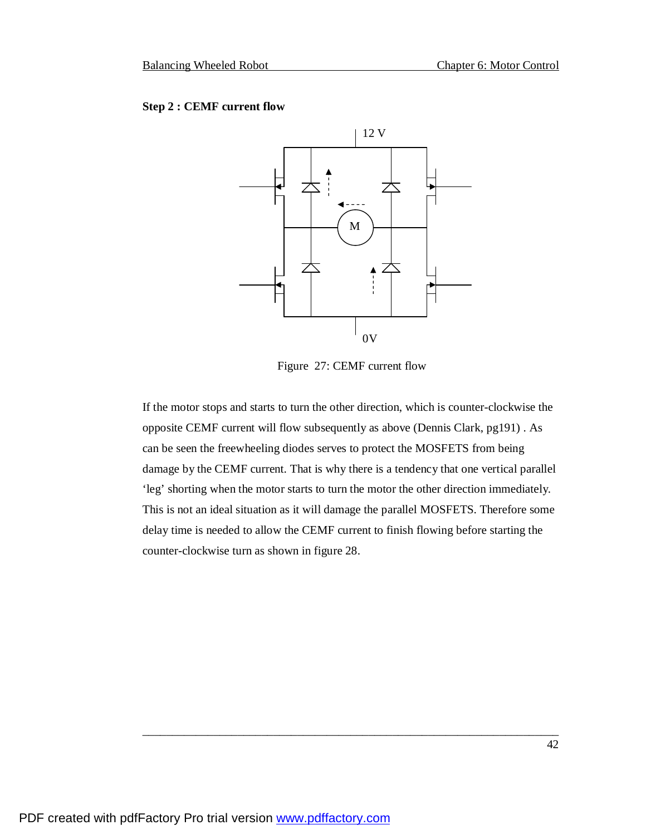# **Step 2 : CEMF current flow**



Figure 27: CEMF current flow

If the motor stops and starts to turn the other direction, which is counter-clockwise the opposite CEMF current will flow subsequently as above (Dennis Clark, pg191) . As can be seen the freewheeling diodes serves to protect the MOSFETS from being damage by the CEMF current. That is why there is a tendency that one vertical parallel 'leg' shorting when the motor starts to turn the motor the other direction immediately. This is not an ideal situation as it will damage the parallel MOSFETS. Therefore some delay time is needed to allow the CEMF current to finish flowing before starting the counter-clockwise turn as shown in figure 28.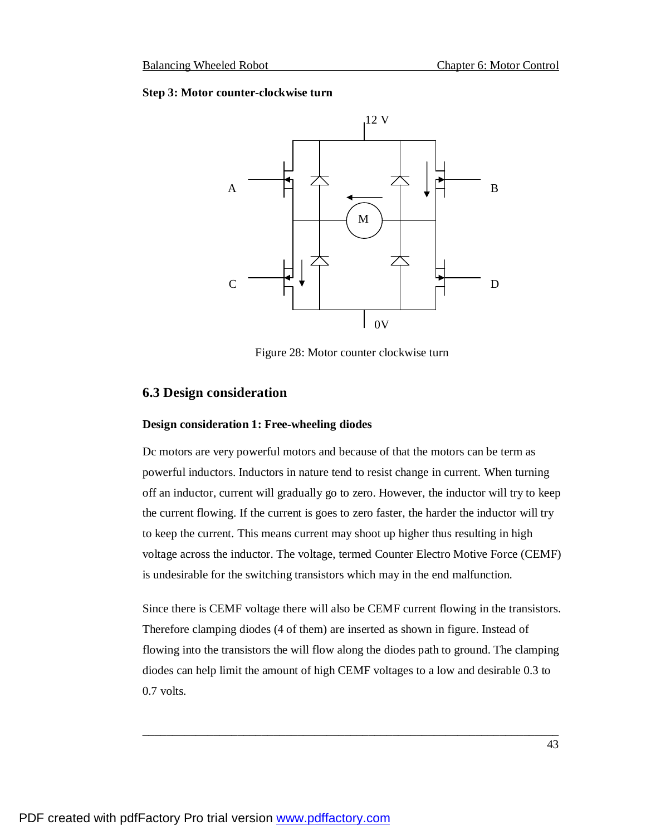### **Step 3: Motor counter-clockwise turn**



Figure 28: Motor counter clockwise turn

# **6.3 Design consideration**

### **Design consideration 1: Free-wheeling diodes**

Dc motors are very powerful motors and because of that the motors can be term as powerful inductors. Inductors in nature tend to resist change in current. When turning off an inductor, current will gradually go to zero. However, the inductor will try to keep the current flowing. If the current is goes to zero faster, the harder the inductor will try to keep the current. This means current may shoot up higher thus resulting in high voltage across the inductor. The voltage, termed Counter Electro Motive Force (CEMF) is undesirable for the switching transistors which may in the end malfunction.

Since there is CEMF voltage there will also be CEMF current flowing in the transistors. Therefore clamping diodes (4 of them) are inserted as shown in figure. Instead of flowing into the transistors the will flow along the diodes path to ground. The clamping diodes can help limit the amount of high CEMF voltages to a low and desirable 0.3 to 0.7 volts.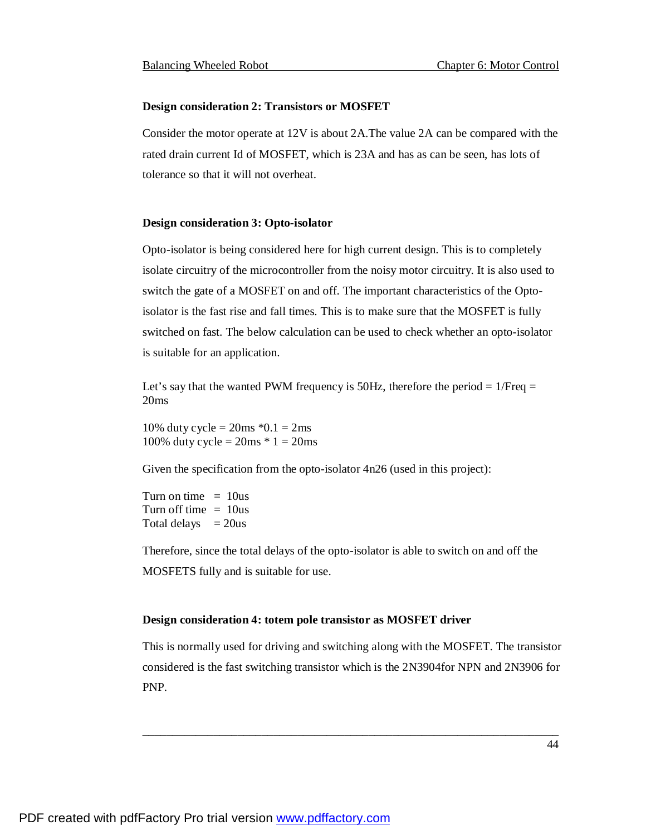#### **Design consideration 2: Transistors or MOSFET**

Consider the motor operate at 12V is about 2A.The value 2A can be compared with the rated drain current Id of MOSFET, which is 23A and has as can be seen, has lots of tolerance so that it will not overheat.

#### **Design consideration 3: Opto-isolator**

Opto-isolator is being considered here for high current design. This is to completely isolate circuitry of the microcontroller from the noisy motor circuitry. It is also used to switch the gate of a MOSFET on and off. The important characteristics of the Optoisolator is the fast rise and fall times. This is to make sure that the MOSFET is fully switched on fast. The below calculation can be used to check whether an opto-isolator is suitable for an application.

Let's say that the wanted PWM frequency is 50Hz, therefore the period  $= 1/Freq =$ 20ms

10% duty cycle =  $20 \text{ms} *0.1 = 2 \text{ms}$ 100% duty cycle =  $20ms * 1 = 20ms$ 

Given the specification from the opto-isolator  $4n26$  (used in this project):

Turn on time  $= 10$ us Turn off time  $= 10$ us Total delays  $= 20us$ 

Therefore, since the total delays of the opto-isolator is able to switch on and off the MOSFETS fully and is suitable for use.

#### **Design consideration 4: totem pole transistor as MOSFET driver**

This is normally used for driving and switching along with the MOSFET. The transistor considered is the fast switching transistor which is the 2N3904for NPN and 2N3906 for PNP.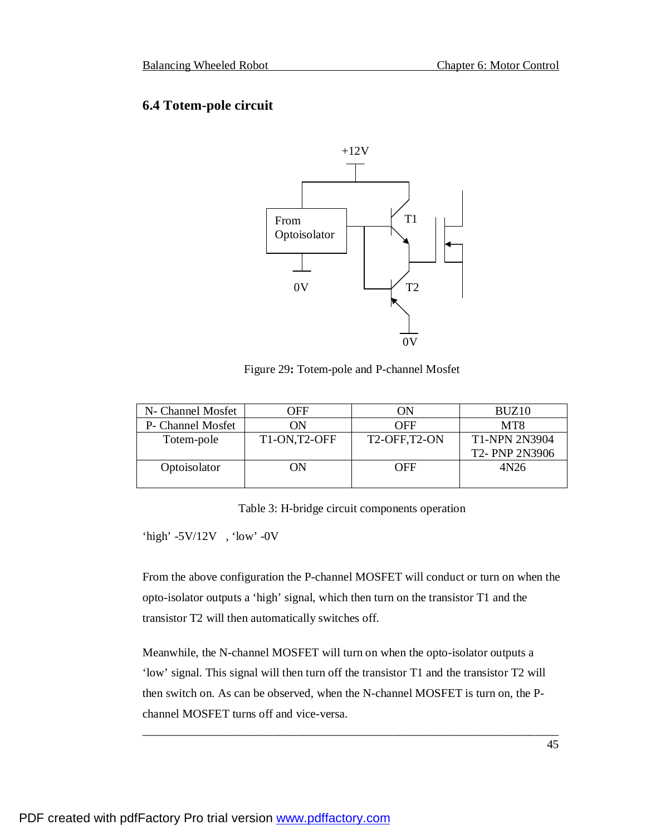# **6.4 Totem-pole circuit**



Figure 29**:** Totem-pole and P-channel Mosfet

| N- Channel Mosfet | OFF          | ЭN           | BUZ <sub>10</sub>           |
|-------------------|--------------|--------------|-----------------------------|
| P- Channel Mosfet | W            | OFF          | MT8                         |
| Totem-pole        | T1-ON,T2-OFF | T2-OFF,T2-ON | <b>T1-NPN 2N3904</b>        |
|                   |              |              | T <sub>2</sub> - PNP 2N3906 |
| Optoisolator      | ЭN           | OFF          | 4N <sub>26</sub>            |
|                   |              |              |                             |

Table 3: H-bridge circuit components operation

'high' -5V/12V , 'low' -0V

From the above configuration the P-channel MOSFET will conduct or turn on when the opto-isolator outputs a 'high' signal, which then turn on the transistor T1 and the transistor T2 will then automatically switches off.

Meanwhile, the N-channel MOSFET will turn on when the opto-isolator outputs a 'low' signal. This signal will then turn off the transistor T1 and the transistor T2 will then switch on. As can be observed, when the N-channel MOSFET is turn on, the Pchannel MOSFET turns off and vice-versa.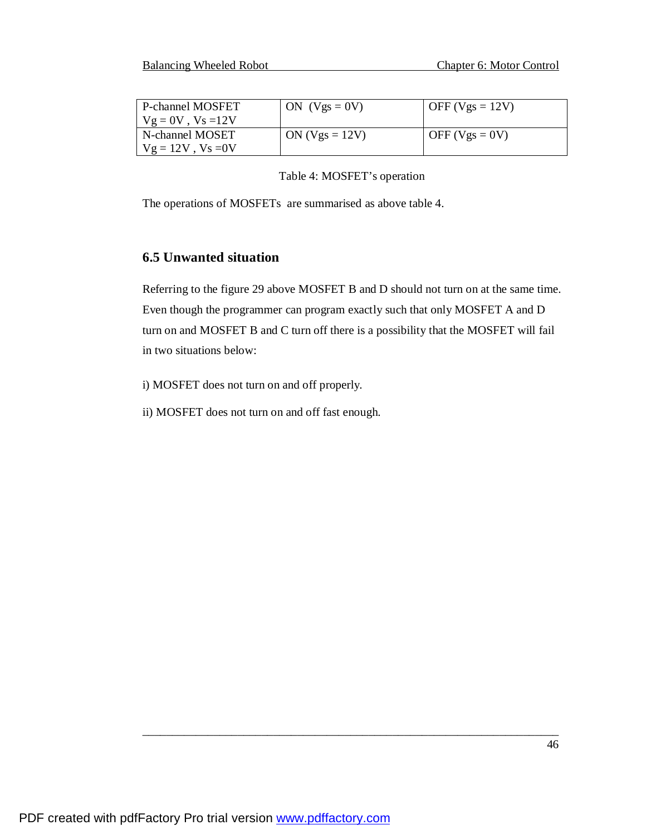| P-channel MOSFET<br>$Vg = 0V$ , $Vs = 12V$ | ON $(Vgs = 0V)$  | OFF ( $Vgs = 12V$ ) |
|--------------------------------------------|------------------|---------------------|
| N-channel MOSET<br>$Vg = 12V$ , $Vs = 0V$  | ON $(Vgs = 12V)$ | OFF ( $Vgs = 0V$ )  |

#### Table 4: MOSFET's operation

The operations of MOSFETs are summarised as above table 4.

# **6.5 Unwanted situation**

Referring to the figure 29 above MOSFET B and D should not turn on at the same time. Even though the programmer can program exactly such that only MOSFET A and D turn on and MOSFET B and C turn off there is a possibility that the MOSFET will fail in two situations below:

\_\_\_\_\_\_\_\_\_\_\_\_\_\_\_\_\_\_\_\_\_\_\_\_\_\_\_\_\_\_\_\_\_\_\_\_\_\_\_\_\_\_\_\_\_\_\_\_\_\_\_\_\_\_\_\_\_\_\_\_\_\_\_\_\_\_\_\_\_\_

i) MOSFET does not turn on and off properly.

ii) MOSFET does not turn on and off fast enough.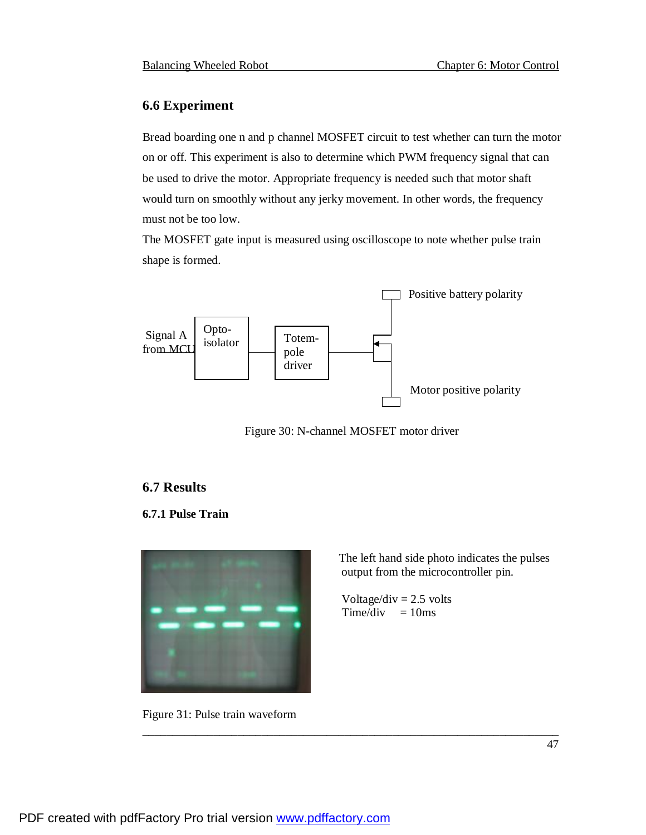## **6.6 Experiment**

Bread boarding one n and p channel MOSFET circuit to test whether can turn the motor on or off. This experiment is also to determine which PWM frequency signal that can be used to drive the motor. Appropriate frequency is needed such that motor shaft would turn on smoothly without any jerky movement. In other words, the frequency must not be too low.

The MOSFET gate input is measured using oscilloscope to note whether pulse train shape is formed.



Figure 30: N-channel MOSFET motor driver

\_\_\_\_\_\_\_\_\_\_\_\_\_\_\_\_\_\_\_\_\_\_\_\_\_\_\_\_\_\_\_\_\_\_\_\_\_\_\_\_\_\_\_\_\_\_\_\_\_\_\_\_\_\_\_\_\_\_\_\_\_\_\_\_\_\_\_\_\_\_

# **6.7 Results**

### **6.7.1 Pulse Train**



Figure 31: Pulse train waveform

 The left hand side photo indicates the pulses output from the microcontroller pin.

Voltage/div  $= 2.5$  volts  $Time/div = 10$ ms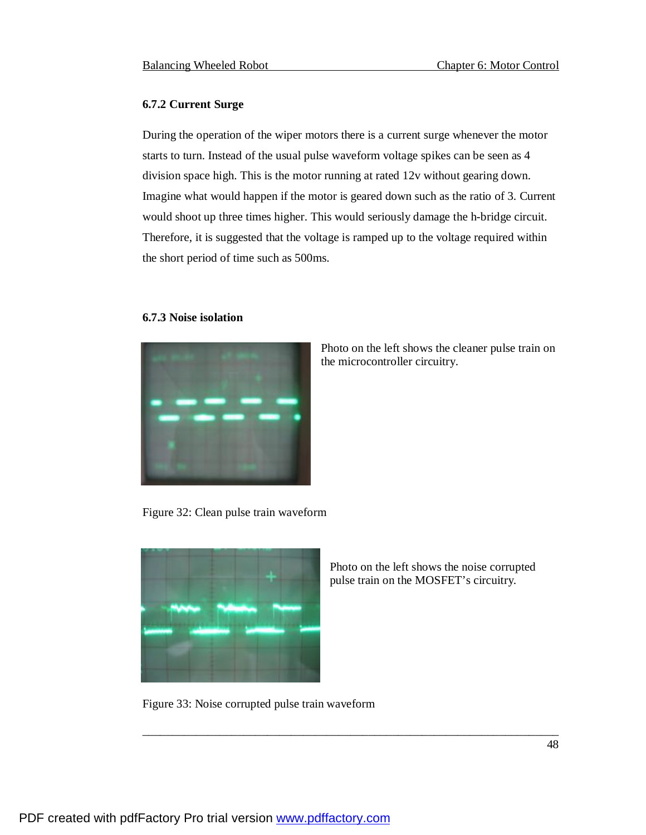### **6.7.2 Current Surge**

During the operation of the wiper motors there is a current surge whenever the motor starts to turn. Instead of the usual pulse waveform voltage spikes can be seen as 4 division space high. This is the motor running at rated 12v without gearing down. Imagine what would happen if the motor is geared down such as the ratio of 3. Current would shoot up three times higher. This would seriously damage the h-bridge circuit. Therefore, it is suggested that the voltage is ramped up to the voltage required within the short period of time such as 500ms.

#### **6.7.3 Noise isolation**



Photo on the left shows the cleaner pulse train on the microcontroller circuitry.

Figure 32: Clean pulse train waveform



Photo on the left shows the noise corrupted pulse train on the MOSFET's circuitry.

Figure 33: Noise corrupted pulse train waveform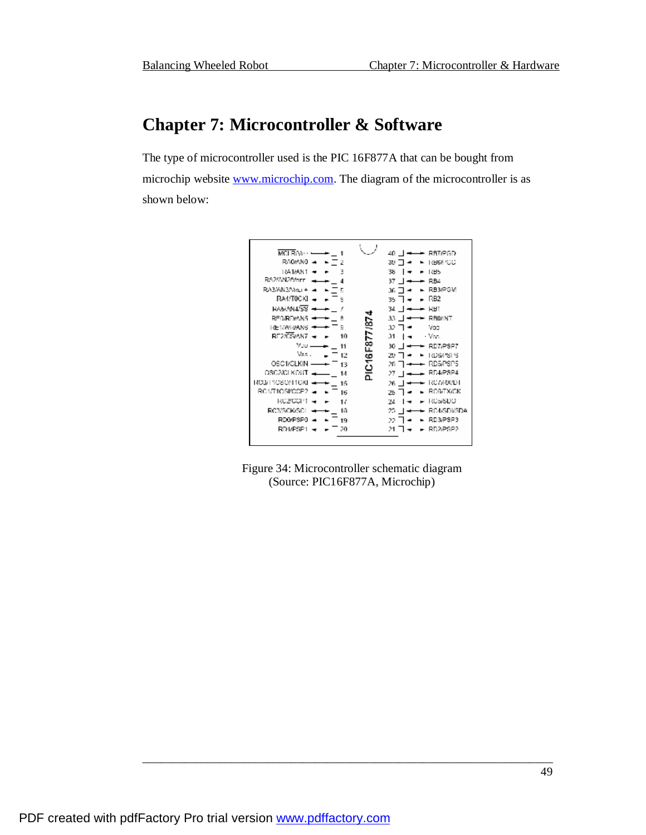# **Chapter 7: Microcontroller & Software**

The type of microcontroller used is the PIC 16F877A that can be bought from microchip website [www.microchip.com](http://www.microchip.com). The diagram of the microcontroller is as shown below:

|  |  | <b>MCLR/Vin-</b><br>RAOVANO<br>L(A1/AN1<br>3<br>RA2/AN2Warr<br>RA3/AN3/Macr+<br>RA4/T0CKI<br><b>EASAN4/SS</b><br><b>REQ/REVANS</b><br><b>RE1/WRANG</b><br>BE2/CS/AN7<br>10<br>Muu<br>11<br>Vss.<br>12<br>OSC1/CLKIN<br>13<br>OSC2/CLKOUT<br>14<br>ROBIT 1080/11 CKI<br>15<br>RC1/T1OSI/CCP2<br>16<br>RCZ/CGP1<br>17<br><b>RCMSCK/SCL</b><br>10<br><b>RDO/PSP0</b><br>19<br><b>RD1/PSP1</b><br>20 | 4<br>PIC16F877/87 | RB7/PGD<br>۰<br>381.<br><b>RHAN CO</b><br>1355<br>38<br>37<br>RB4<br>RB3/PGM<br>M.<br>RB <sub>2</sub><br>чs.<br>RB1<br>34<br>RBMNT<br>33<br>32<br>Voo<br>31<br>- Van<br>30<br>RD7/PSP7<br>29<br>RU64 SP6<br>RDS/PSP5<br>20<br>RD4/PSP4<br>27<br>1827/1881D1<br>26<br><b>RCG/TX/CK</b><br>25<br>Rusysdu<br>24<br>RC4/SDI/SDA<br>23<br>RD3/PSP3<br>$\mathcal{P}$<br>RD2/PSP2<br>21 |
|--|--|--------------------------------------------------------------------------------------------------------------------------------------------------------------------------------------------------------------------------------------------------------------------------------------------------------------------------------------------------------------------------------------------------|-------------------|----------------------------------------------------------------------------------------------------------------------------------------------------------------------------------------------------------------------------------------------------------------------------------------------------------------------------------------------------------------------------------|
|--|--|--------------------------------------------------------------------------------------------------------------------------------------------------------------------------------------------------------------------------------------------------------------------------------------------------------------------------------------------------------------------------------------------------|-------------------|----------------------------------------------------------------------------------------------------------------------------------------------------------------------------------------------------------------------------------------------------------------------------------------------------------------------------------------------------------------------------------|

Figure 34: Microcontroller schematic diagram (Source: PIC16F877A, Microchip)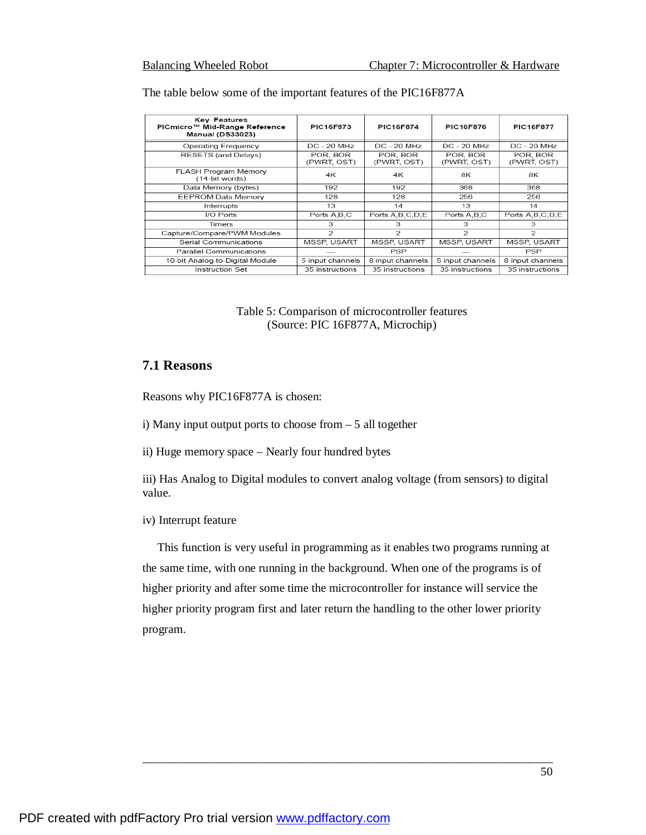**MSSP, USART** 

5 input channels

35 instructions

**MSSP, USART** 

PSP

8 input channels

35 instructions

| <b>Key Features</b><br>PICmicro™ Mid-Range Reference<br><b>Manual (DS33023)</b> | <b>PIC16F873</b>        | <b>PIC16F874</b>        | <b>PIC16F876</b>        | <b>PIC16F877</b>        |
|---------------------------------------------------------------------------------|-------------------------|-------------------------|-------------------------|-------------------------|
| Operating Frequency                                                             | $DC - 20 MHz$           | $DC - 20 MHz$           | $DC - 20 MHz$           | $DC - 20 MHz$           |
| RESETS (and Delays)                                                             | POR, BOR<br>(PWRT, OST) | POR, BOR<br>(PWRT, OST) | POR, BOR<br>(PWRT, OST) | POR, BOR<br>(PWRT, OST) |
| FLASH Program Memory<br>(14-bit words)                                          | 4K                      | 4K                      | 8K                      | 8Κ                      |
| Data Memory (bytes)                                                             | 192                     | 192                     | 368                     | 368                     |
| EEPROM Data Memory                                                              | 128                     | 128                     | 256                     | 256                     |
| Interrupts                                                                      | 13                      | 14                      | 13                      | 14                      |
| I/O Ports                                                                       | Ports A,B,C             | Ports A.B.C.D.E         | Ports A.B.C             | Ports A, B, C, D, E     |
| <b>Timers</b>                                                                   | 3                       | 3                       | 3                       | з                       |
| Capture/Compare/PWM Modules                                                     | 2                       | 2                       | 2                       | 2                       |

**MSSP, USART** 

5 input channels

35 instructions

The table below some of the important features of the PIC16F877A

Table 5: Comparison of microcontroller features (Source: PIC 16F877A, Microchip)

**MSSP, USART** 

PSP

8 input channels

35 instructions

## **7.1 Reasons**

Reasons why PIC16F877A is chosen:

Serial Communications

**Parallel Communications** 

10-bit Analog-to-Digital Module

**Instruction Set** 

i) Many input output ports to choose from – 5 all together

ii) Huge memory space – Nearly four hundred bytes

iii) Has Analog to Digital modules to convert analog voltage (from sensors) to digital value.

iv) Interrupt feature

 This function is very useful in programming as it enables two programs running at the same time, with one running in the background. When one of the programs is of higher priority and after some time the microcontroller for instance will service the higher priority program first and later return the handling to the other lower priority program.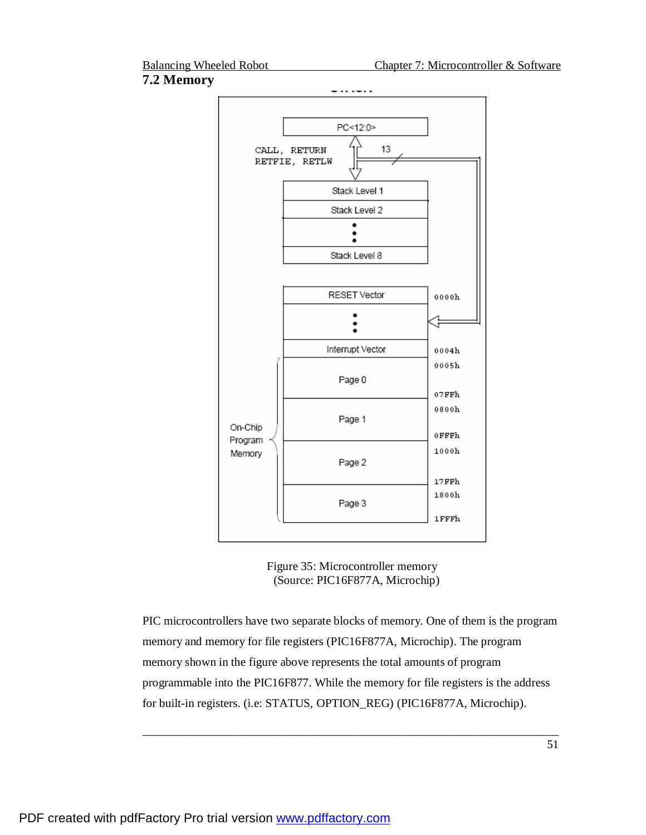# **7.2 Memory**





PIC microcontrollers have two separate blocks of memory. One of them is the program memory and memory for file registers (PIC16F877A, Microchip). The program memory shown in the figure above represents the total amounts of program programmable into the PIC16F877. While the memory for file registers is the address for built-in registers. (i.e: STATUS, OPTION\_REG) (PIC16F877A, Microchip).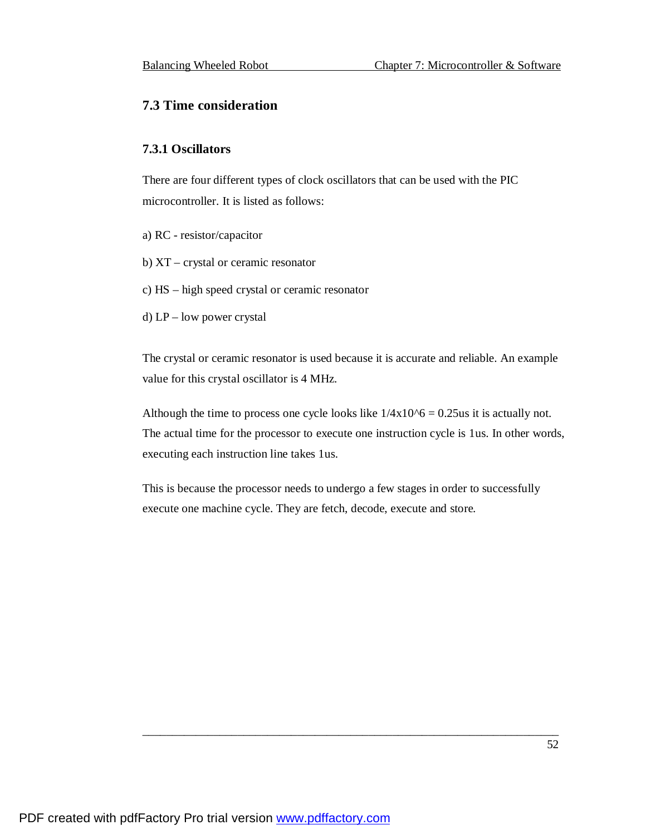# **7.3 Time consideration**

### **7.3.1 Oscillators**

There are four different types of clock oscillators that can be used with the PIC microcontroller. It is listed as follows:

- a) RC resistor/capacitor
- b) XT crystal or ceramic resonator
- c) HS high speed crystal or ceramic resonator
- d) LP low power crystal

The crystal or ceramic resonator is used because it is accurate and reliable. An example value for this crystal oscillator is 4 MHz.

Although the time to process one cycle looks like  $1/4x10^{\circ}6 = 0.25$ us it is actually not. The actual time for the processor to execute one instruction cycle is 1us. In other words, executing each instruction line takes 1us.

This is because the processor needs to undergo a few stages in order to successfully execute one machine cycle. They are fetch, decode, execute and store.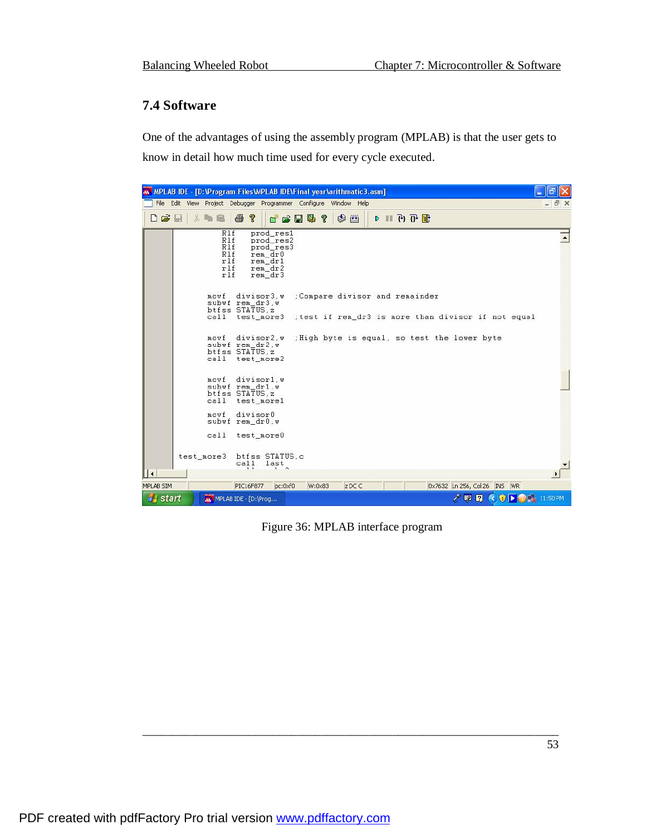# **7.4 Software**

One of the advantages of using the assembly program (MPLAB) is that the user gets to know in detail how much time used for every cycle executed.

|                                                                    | W MPLAB IDE - [D: \Program Files\MPLAB IDE\Final year\arithmatic3.asm]                                                                                                                                                                                                                                                                                                                                                                                                                  |     |
|--------------------------------------------------------------------|-----------------------------------------------------------------------------------------------------------------------------------------------------------------------------------------------------------------------------------------------------------------------------------------------------------------------------------------------------------------------------------------------------------------------------------------------------------------------------------------|-----|
|                                                                    | File Edit View Project Debugger Programmer Configure Window Help                                                                                                                                                                                                                                                                                                                                                                                                                        | F x |
| $D \ncong \blacksquare$                                            | P.<br>$\bigoplus$<br>$\mathbb{E} \left\{ 0 \right\} \left\{ 0 \right\} \mathbb{I} \left\{ 0 \right\}$<br>$\begin{picture}(150,10) \put(0,0){\line(1,0){10}} \put(15,0){\line(1,0){10}} \put(15,0){\line(1,0){10}} \put(15,0){\line(1,0){10}} \put(15,0){\line(1,0){10}} \put(15,0){\line(1,0){10}} \put(15,0){\line(1,0){10}} \put(15,0){\line(1,0){10}} \put(15,0){\line(1,0){10}} \put(15,0){\line(1,0){10}} \put(15,0){\line(1,0){10}} \put(15,0){\line($<br>$\bigotimes$ $\uparrow$ |     |
| R1f<br><b>R1f</b><br><b>R1f</b><br><b>R1f</b><br>rlf<br>rlf<br>rlf | prod resl<br>prod_res2<br>prod res3<br>rem dr0<br>rem_dr1<br>rem dr2<br>rem dr3                                                                                                                                                                                                                                                                                                                                                                                                         |     |
| movf<br>call                                                       | :Compare divisor and remainder<br>divisor3.w<br>subwf rem dr3, w<br>btfss STATUS.z<br>test more3<br>test if rem_dr3 is more than divisor if not equal                                                                                                                                                                                                                                                                                                                                   |     |
| $m \cap v$ f<br>ca11                                               | :High byte is equal, so test the lower byte<br>divisor2.w<br>subwf rem dr2, w<br>btfss STATUS.z<br>test more2                                                                                                                                                                                                                                                                                                                                                                           |     |
| movf<br>cal1                                                       | divisor1 w<br>subwf rem dr1.w<br>btfss STATUS.z<br>test morel                                                                                                                                                                                                                                                                                                                                                                                                                           |     |
| $m$ ovf<br>cal1                                                    | divisor0<br>subwf rem dr0.w<br>test_more0                                                                                                                                                                                                                                                                                                                                                                                                                                               |     |
| test_more3<br>l t                                                  | btfss STATUS.c<br>call<br>last<br>$\sqrt{2}$<br>1.1                                                                                                                                                                                                                                                                                                                                                                                                                                     |     |
| MPLAB SIM                                                          | 0x7632 Ln 256, Col 26 INS WR<br>PIC16F877<br>$pc:0\times f0$<br>W:0x83<br>ZDCC                                                                                                                                                                                                                                                                                                                                                                                                          |     |
| <b>Start</b>                                                       | $\bigcirc$ $\triangleright$ $\bigcirc$ $\bigcirc$ $\cdot$ 11:50 PM<br>MPLAB IDE - [D:\Prog<br>202                                                                                                                                                                                                                                                                                                                                                                                       |     |

Figure 36: MPLAB interface program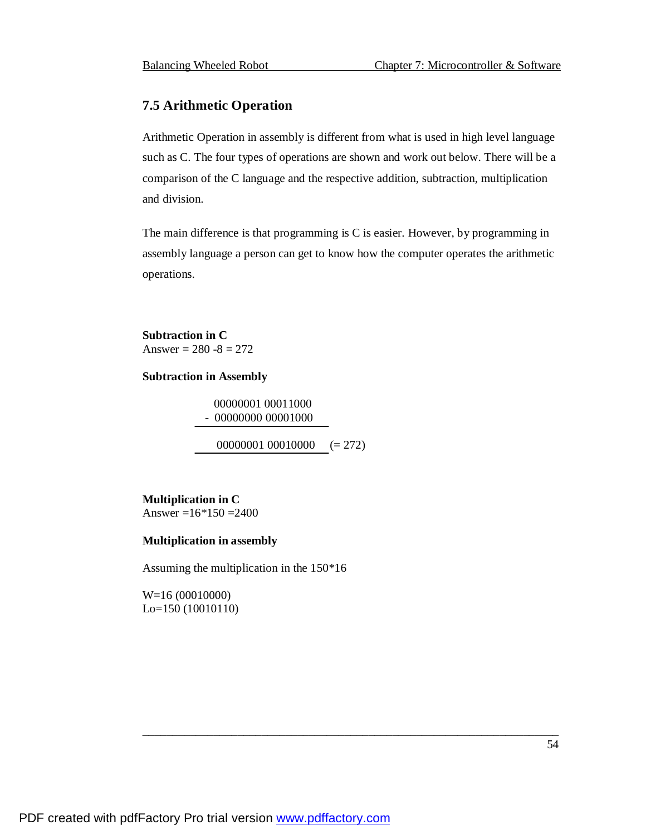# **7.5 Arithmetic Operation**

Arithmetic Operation in assembly is different from what is used in high level language such as C. The four types of operations are shown and work out below. There will be a comparison of the C language and the respective addition, subtraction, multiplication and division.

The main difference is that programming is C is easier. However, by programming in assembly language a person can get to know how the computer operates the arithmetic operations.

\_\_\_\_\_\_\_\_\_\_\_\_\_\_\_\_\_\_\_\_\_\_\_\_\_\_\_\_\_\_\_\_\_\_\_\_\_\_\_\_\_\_\_\_\_\_\_\_\_\_\_\_\_\_\_\_\_\_\_\_\_\_\_\_\_\_\_\_\_\_

**Subtraction in C**  Answer =  $280 - 8 = 272$ 

#### **Subtraction in Assembly**

00000001 00011000 - 00000000 00001000

 $00000001 00010000 = 272$ 

# **Multiplication in C**

Answer = $16*150 = 2400$ 

### **Multiplication in assembly**

Assuming the multiplication in the 150\*16

W=16 (00010000) Lo=150 (10010110)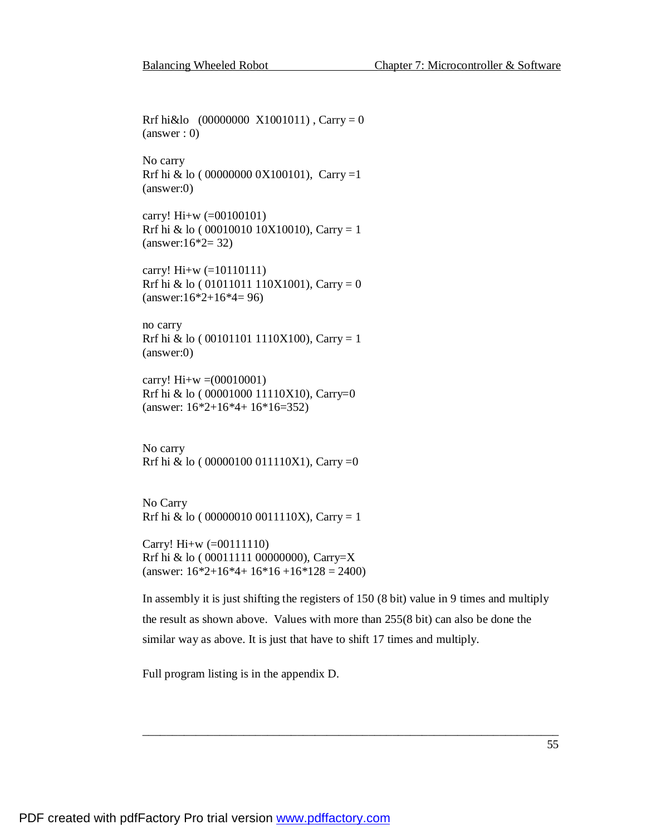```
Rrf hi&lo (00000000 X1001011), Carry = 0
(answer : 0) 
No carry 
Rrf hi & lo (00000000 0X100101), Carry =1
(answer:0) 
carry! Hi+w (=00100101) 
Rrf hi & lo (00010010 10X10010), Carry = 1
{\rm (answer:16*2=32)}carry! Hi+w (=10110111) 
Rrf hi & lo (01011011 110X1001), Carry = 0
{\rm (answer:16*2+16*4=96)}no carry 
Rrf hi & lo (00101101 1110X100), Carry = 1
(answer:0) 
carry! Hi+w = (00010001)Rrf hi & lo ( 00001000 11110X10), Carry=0 
(answer: 16*2+16*4+ 16*16=352) 
No carry 
Rrf hi & lo ( 00000100 011110X1), Carry =0 
No Carry 
Rrf hi & lo (000000100011110X), Carry = 1
Carry! Hi+w (=00111110) 
Rrf hi & lo ( 00011111 00000000), Carry=X 
{\text{(answer: } 16*2+16*4+16*16+16*128} = 2400
```
In assembly it is just shifting the registers of 150 (8 bit) value in 9 times and multiply the result as shown above. Values with more than 255(8 bit) can also be done the similar way as above. It is just that have to shift 17 times and multiply.

\_\_\_\_\_\_\_\_\_\_\_\_\_\_\_\_\_\_\_\_\_\_\_\_\_\_\_\_\_\_\_\_\_\_\_\_\_\_\_\_\_\_\_\_\_\_\_\_\_\_\_\_\_\_\_\_\_\_\_\_\_\_\_\_\_\_\_\_\_\_

Full program listing is in the appendix D.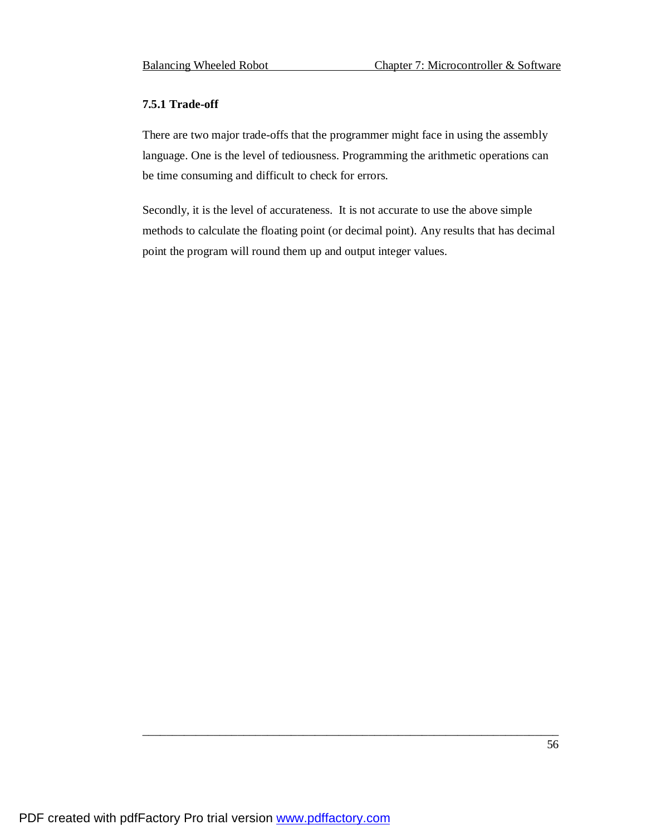### **7.5.1 Trade-off**

There are two major trade-offs that the programmer might face in using the assembly language. One is the level of tediousness. Programming the arithmetic operations can be time consuming and difficult to check for errors.

Secondly, it is the level of accurateness. It is not accurate to use the above simple methods to calculate the floating point (or decimal point). Any results that has decimal point the program will round them up and output integer values.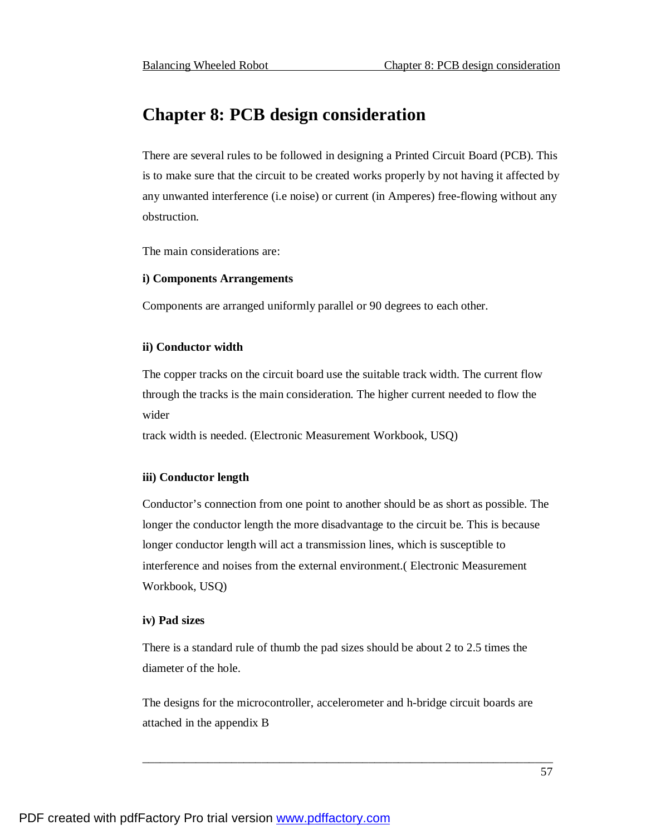# **Chapter 8: PCB design consideration**

There are several rules to be followed in designing a Printed Circuit Board (PCB). This is to make sure that the circuit to be created works properly by not having it affected by any unwanted interference (i.e noise) or current (in Amperes) free-flowing without any obstruction.

The main considerations are:

#### **i) Components Arrangements**

Components are arranged uniformly parallel or 90 degrees to each other.

#### **ii) Conductor width**

The copper tracks on the circuit board use the suitable track width. The current flow through the tracks is the main consideration. The higher current needed to flow the wider

track width is needed. (Electronic Measurement Workbook, USQ)

#### **iii) Conductor length**

Conductor's connection from one point to another should be as short as possible. The longer the conductor length the more disadvantage to the circuit be. This is because longer conductor length will act a transmission lines, which is susceptible to interference and noises from the external environment.( Electronic Measurement Workbook, USQ)

#### **iv) Pad sizes**

There is a standard rule of thumb the pad sizes should be about 2 to 2.5 times the diameter of the hole.

The designs for the microcontroller, accelerometer and h-bridge circuit boards are attached in the appendix B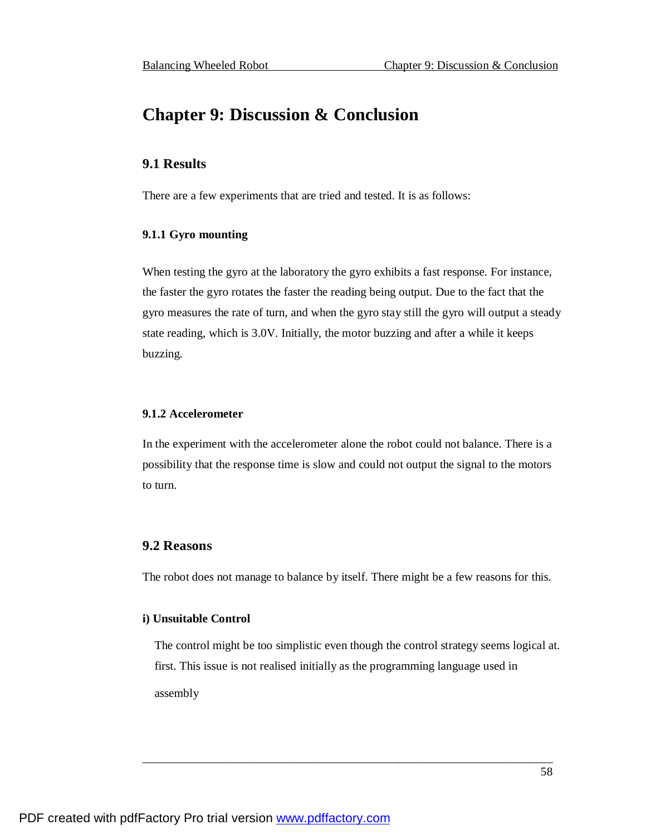# **Chapter 9: Discussion & Conclusion**

## **9.1 Results**

There are a few experiments that are tried and tested. It is as follows:

### **9.1.1 Gyro mounting**

When testing the gyro at the laboratory the gyro exhibits a fast response. For instance, the faster the gyro rotates the faster the reading being output. Due to the fact that the gyro measures the rate of turn, and when the gyro stay still the gyro will output a steady state reading, which is 3.0V. Initially, the motor buzzing and after a while it keeps buzzing.

### **9.1.2 Accelerometer**

In the experiment with the accelerometer alone the robot could not balance. There is a possibility that the response time is slow and could not output the signal to the motors to turn.

### **9.2 Reasons**

The robot does not manage to balance by itself. There might be a few reasons for this.

#### **i) Unsuitable Control**

The control might be too simplistic even though the control strategy seems logical at. first. This issue is not realised initially as the programming language used in assembly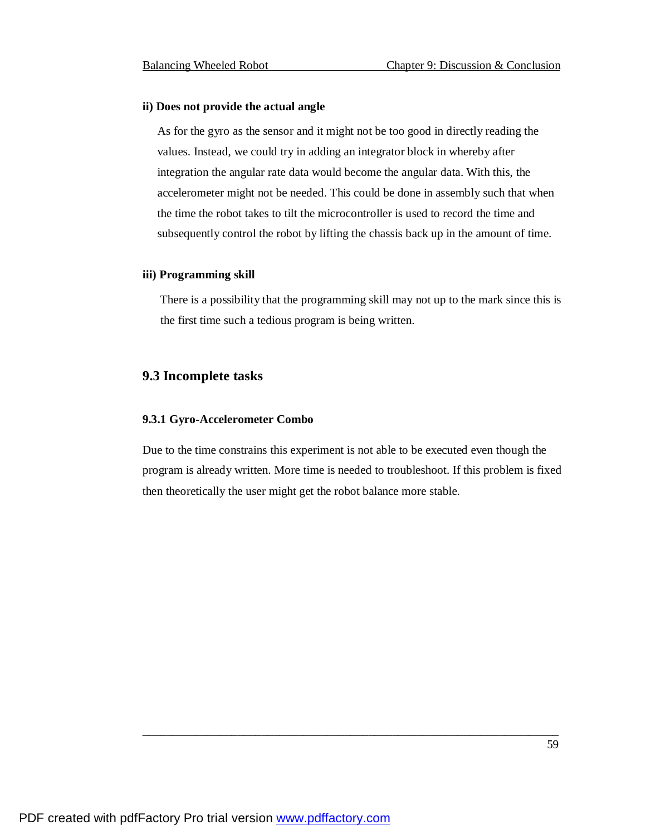#### **ii) Does not provide the actual angle**

 As for the gyro as the sensor and it might not be too good in directly reading the values. Instead, we could try in adding an integrator block in whereby after integration the angular rate data would become the angular data. With this, the accelerometer might not be needed. This could be done in assembly such that when the time the robot takes to tilt the microcontroller is used to record the time and subsequently control the robot by lifting the chassis back up in the amount of time.

#### **iii) Programming skill**

 There is a possibility that the programming skill may not up to the mark since this is the first time such a tedious program is being written.

#### **9.3 Incomplete tasks**

#### **9.3.1 Gyro-Accelerometer Combo**

Due to the time constrains this experiment is not able to be executed even though the program is already written. More time is needed to troubleshoot. If this problem is fixed then theoretically the user might get the robot balance more stable.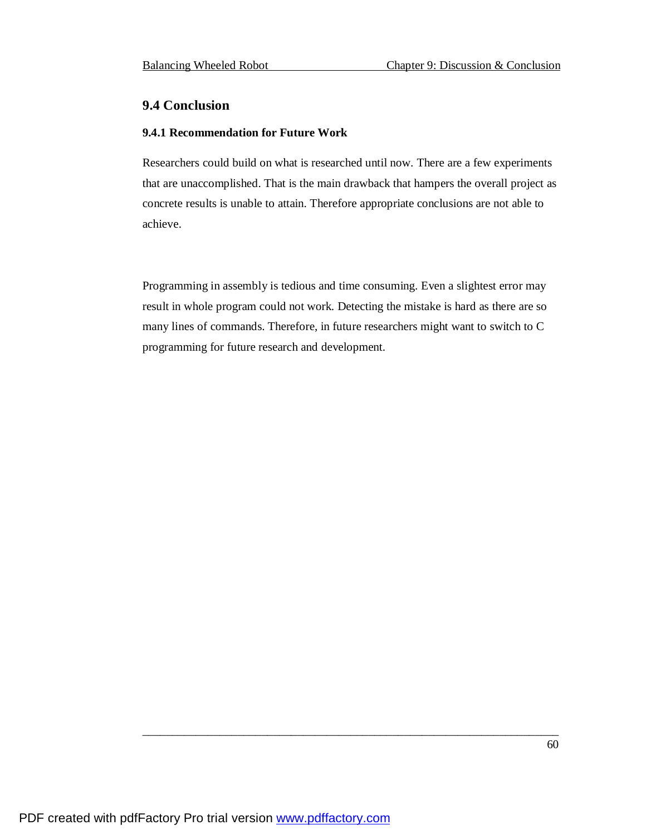# **9.4 Conclusion**

#### **9.4.1 Recommendation for Future Work**

Researchers could build on what is researched until now. There are a few experiments that are unaccomplished. That is the main drawback that hampers the overall project as concrete results is unable to attain. Therefore appropriate conclusions are not able to achieve.

Programming in assembly is tedious and time consuming. Even a slightest error may result in whole program could not work. Detecting the mistake is hard as there are so many lines of commands. Therefore, in future researchers might want to switch to C programming for future research and development.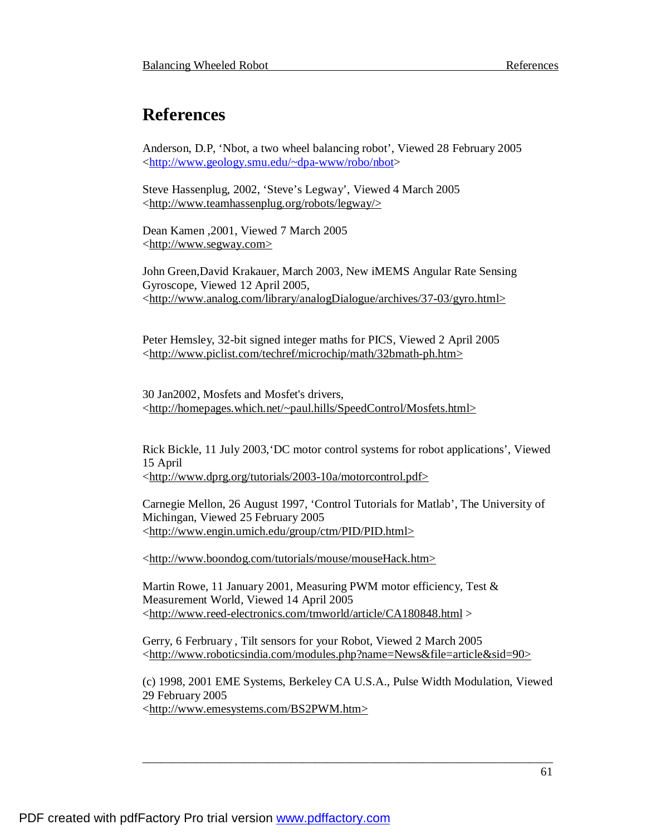# **References**

Anderson, D.P, 'Nbot, a two wheel balancing robot', Viewed 28 February 2005 <<http://www.geology.smu.edu/~dpa-www/robo/nbot>>

Steve Hassenplug, 2002, 'Steve's Legway', Viewed 4 March 2005 <<http://www.teamhassenplug.org/robots/legway/>>

Dean Kamen ,2001, Viewed 7 March 2005 <<http://www.segway.com>>

John Green,David Krakauer, March 2003, New iMEMS Angular Rate Sensing Gyroscope, Viewed 12 April 2005, <<http://www.analog.com/library/analogDialogue/archives/37-03/gyro.html>>

Peter Hemsley, 32-bit signed integer maths for PICS, Viewed 2 April 2005 <<http://www.piclist.com/techref/microchip/math/32bmath-ph.htm>>

30 Jan2002, Mosfets and Mosfet's drivers, <<http://homepages.which.net/~paul.hills/SpeedControl/Mosfets.html>>

Rick Bickle, 11 July 2003,'DC motor control systems for robot applications', Viewed 15 April

<<http://www.dprg.org/tutorials/2003-10a/motorcontrol.pdf>>

Carnegie Mellon, 26 August 1997, 'Control Tutorials for Matlab', The University of Michingan, Viewed 25 February 2005 <<http://www.engin.umich.edu/group/ctm/PID/PID.html>>

<<http://www.boondog.com/tutorials/mouse/mouseHack.htm>>

Martin Rowe, 11 January 2001, Measuring PWM motor efficiency, Test & Measurement World, Viewed 14 April 2005 <<http://www.reed-electronics.com/tmworld/article/CA180848.html> >

Gerry, 6 Ferbruary , Tilt sensors for your Robot, Viewed 2 March 2005 <<http://www.roboticsindia.com/modules.php?name=News&file=article&sid=90>>

(c) 1998, 2001 EME Systems, Berkeley CA U.S.A., Pulse Width Modulation, Viewed 29 February 2005 <<http://www.emesystems.com/BS2PWM.htm>>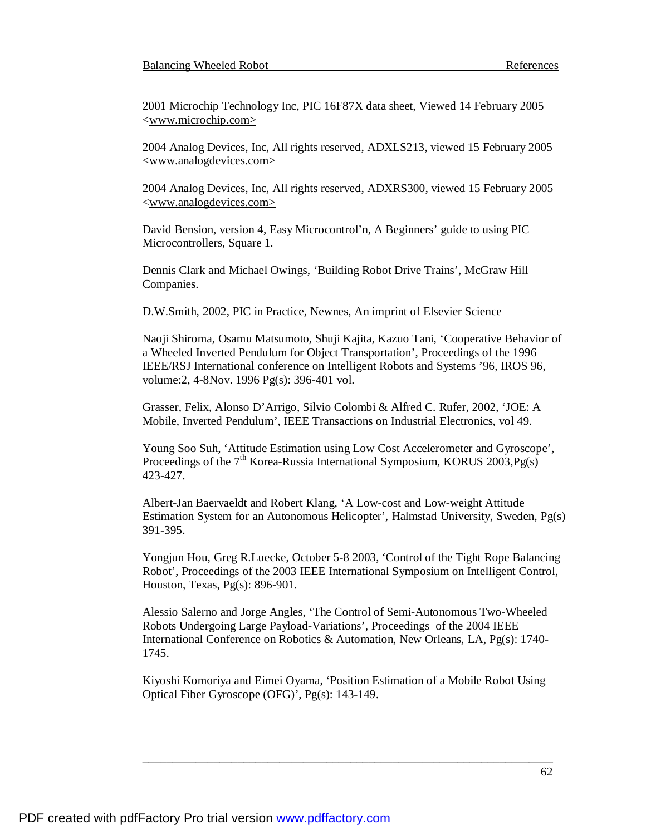2001 Microchip Technology Inc, PIC 16F87X data sheet, Viewed 14 February 2005 <[www.microchip.com>](http://www.microchip.com>)

2004 Analog Devices, Inc, All rights reserved, ADXLS213, viewed 15 February 2005 <[www.analogdevices.com>](http://www.analogdevices.com>)

2004 Analog Devices, Inc, All rights reserved, ADXRS300, viewed 15 February 2005 <[www.analogdevices.com>](http://www.analogdevices.com>)

David Bension, version 4, Easy Microcontrol'n, A Beginners' guide to using PIC Microcontrollers, Square 1.

Dennis Clark and Michael Owings, 'Building Robot Drive Trains', McGraw Hill Companies.

D.W.Smith, 2002, PIC in Practice, Newnes, An imprint of Elsevier Science

Naoji Shiroma, Osamu Matsumoto, Shuji Kajita, Kazuo Tani, 'Cooperative Behavior of a Wheeled Inverted Pendulum for Object Transportation', Proceedings of the 1996 IEEE/RSJ International conference on Intelligent Robots and Systems '96, IROS 96, volume:2, 4-8Nov. 1996 Pg(s): 396-401 vol.

Grasser, Felix, Alonso D'Arrigo, Silvio Colombi & Alfred C. Rufer, 2002, 'JOE: A Mobile, Inverted Pendulum', IEEE Transactions on Industrial Electronics, vol 49.

Young Soo Suh, 'Attitude Estimation using Low Cost Accelerometer and Gyroscope', Proceedings of the  $7<sup>th</sup>$  Korea-Russia International Symposium, KORUS 2003, Pg(s) 423-427.

Albert-Jan Baervaeldt and Robert Klang, 'A Low-cost and Low-weight Attitude Estimation System for an Autonomous Helicopter', Halmstad University, Sweden, Pg(s) 391-395.

Yongjun Hou, Greg R.Luecke, October 5-8 2003, 'Control of the Tight Rope Balancing Robot', Proceedings of the 2003 IEEE International Symposium on Intelligent Control, Houston, Texas, Pg(s): 896-901.

Alessio Salerno and Jorge Angles, 'The Control of Semi-Autonomous Two-Wheeled Robots Undergoing Large Payload-Variations', Proceedings of the 2004 IEEE International Conference on Robotics & Automation, New Orleans, LA, Pg(s): 1740- 1745.

Kiyoshi Komoriya and Eimei Oyama, 'Position Estimation of a Mobile Robot Using Optical Fiber Gyroscope (OFG)', Pg(s): 143-149.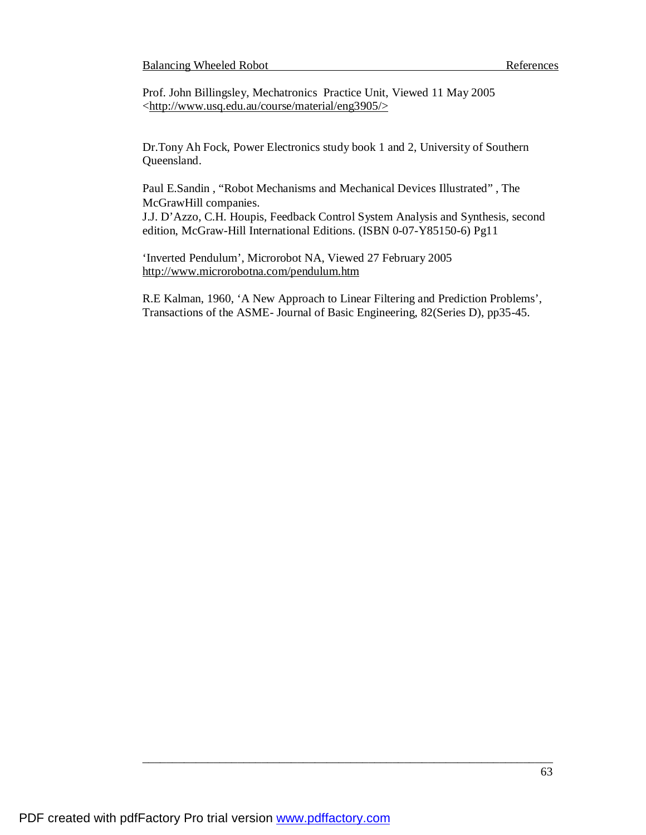Prof. John Billingsley, Mechatronics Practice Unit, Viewed 11 May 2005 <<http://www.usq.edu.au/course/material/eng3905/>>

Dr.Tony Ah Fock, Power Electronics study book 1 and 2, University of Southern Queensland.

Paul E.Sandin , "Robot Mechanisms and Mechanical Devices Illustrated" , The McGrawHill companies.

J.J. D'Azzo, C.H. Houpis, Feedback Control System Analysis and Synthesis, second edition, McGraw-Hill International Editions. (ISBN 0-07-Y85150-6) Pg11

'Inverted Pendulum', Microrobot NA, Viewed 27 February 2005 <http://www.microrobotna.com/pendulum.htm>

R.E Kalman, 1960, 'A New Approach to Linear Filtering and Prediction Problems', Transactions of the ASME- Journal of Basic Engineering, 82(Series D), pp35-45.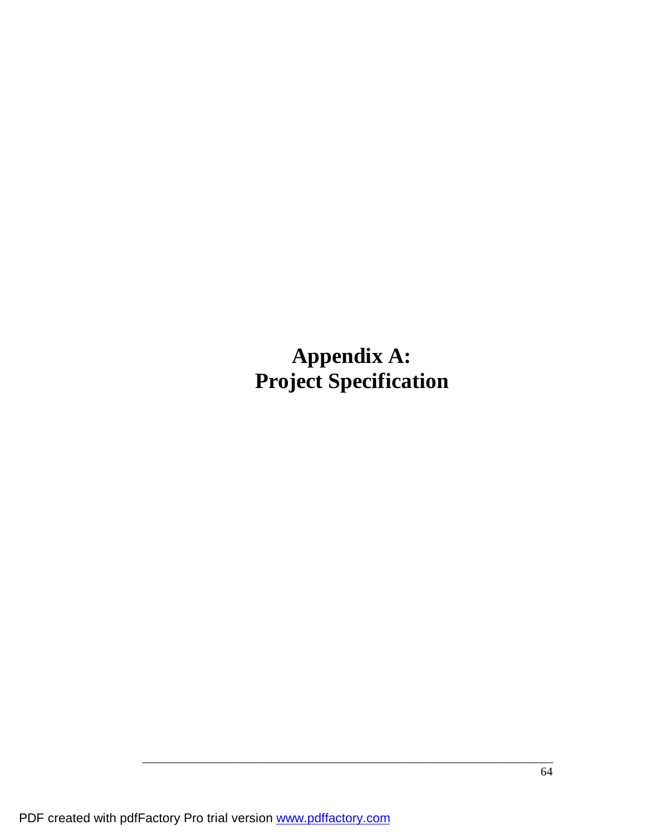**Appendix A: Project Specification**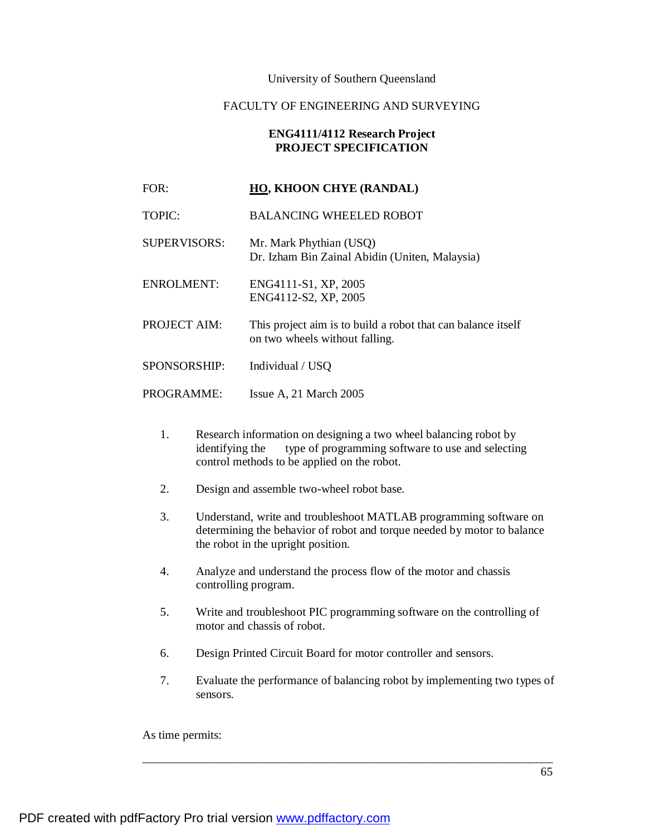#### University of Southern Queensland

#### FACULTY OF ENGINEERING AND SURVEYING

#### **ENG4111/4112 Research Project PROJECT SPECIFICATION**

#### FOR: **HO, KHOON CHYE** (RANDAL)

TOPIC: BALANCING WHEELED ROBOT

- SUPERVISORS: Mr. Mark Phythian (USQ) Dr. Izham Bin Zainal Abidin (Uniten, Malaysia)
- ENROLMENT: ENG4111-S1, XP, 2005 ENG4112-S2, XP, 2005
- PROJECT AIM: This project aim is to build a robot that can balance itself on two wheels without falling.
- SPONSORSHIP: Individual / USQ

#### PROGRAMME: Issue A, 21 March 2005

- 1. Research information on designing a two wheel balancing robot by identifying the type of programming software to use and selecting control methods to be applied on the robot.
- 2. Design and assemble two-wheel robot base.
- 3. Understand, write and troubleshoot MATLAB programming software on determining the behavior of robot and torque needed by motor to balance the robot in the upright position.
- 4. Analyze and understand the process flow of the motor and chassis controlling program.
- 5. Write and troubleshoot PIC programming software on the controlling of motor and chassis of robot.
- 6. Design Printed Circuit Board for motor controller and sensors.
- 7. Evaluate the performance of balancing robot by implementing two types of sensors.

\_\_\_\_\_\_\_\_\_\_\_\_\_\_\_\_\_\_\_\_\_\_\_\_\_\_\_\_\_\_\_\_\_\_\_\_\_\_\_\_\_\_\_\_\_\_\_\_\_\_\_\_\_\_\_\_\_\_\_\_\_\_\_\_\_\_\_\_\_

As time permits: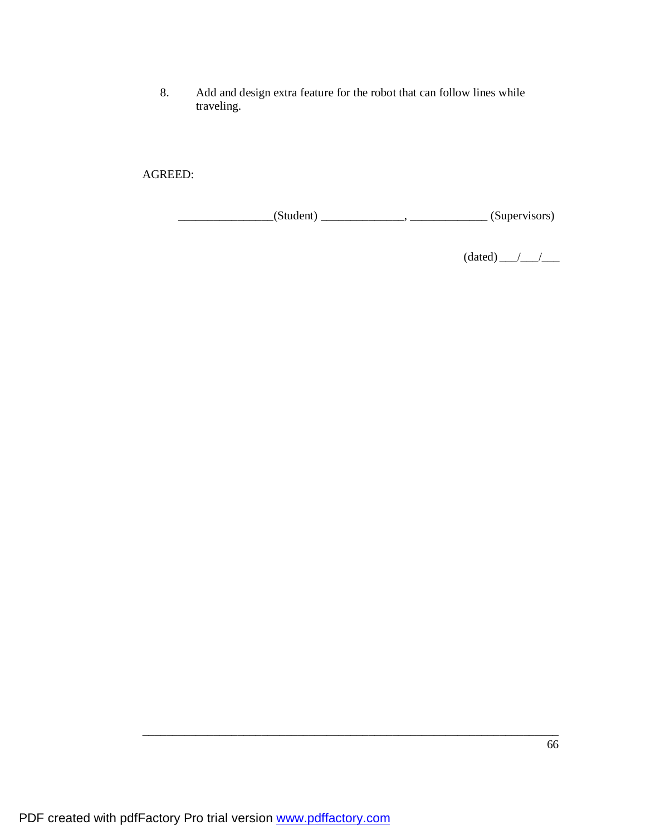8. Add and design extra feature for the robot that can follow lines while traveling.

AGREED:

 $\frac{1}{\sqrt{2\pi}}$  (Student) \_\_\_\_\_\_\_\_\_\_\_\_, \_\_\_\_\_\_\_\_\_\_(Supervisors)

\_\_\_\_\_\_\_\_\_\_\_\_\_\_\_\_\_\_\_\_\_\_\_\_\_\_\_\_\_\_\_\_\_\_\_\_\_\_\_\_\_\_\_\_\_\_\_\_\_\_\_\_\_\_\_\_\_\_\_\_\_\_\_\_\_\_\_\_\_\_

(dated) \_\_\_/\_\_\_/\_\_\_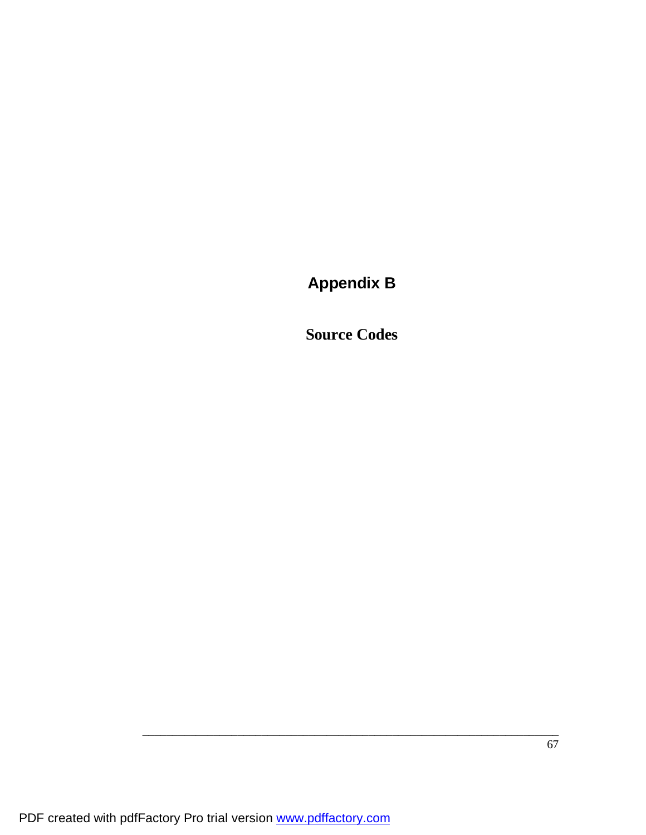**Appendix B** 

**Source Codes**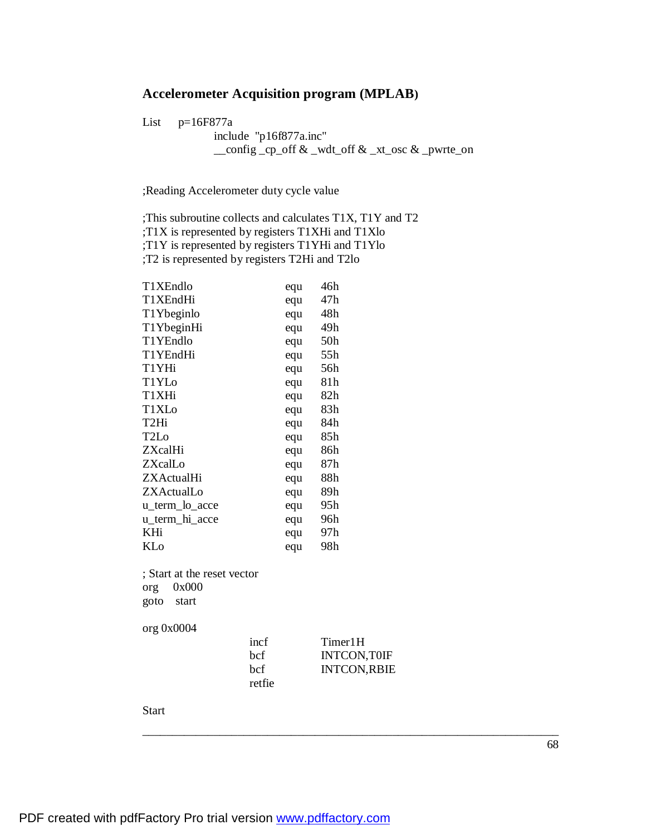# **Accelerometer Acquisition program (MPLAB)**

List  $p=16F877a$ 

 include "p16f877a.inc" \_\_config \_cp\_off & \_wdt\_off & \_xt\_osc & \_pwrte\_on

\_\_\_\_\_\_\_\_\_\_\_\_\_\_\_\_\_\_\_\_\_\_\_\_\_\_\_\_\_\_\_\_\_\_\_\_\_\_\_\_\_\_\_\_\_\_\_\_\_\_\_\_\_\_\_\_\_\_\_\_\_\_\_\_\_\_\_\_\_\_

;Reading Accelerometer duty cycle value

;This subroutine collects and calculates T1X, T1Y and T2 ;T1X is represented by registers T1XHi and T1Xlo ;T1Y is represented by registers T1YHi and T1Ylo ;T2 is represented by registers T2Hi and T2lo

| T1XEndlo                                                     |        | equ | 46h                 |
|--------------------------------------------------------------|--------|-----|---------------------|
| T1XEndHi                                                     |        | equ | 47h                 |
| T1Ybeginlo                                                   |        | equ | 48h                 |
| T1YbeginHi                                                   |        | equ | 49h                 |
| T1YEndlo                                                     |        | equ | 50h                 |
| T1YEndHi                                                     |        | equ | 55h                 |
| T1YHi                                                        |        | equ | 56h                 |
| T1YLo                                                        |        | equ | 81h                 |
| T1XHi                                                        |        | equ | 82h                 |
| T1XLo                                                        |        | equ | 83h                 |
| T <sub>2</sub> Hi                                            |        | equ | 84h                 |
| T <sub>2</sub> L <sub>o</sub>                                |        | equ | 85h                 |
| <b>ZXcalHi</b>                                               |        | equ | 86h                 |
| ZXcalLo                                                      |        | equ | 87h                 |
| ZXActualHi                                                   |        | equ | 88h                 |
| ZXActualLo                                                   |        | equ | 89h                 |
| u_term_lo_acce                                               |        | equ | 95h                 |
| u_term_hi_acce                                               |        | equ | 96h                 |
| KHi                                                          |        | equ | 97h                 |
| KLo                                                          |        | equ | 98h                 |
| ; Start at the reset vector<br>0x000<br>org<br>goto<br>start |        |     |                     |
| org 0x0004                                                   |        |     |                     |
|                                                              | incf   |     | Timer1H             |
|                                                              | bcf    |     | <b>INTCON, TOIF</b> |
|                                                              | bcf    |     | <b>INTCON, RBIE</b> |
|                                                              | retfie |     |                     |
| <b>Start</b>                                                 |        |     |                     |

68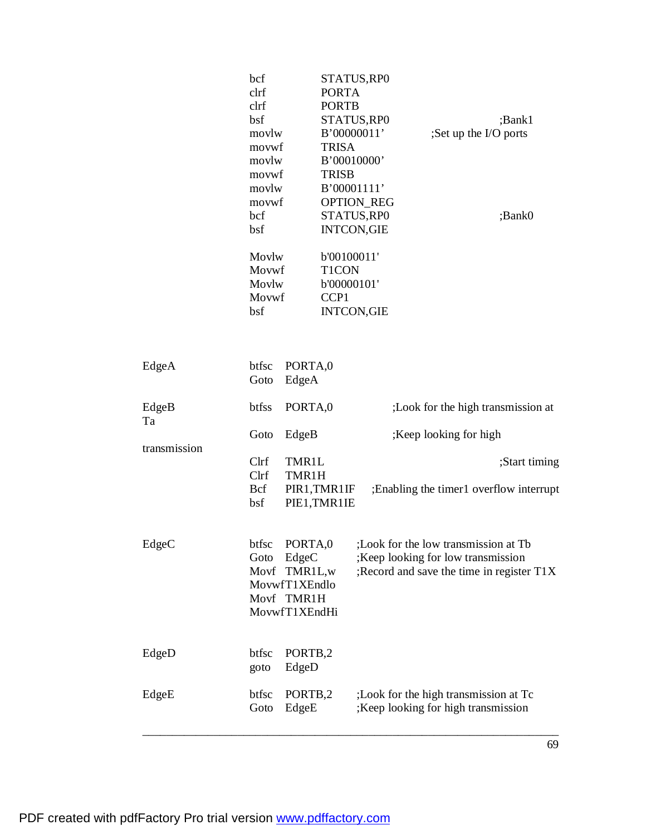|              | bcf<br>clrf<br>clrf<br>bsf<br>movlw<br>movwf<br>movlw<br>movwf<br>movlw<br>movwf<br>bcf<br>bsf<br>Movlw<br>Movwf<br>Movlw<br>Movwf<br>bsf | <b>PORTA</b><br><b>PORTB</b><br><b>TRISA</b><br><b>TRISB</b><br>b'00100011'<br>T1CON<br>b'00000101'<br>CCP1 | STATUS, RP0<br>STATUS, RP0<br>B'00000011'<br>B'00010000'<br>B'00001111'<br>OPTION_REG<br>STATUS, RP0<br><b>INTCON, GIE</b><br><b>INTCON, GIE</b> | ;Bank1<br>;Set up the I/O ports<br>;Bank0                                                                                      |
|--------------|-------------------------------------------------------------------------------------------------------------------------------------------|-------------------------------------------------------------------------------------------------------------|--------------------------------------------------------------------------------------------------------------------------------------------------|--------------------------------------------------------------------------------------------------------------------------------|
| EdgeA        | btfsc<br>PORTA,0<br>EdgeA<br>Goto                                                                                                         |                                                                                                             |                                                                                                                                                  |                                                                                                                                |
| EdgeB<br>Ta  | btfss<br>PORTA,0                                                                                                                          |                                                                                                             |                                                                                                                                                  | ;Look for the high transmission at                                                                                             |
|              | EdgeB<br>Goto                                                                                                                             |                                                                                                             |                                                                                                                                                  | ;Keep looking for high                                                                                                         |
| transmission | Clrf<br>TMR1L<br>Clrf<br>TMR1H<br><b>Bcf</b><br>bsf                                                                                       | PIR1, TMR1IF<br>PIE1, TMR1IE                                                                                |                                                                                                                                                  | ;Start timing<br>; Enabling the timer1 overflow interrupt                                                                      |
| EdgeC        | btfsc<br>EdgeC<br>Goto<br>TMR1L,w<br>Movf<br>MovwfT1XEndlo<br>Movf TMR1H<br>MovwfT1XEndHi                                                 |                                                                                                             |                                                                                                                                                  | PORTA,0 ;Look for the low transmission at Tb<br>Keep looking for low transmission<br>;Record and save the time in register T1X |
| EdgeD        | btfsc<br>PORTB,2<br>EdgeD<br>goto                                                                                                         |                                                                                                             |                                                                                                                                                  |                                                                                                                                |
| EdgeE        | btfsc<br>PORTB,2<br>Goto<br>EdgeE                                                                                                         |                                                                                                             |                                                                                                                                                  | ; Look for the high transmission at Tc<br>;Keep looking for high transmission                                                  |

69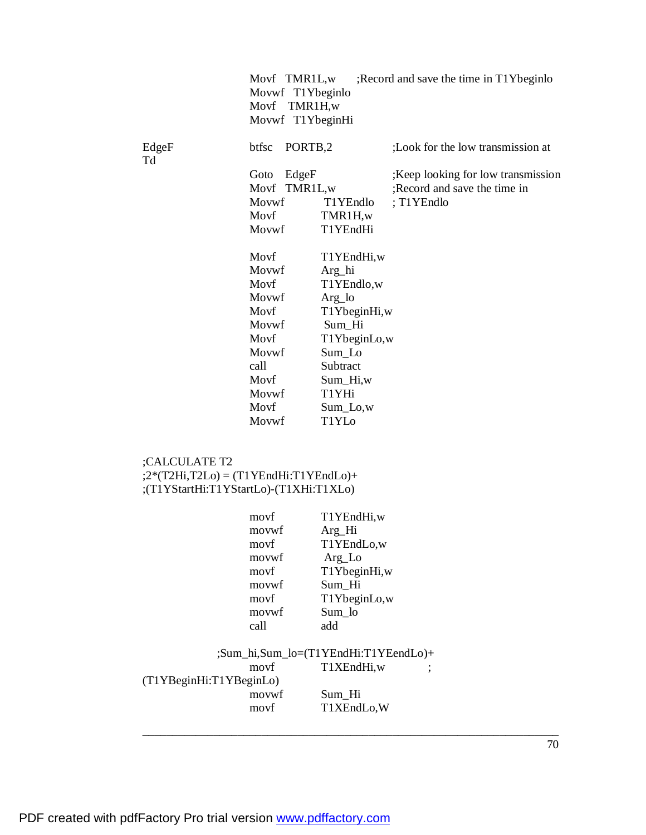|             | Movf TMR1L,w<br>Movwf T1Ybeginlo<br>Movf TMR1H,w<br>Movwf T1YbeginHi | Record and save the time in T1Y beginlo |
|-------------|----------------------------------------------------------------------|-----------------------------------------|
| EdgeF<br>Td | PORTB,2<br>btfsc                                                     | :Look for the low transmission at       |
|             | EdgeF<br>Goto                                                        | ;Keep looking for low transmission      |
|             | Movf TMR1L,w                                                         | ; Record and save the time in           |
|             | Movwf<br>T1YEndlo                                                    | ; T1YEndlo                              |
|             | Movf<br>TMR1H,w                                                      |                                         |
|             | Movwf<br>T1YEndHi                                                    |                                         |
|             | Movf<br>T1YEndHi,w                                                   |                                         |
|             | Movwf<br>Arg_hi                                                      |                                         |
|             | Movf<br>T1YEndlo,w                                                   |                                         |
|             | Movwf<br>$Arg_$ lo                                                   |                                         |
|             | Movf<br>T1YbeginHi,w                                                 |                                         |
|             | Movwf<br>Sum_Hi                                                      |                                         |
|             | Movf<br>T1YbeginLo,w                                                 |                                         |
|             | Movwf<br>Sum_Lo                                                      |                                         |
|             | call<br>Subtract                                                     |                                         |
|             | Movf<br>Sum_Hi,w                                                     |                                         |
|             | Movwf<br>T1YHi                                                       |                                         |
|             | Movf<br>Sum_Lo,w                                                     |                                         |
|             | T <sub>1</sub> YL <sub>0</sub><br>Movwf                              |                                         |
|             |                                                                      |                                         |

#### ;CALCULATE T2  $;2*(T2Hi,T2Lo) = (T1YEndHi:T1YEndLo) +$ ;(T1YStartHi:T1YStartLo)-(T1XHi:T1XLo)

| movf  | T1YEndHi,w   |
|-------|--------------|
| movwf | Arg_Hi       |
| movf  | T1YEndLo,w   |
| movwf | $Arg\_Lo$    |
| movf  | T1YbeginHi,w |
| movwf | Sum_Hi       |
| movf  | T1YbeginLo,w |
| movwf | Sum_lo       |
| call  | add          |

#### ;Sum\_hi,Sum\_lo=(T1YEndHi:T1YEendLo)+

\_\_\_\_\_\_\_\_\_\_\_\_\_\_\_\_\_\_\_\_\_\_\_\_\_\_\_\_\_\_\_\_\_\_\_\_\_\_\_\_\_\_\_\_\_\_\_\_\_\_\_\_\_\_\_\_\_\_\_\_\_\_\_\_\_\_\_\_\_\_

movf T1XEndHi,w ; (T1YBeginHi:T1YBeginLo) movwf Sum\_Hi<br>movf T1XEnd T1XEndLo,W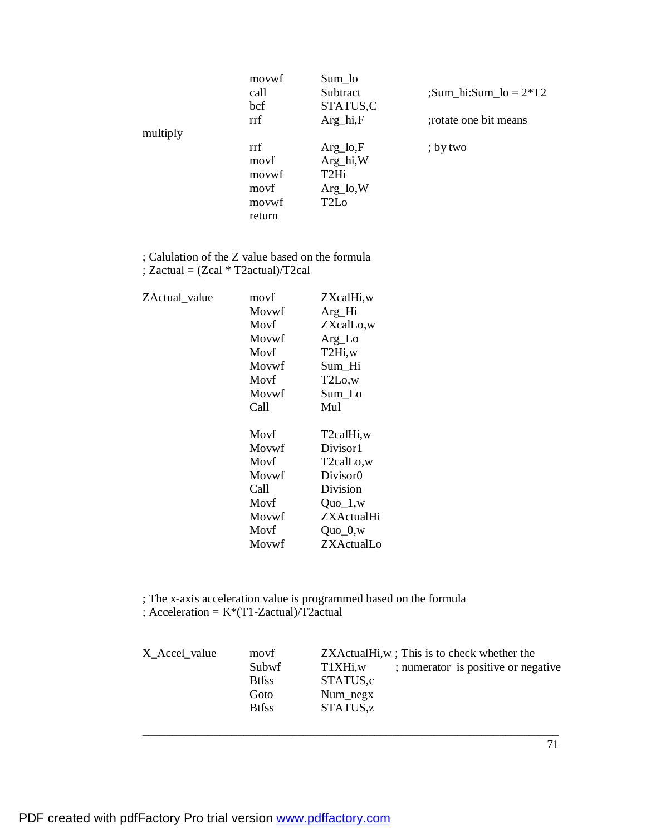|          | movwf                   | $Sum\_lo$                     |                            |
|----------|-------------------------|-------------------------------|----------------------------|
|          | call                    | Subtract                      | $\pm$ Sum_hi:Sum_lo = 2*T2 |
|          | bcf                     | STATUS,C                      |                            |
|          | $\mathop{\mathrm{rrf}}$ | $Arg_hi, F$                   | :rotate one bit means      |
| multiply |                         |                               |                            |
|          | rrf                     | $Arg\_lo, F$                  | ; by two                   |
|          | movf                    | Arg_hi,W                      |                            |
|          | movwf                   | T <sub>2</sub> Hi             |                            |
|          | movf                    | $Arg\_lo, W$                  |                            |
|          | movwf                   | T <sub>2</sub> L <sub>o</sub> |                            |
|          | return                  |                               |                            |

; Calulation of the Z value based on the formula ; Zactual = (Zcal \* T2actual)/T2cal

| ZActual_value | movf  | ZXcalHi,w                        |
|---------------|-------|----------------------------------|
|               | Movwf | Arg_Hi                           |
|               | Movf  | ZXcalLo,w                        |
|               | Movwf | Arg_Lo                           |
|               | Movf  | T <sub>2</sub> H <sub>i</sub> ,w |
|               | Movwf | Sum Hi                           |
|               | Movf  | T <sub>2</sub> L <sub>o</sub> ,w |
|               | Movwf | Sum Lo                           |
|               | Call  | Mul                              |
|               | Movf  | T2calHi,w                        |
|               | Movwf | Divisor1                         |
|               | Movf  | T <sub>2</sub> calLo,w           |
|               | Movwf | Divisor0                         |
|               | Call  | Division                         |
|               | Movf  | $Quo_1, w$                       |
|               | Movwf | <b>ZXActualHi</b>                |
|               | Movf  | $Quo_0, w$                       |
|               | Movwf | ZXActualLo                       |
|               |       |                                  |

; The x-axis acceleration value is programmed based on the formula

; Acceleration =  $K^*(T1-Zactual)/T2actual$ 

| X Accel value | movf         | $ZXActualHi, w$ ; This is to check whether the |
|---------------|--------------|------------------------------------------------|
|               | Subwf        | ; numerator is positive or negative<br>T1XHi,w |
|               | <b>Btfss</b> | STATUS,c                                       |
|               | Goto         | $Num_{\text{1}}$ negx                          |
|               | <b>Btfss</b> | STATUS,z                                       |
|               |              |                                                |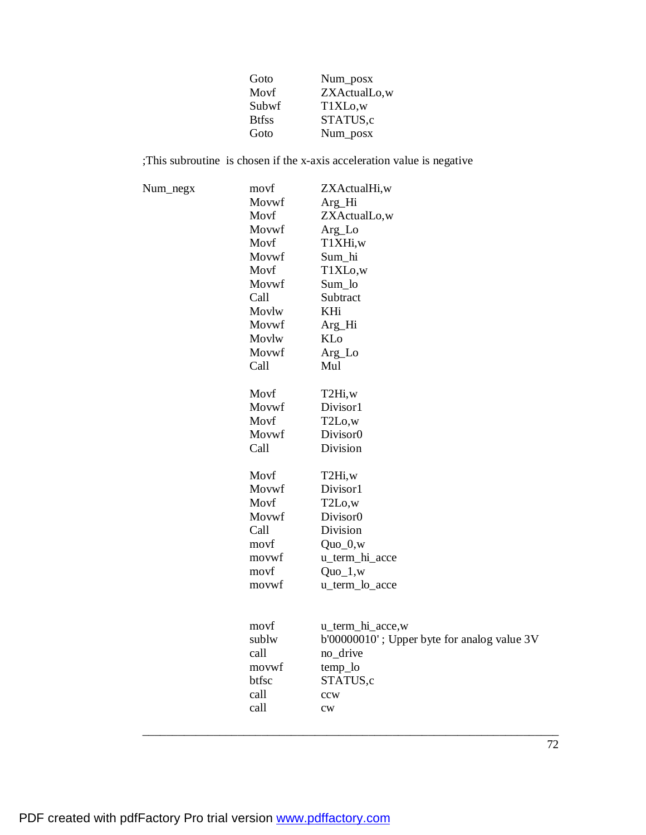| Goto         | Num_posx                          |
|--------------|-----------------------------------|
| Movf         | ZXActualLo,w                      |
| Subwf        | T <sub>1</sub> XL <sub>o</sub> ,w |
| <b>Btfss</b> | STATUS,c                          |
| Goto         | Num_posx                          |

;This subroutine is chosen if the x-axis acceleration value is negative

| Num_negx | movf<br>Movwf | ZXActualHi,w<br>Arg_Hi                      |
|----------|---------------|---------------------------------------------|
|          | Movf          | ZXActualLo,w                                |
|          | Movwf         | Arg_Lo                                      |
|          | Movf          | T1XHi,w                                     |
|          | Movwf         | Sum_hi                                      |
|          | Movf          | T1XLo,w                                     |
|          | Movwf         | Sum_lo                                      |
|          | Call          | Subtract                                    |
|          | Movlw         | KHi                                         |
|          | Movwf         | Arg_Hi                                      |
|          | Movlw         | KLo                                         |
|          | Movwf         | Arg_Lo                                      |
|          | Call          | Mul                                         |
|          | Movf          | T <sub>2</sub> H <sub>i</sub> ,w            |
|          | Movwf         | Divisor1                                    |
|          | Movf          | T <sub>2</sub> L <sub>o,w</sub>             |
|          | Movwf         | Divisor <sub>0</sub>                        |
|          | Call          | Division                                    |
|          | Movf          | T <sub>2</sub> H <sub>i</sub> ,w            |
|          | Movwf         | Divisor1                                    |
|          | Movf          | T <sub>2</sub> L <sub>o,w</sub>             |
|          | Movwf         | Divisor <sub>0</sub>                        |
|          | Call          | Division                                    |
|          | movf          | $Quo_0, w$                                  |
|          | movwf         | u_term_hi_acce                              |
|          | movf          | $Quo_1, w$                                  |
|          | movwf         | u_term_lo_acce                              |
|          |               |                                             |
|          | movf<br>sublw | u_term_hi_acce,w                            |
|          | call          | b'00000010'; Upper byte for analog value 3V |
|          | movwf         | no_drive<br>temp_lo                         |
|          | btfsc         | STATUS,c                                    |
|          | call          | ccw                                         |
|          | call          | $\mathrm{cw}$                               |
|          |               |                                             |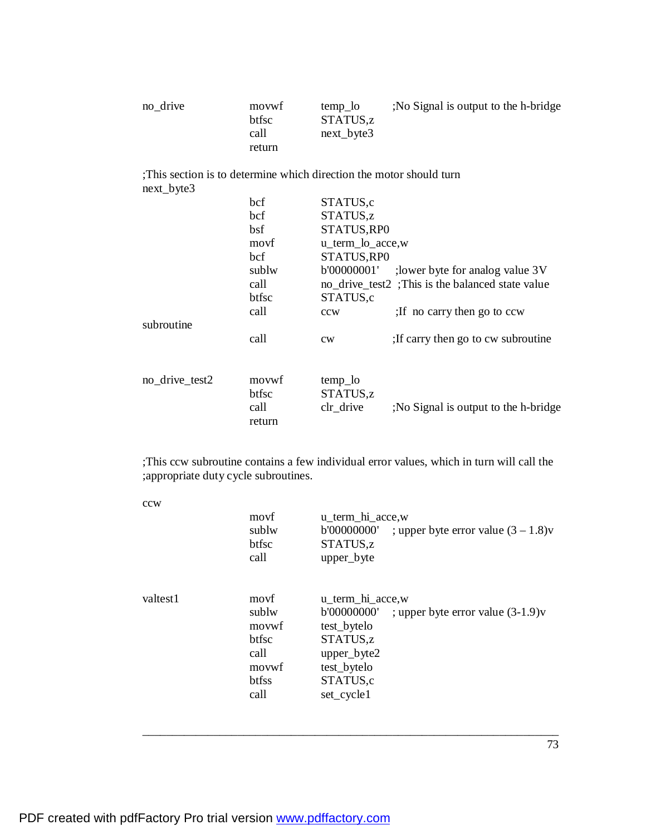| no_drive | movwf<br><b>btfsc</b><br>call<br>return | temp lo<br>STATUS,z<br>$next\_byte3$ | ; No Signal is output to the h-bridge |
|----------|-----------------------------------------|--------------------------------------|---------------------------------------|
|          |                                         |                                      |                                       |

;This section is to determine which direction the motor should turn next\_byte3

| subroutine     | bcf<br>bcf<br>bsf<br>movf<br>bcf<br>sublw<br>call<br>btfsc<br>call<br>call | STATUS,c<br>STATUS,z<br>STATUS, RP0<br>u_term_lo_acce,w<br>STATUS, RP0<br>b'00000001'<br>STATUS,c<br>ccw<br>cw | : lower byte for analog value 3V<br>no drive test2 ; This is the balanced state value<br>: If no carry then go to ccw<br>If carry then go to cw subroutine |
|----------------|----------------------------------------------------------------------------|----------------------------------------------------------------------------------------------------------------|------------------------------------------------------------------------------------------------------------------------------------------------------------|
| no_drive_test2 | movwf<br>btfsc<br>call<br>return                                           | temp_lo<br>STATUS,z<br>clr drive                                                                               | ; No Signal is output to the h-bridge                                                                                                                      |

;This ccw subroutine contains a few individual error values, which in turn will call the ;appropriate duty cycle subroutines.

| <b>CCW</b> | movf<br>sublw<br>btfsc<br>call                                    | u_term_hi_acce,w<br>b'00000000'<br>; upper byte error value $(3 – 1.8)v$<br>STATUS,z<br>upper_byte                                                        |
|------------|-------------------------------------------------------------------|-----------------------------------------------------------------------------------------------------------------------------------------------------------|
| valtest1   | movf<br>sublw<br>movwf<br>btfsc<br>call<br>movwf<br>btfss<br>call | u_term_hi_acce,w<br>b'00000000'<br>; upper byte error value $(3-1.9)v$<br>test_bytelo<br>STATUS,z<br>upper_byte2<br>test_bytelo<br>STATUS,c<br>set_cycle1 |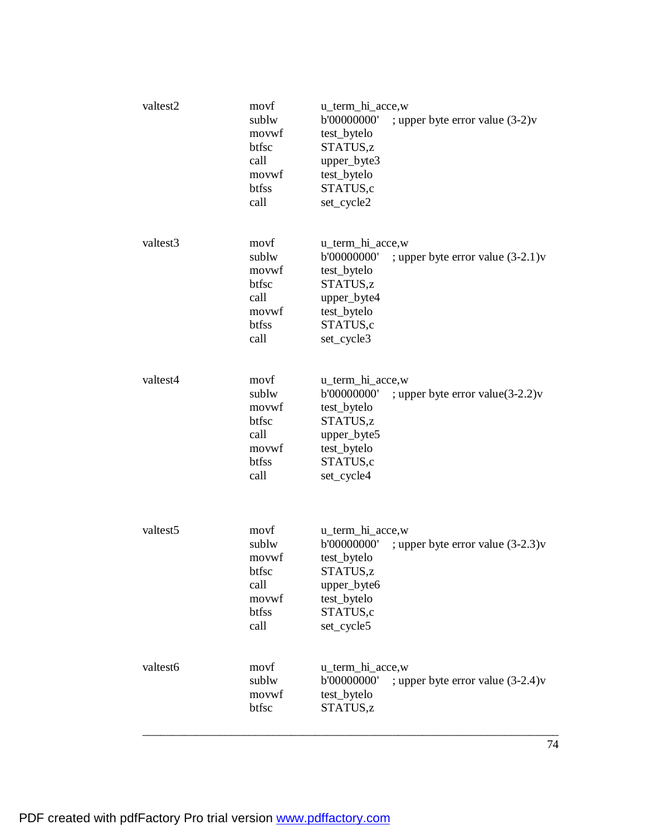| valtest2 | movf<br>sublw<br>movwf<br>btfsc<br>call<br>movwf<br>btfss<br>call | u_term_hi_acce,w<br>b'00000000'<br>; upper byte error value $(3-2)v$<br>test_bytelo<br>STATUS,z<br>upper_byte3<br>test_bytelo<br>STATUS,c<br>set_cycle2   |
|----------|-------------------------------------------------------------------|-----------------------------------------------------------------------------------------------------------------------------------------------------------|
| valtest3 | movf<br>sublw<br>movwf<br>btfsc<br>call<br>movwf<br>btfss<br>call | u_term_hi_acce,w<br>b'00000000'<br>; upper byte error value $(3-2.1)v$<br>test_bytelo<br>STATUS,z<br>upper_byte4<br>test_bytelo<br>STATUS,c<br>set_cycle3 |
| valtest4 | movf<br>sublw<br>movwf<br>btfsc<br>call<br>movwf<br>btfss<br>call | u_term_hi_acce,w<br>b'00000000'<br>; upper byte error value $(3-2.2)v$<br>test_bytelo<br>STATUS,z<br>upper_byte5<br>test_bytelo<br>STATUS,c<br>set_cycle4 |
| valtest5 | movf<br>sublw<br>movwf<br>btfsc<br>call<br>movwf<br>btfss<br>call | u_term_hi_acce,w<br>b'00000000'<br>; upper byte error value $(3-2.3)v$<br>test_bytelo<br>STATUS,z<br>upper_byte6<br>test_bytelo<br>STATUS,c<br>set_cycle5 |
| valtest6 | movf<br>sublw<br>movwf<br>btfsc                                   | u_term_hi_acce,w<br>b'00000000'<br>; upper byte error value $(3-2.4)v$<br>test_bytelo<br>STATUS,z                                                         |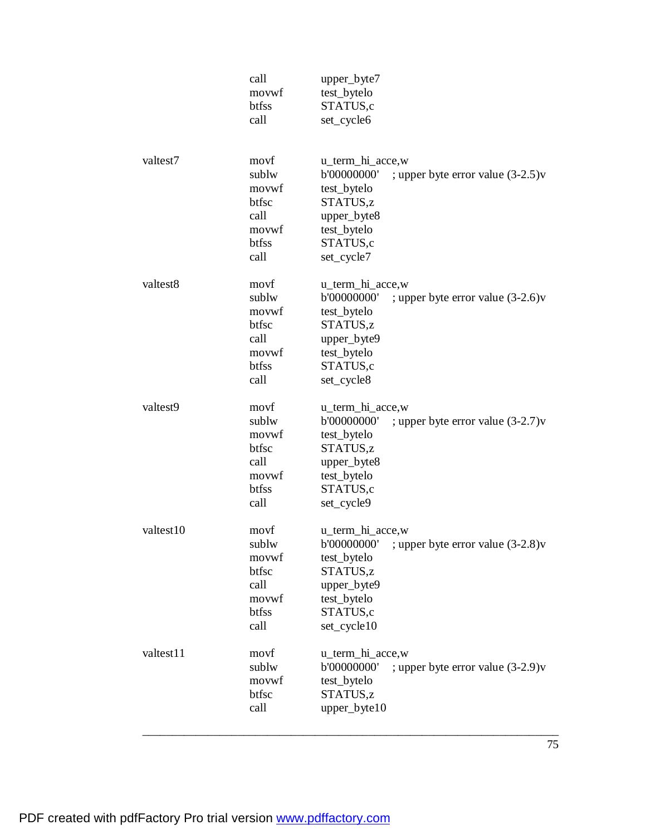|           | call<br>movwf<br>btfss<br>call                                    | upper_byte7<br>test_bytelo<br>STATUS,c<br>set_cycle6                                                                                                      |
|-----------|-------------------------------------------------------------------|-----------------------------------------------------------------------------------------------------------------------------------------------------------|
| valtest7  | movf<br>sublw<br>movwf<br>btfsc<br>call<br>movwf<br>btfss<br>call | u_term_hi_acce,w<br>b'00000000'<br>; upper byte error value $(3-2.5)v$<br>test_bytelo<br>STATUS,z<br>upper_byte8<br>test_bytelo<br>STATUS,c<br>set_cycle7 |
| valtest8  | movf<br>sublw<br>movwf<br>btfsc<br>call<br>movwf<br>btfss<br>call | u_term_hi_acce,w<br>b'00000000'<br>; upper byte error value $(3-2.6)v$<br>test_bytelo<br>STATUS,z<br>upper_byte9<br>test_bytelo<br>STATUS,c<br>set_cycle8 |
| valtest9  | movf<br>sublw<br>movwf<br>btfsc<br>call<br>movwf<br>btfss<br>call | u_term_hi_acce,w<br>b'00000000'<br>; upper byte error value $(3-2.7)v$<br>test_bytelo<br>STATUS,z<br>upper_byte8<br>test_bytelo<br>STATUS,c<br>set_cycle9 |
| valtest10 | movf<br>sublw<br>movwf<br>btfsc<br>call<br>movwf<br>btfss<br>call | u_term_hi_acce,w<br>; upper byte error value (3-2.8) v<br>P.00000000.<br>test_bytelo<br>STATUS,z<br>upper_byte9<br>test_bytelo<br>STATUS,c<br>set_cycle10 |
| valtest11 | movf<br>sublw<br>movwf<br>btfsc<br>call                           | u_term_hi_acce,w<br>b'00000000'<br>; upper byte error value $(3-2.9)v$<br>test_bytelo<br>STATUS,z<br>upper_byte10                                         |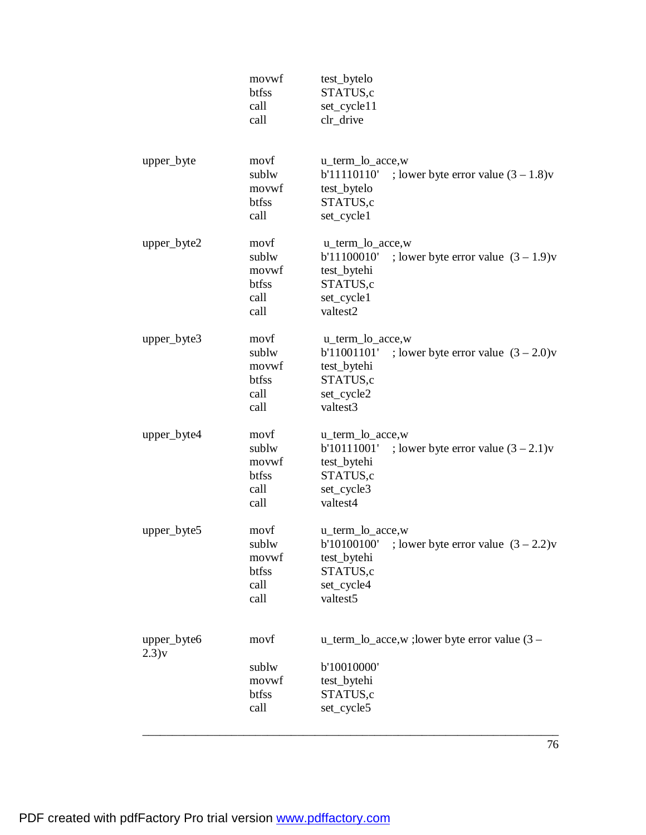|                      | movwf<br>btfss<br>call<br>call                  | test_bytelo<br>STATUS,c<br>set_cycle11<br>clr_drive                                                                           |
|----------------------|-------------------------------------------------|-------------------------------------------------------------------------------------------------------------------------------|
| upper_byte           | movf<br>sublw<br>movwf<br>btfss<br>call         | u_term_lo_acce,w<br>b'11110110'<br>; lower byte error value $(3 – 1.8)v$<br>test_bytelo<br>STATUS,c<br>set_cycle1             |
| upper_byte2          | movf<br>sublw<br>movwf<br>btfss<br>call<br>call | u_term_lo_acce,w<br>b'11100010'<br>; lower byte error value $(3 – 1.9)v$<br>test_bytehi<br>STATUS,c<br>set_cycle1<br>valtest2 |
| upper_byte3          | movf<br>sublw<br>movwf<br>btfss<br>call<br>call | u_term_lo_acce,w<br>b'11001101' ; lower byte error value $(3 – 2.0)v$<br>test_bytehi<br>STATUS,c<br>set_cycle2<br>valtest3    |
| upper_byte4          | movf<br>sublw<br>movwf<br>btfss<br>call<br>call | u_term_lo_acce,w<br>b'10111001'<br>; lower byte error value $(3 – 2.1)v$<br>test_bytehi<br>STATUS,c<br>set_cycle3<br>valtest4 |
| upper_byte5          | movf<br>sublw<br>movwf<br>btfss<br>call<br>call | u_term_lo_acce,w<br>; lower byte error value $(3 – 2.2)v$<br>b'10100100'<br>test_bytehi<br>STATUS,c<br>set_cycle4<br>valtest5 |
| upper_byte6<br>2.3)v | movf<br>sublw<br>movwf<br>btfss<br>call         | u_term_lo_acce,w ; lower byte error value (3 –<br>b'10010000'<br>test_bytehi<br>STATUS,c<br>set_cycle5                        |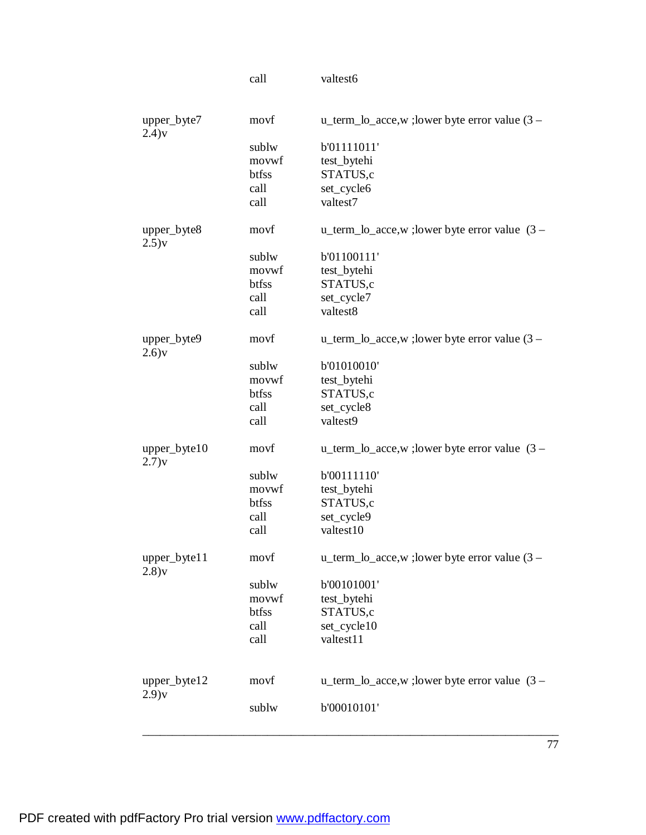| valtest6 |
|----------|
|          |

| upper_byte7<br>$2.4$ ) $v$ | movf  | u_term_lo_acce,w ; lower byte error value $(3 –$ |
|----------------------------|-------|--------------------------------------------------|
|                            | sublw | b'01111011'                                      |
|                            | movwf | test_bytehi                                      |
|                            | btfss | STATUS,c                                         |
|                            | call  | set_cycle6                                       |
|                            | call  | valtest7                                         |
|                            |       |                                                  |
| upper_byte8<br>2.5)v       | movf  | u_term_lo_acce,w ; lower byte error value $(3 -$ |
|                            | sublw | b'01100111'                                      |
|                            | movwf | test_bytehi                                      |
|                            | btfss | STATUS,c                                         |
|                            | call  | set_cycle7                                       |
|                            | call  | valtest8                                         |
|                            |       |                                                  |
| upper_byte9<br>$2.6$ ) $v$ | movf  | u_term_lo_acce,w ; lower byte error value (3 –   |
|                            | sublw | b'01010010'                                      |
|                            | movwf | test_bytehi                                      |
|                            | btfss | STATUS,c                                         |
|                            | call  | set_cycle8                                       |
|                            | call  | valtest9                                         |
|                            |       |                                                  |
| upper_byte10<br>2.7)y      | movf  | u_term_lo_acce,w ; lower byte error value $(3 -$ |
|                            | sublw | b'00111110'                                      |
|                            | movwf | test_bytehi                                      |
|                            | btfss | STATUS,c                                         |
|                            | call  | set_cycle9                                       |
|                            | call  | valtest10                                        |
|                            |       |                                                  |
| upper_byte11<br>2.8)v      | movf  | u_term_lo_acce,w ; lower byte error value (3 –   |
|                            | sublw | b'00101001'                                      |
|                            | movwf | test_bytehi                                      |
|                            | btfss | STATUS,c                                         |
|                            | call  | set_cycle10                                      |
|                            | call  | valtest11                                        |
|                            |       |                                                  |
|                            |       |                                                  |
| upper_byte12<br>2.9)v      | movf  | u_term_lo_acce,w ; lower byte error value $(3 -$ |
|                            | sublw | b'00010101'                                      |
|                            |       |                                                  |
|                            |       |                                                  |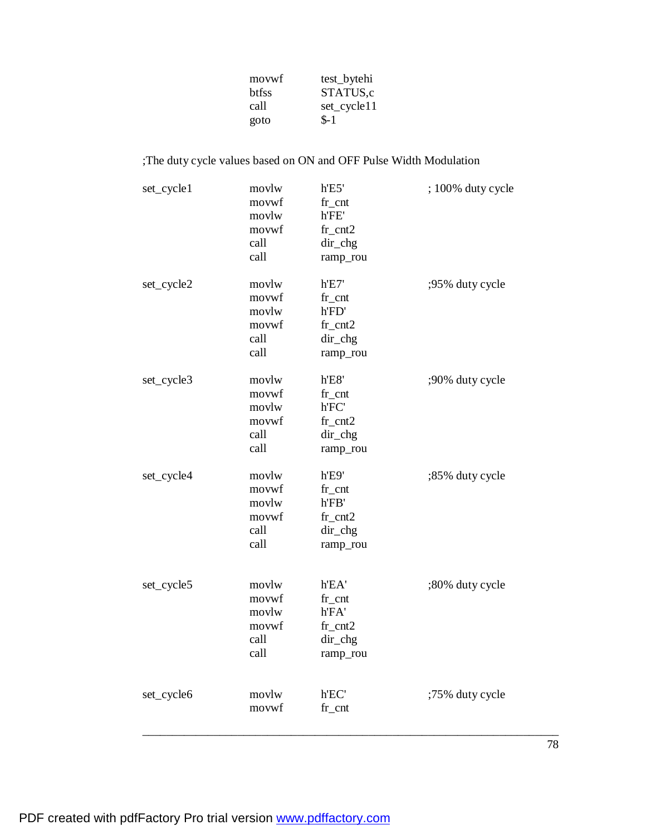| movwf        | test_bytehi |
|--------------|-------------|
| <b>btfss</b> | STATUS,c    |
| call         | set_cycle11 |
| goto         | $S-1$       |

# ;The duty cycle values based on ON and OFF Pulse Width Modulation

| set_cycle1 | movlw<br>movwf<br>movlw<br>movwf<br>call<br>call | h'E5'<br>$fr_{ent}$<br>h'FE'<br>$fr\_cnt2$<br>dir_chg<br>ramp_rou | ; 100% duty cycle |
|------------|--------------------------------------------------|-------------------------------------------------------------------|-------------------|
| set_cycle2 | movlw<br>movwf<br>movlw<br>movwf<br>call<br>call | h'E7'<br>$fr\_cnt$<br>h'FD'<br>$fr\_cnt2$<br>dir_chg<br>ramp_rou  | ;95% duty cycle   |
| set_cycle3 | movlw<br>movwf<br>movlw<br>movwf<br>call<br>call | h'E8'<br>$fr\_cnt$<br>h'FC'<br>$fr\_cnt2$<br>dir_chg<br>ramp_rou  | ;90% duty cycle   |
| set_cycle4 | movlw<br>movwf<br>movlw<br>movwf<br>call<br>call | h'E9'<br>$fr\_cnt$<br>h'FB'<br>$fr\_cnt2$<br>dir_chg<br>ramp_rou  | ;85% duty cycle   |
| set_cycle5 | movlw<br>movwf<br>movlw<br>movwf<br>call<br>call | h'EA'<br>$fr\_cnt$<br>h'FA'<br>$fr\_cnt2$<br>dir_chg<br>ramp_rou  | ;80% duty cycle   |
| set_cycle6 | movlw<br>movwf                                   | h'EC'<br>$fr\_cnt$                                                | ;75% duty cycle   |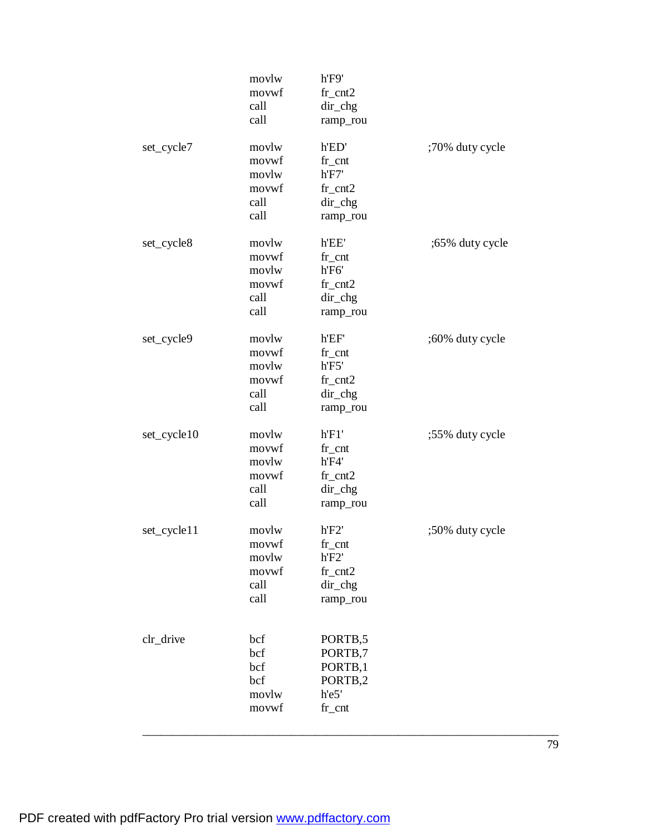|             | movlw<br>movwf<br>call<br>call                   | h'F9'<br>$fr\_cnt2$<br>dir_chg<br>ramp_rou                       |                 |
|-------------|--------------------------------------------------|------------------------------------------------------------------|-----------------|
| set_cycle7  | movlw<br>movwf<br>movlw<br>movwf<br>call<br>call | h'ED'<br>$fr\_cnt$<br>h'F7'<br>$fr\_cnt2$<br>dir_chg<br>ramp_rou | ;70% duty cycle |
| set_cycle8  | movlw<br>movwf<br>movlw<br>movwf<br>call<br>call | h'EE'<br>$fr\_cnt$<br>h'F6'<br>$fr\_cnt2$<br>dir_chg<br>ramp_rou | ;65% duty cycle |
| set_cycle9  | movlw<br>movwf<br>movlw<br>movwf<br>call<br>call | h'EF'<br>$fr\_cnt$<br>h'F5'<br>$fr\_cnt2$<br>dir_chg<br>ramp_rou | ;60% duty cycle |
| set_cycle10 | movlw<br>movwf<br>movlw<br>movwf<br>call<br>call | h'F1'<br>$fr\_cnt$<br>h'F4'<br>$fr\_cnt2$<br>dir_chg<br>ramp_rou | ;55% duty cycle |
| set_cycle11 | movlw<br>movwf<br>movlw<br>movwf<br>call<br>call | h'F2'<br>$fr\_cnt$<br>h'F2'<br>$fr\_cnt2$<br>dir_chg<br>ramp_rou | ;50% duty cycle |
| clr_drive   | bcf<br>bcf<br>bcf<br>bcf<br>movlw<br>movwf       | PORTB,5<br>PORTB,7<br>PORTB,1<br>PORTB,2<br>h'e5'<br>$fr\_cnt$   |                 |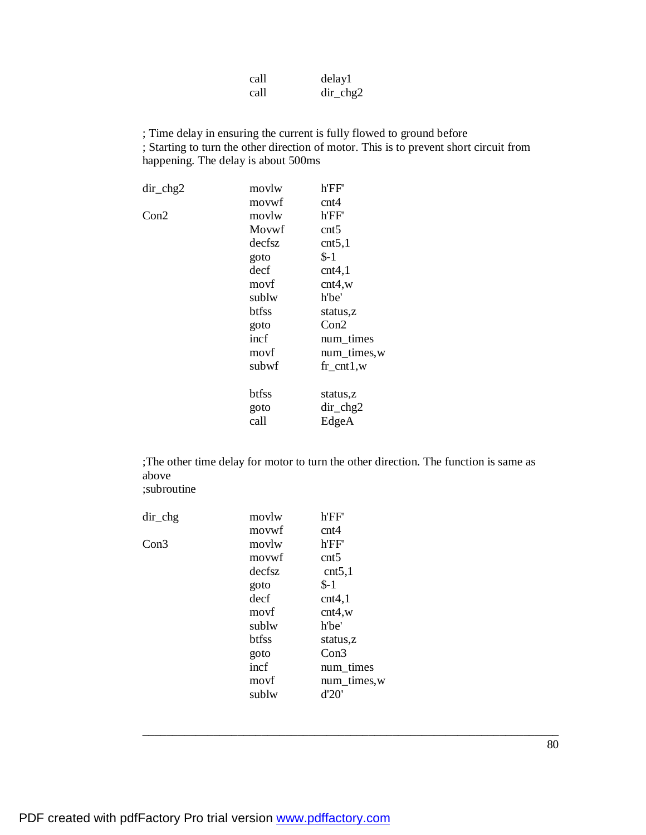| call | delayl       |
|------|--------------|
| call | $dir_{chg2}$ |

; Time delay in ensuring the current is fully flowed to ground before ; Starting to turn the other direction of motor. This is to prevent short circuit from happening. The delay is about 500ms

| dir_chg2 | movlw  | h'FF'        |
|----------|--------|--------------|
|          | movwf  | cnt4         |
| Con2     | movlw  | h'FF'        |
|          | Movwf  | cnt5         |
|          | decfsz | cnt5,1       |
|          | goto   | $S-1$        |
|          | decf   | cnt4,1       |
|          | movf   | cnt4, w      |
|          | sublw  | h'be'        |
|          | btfss  | status.z     |
|          | goto   | Con2         |
|          | incf   | num_times    |
|          | movf   | num_times,w  |
|          | subwf  | $fr\_cnt1,w$ |
|          | btfss  | status,z     |
|          | goto   | $dir\_chg2$  |
|          | call   | EdgeA        |
|          |        |              |

;The other time delay for motor to turn the other direction. The function is same as above

\_\_\_\_\_\_\_\_\_\_\_\_\_\_\_\_\_\_\_\_\_\_\_\_\_\_\_\_\_\_\_\_\_\_\_\_\_\_\_\_\_\_\_\_\_\_\_\_\_\_\_\_\_\_\_\_\_\_\_\_\_\_\_\_\_\_\_\_\_\_

;subroutine

| $dir\_chg$ | movlw        | h'FF'            |
|------------|--------------|------------------|
|            | movwf        | cnt4             |
| Con3       | movlw        | h'FF'            |
|            | movwf        | cnt <sub>5</sub> |
|            | decfsz       | cnt5,1           |
|            | goto         | $S-1$            |
|            | decf         | cnt4,1           |
|            | movf         | cnt4, w          |
|            | sublw        | h'be'            |
|            | <b>btfss</b> | status, z        |
|            | goto         | Con3             |
|            | incf         | num_times        |
|            | movf         | num times, w     |
|            | sublw        | d'20'            |
|            |              |                  |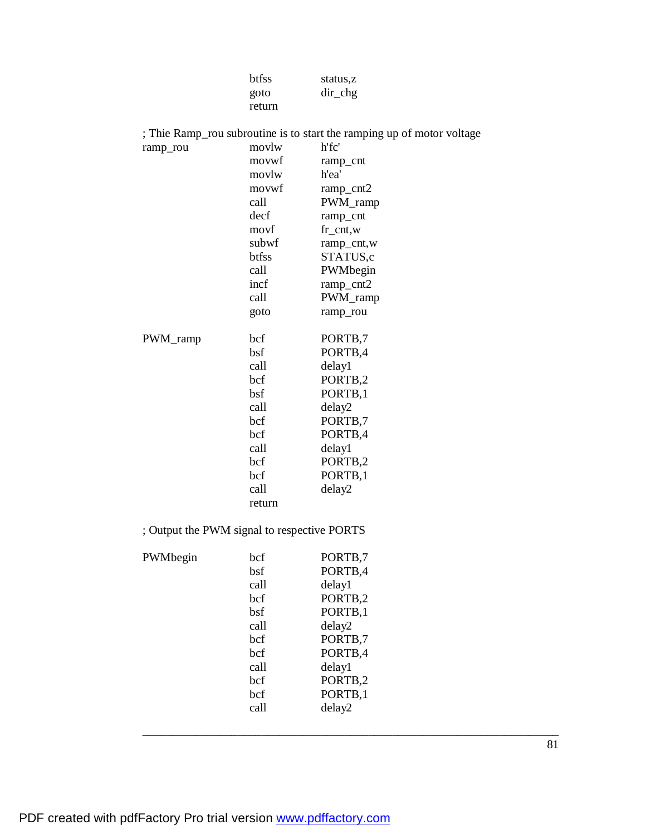| <b>btfss</b> | status,z   |
|--------------|------------|
| goto         | $dir\_chg$ |
| return       |            |

|          |        | ; Thie Ramp_rou subroutine is to start the ramping up of motor voltage |
|----------|--------|------------------------------------------------------------------------|
| ramp_rou | movlw  | h'fc'                                                                  |
|          | movwf  | ramp_cnt                                                               |
|          | movlw  | h'ea'                                                                  |
|          | movwf  | $ramp_cnt2$                                                            |
|          | call   | PWM_ramp                                                               |
|          | decf   | ramp_cnt                                                               |
|          | movf   | $fr\_cnt, w$                                                           |
|          | subwf  | ramp_cnt,w                                                             |
|          | btfss  | STATUS,c                                                               |
|          | call   | PWMbegin                                                               |
|          | incf   | $ramp_cnt2$                                                            |
|          | call   | PWM_ramp                                                               |
|          | goto   | ramp_rou                                                               |
|          |        |                                                                        |
| PWM_ramp | bcf    | PORTB,7                                                                |
|          | bsf    | PORTB,4                                                                |
|          | call   | delay1                                                                 |
|          | bcf    | PORTB,2                                                                |
|          | bsf    | PORTB,1                                                                |
|          | call   | delay2                                                                 |
|          | bcf    | PORTB,7                                                                |
|          | bcf    | PORTB,4                                                                |
|          | call   | delay1                                                                 |
|          | bcf    | PORTB,2                                                                |
|          | bcf    | PORTB,1                                                                |
|          | call   | delay2                                                                 |
|          | return |                                                                        |

; Output the PWM signal to respective PORTS

| PWMbegin | bcf  | PORTB,7             |
|----------|------|---------------------|
|          | bsf  | PORTB,4             |
|          | call | delay1              |
|          | bcf  | PORTB <sub>,2</sub> |
|          | bsf  | PORTB,1             |
|          | call | delay2              |
|          | bcf  | PORTB,7             |
|          | bcf  | PORTB,4             |
|          | call | delay1              |
|          | bcf  | PORTB,2             |
|          | bcf  | PORTB,1             |
|          | call | delay2              |
|          |      |                     |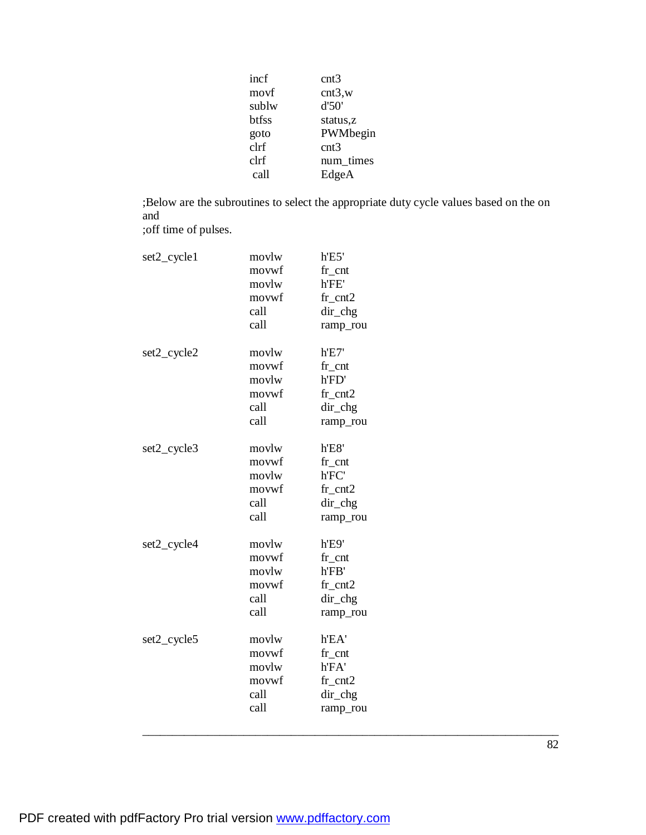| incf  | cnt3      |
|-------|-----------|
| movf  | cnt3,w    |
| sublw | d'50'     |
| btfss | status,z  |
| goto  | PWMbegin  |
| clrf  | cnt3      |
| clrf  | num_times |
| call  | EdgeA     |

;Below are the subroutines to select the appropriate duty cycle values based on the on and

;off time of pulses.

| set2_cycle1 | movlw<br>movwf<br>movlw<br>movwf<br>call<br>call | h'E5'<br>$fr\_cnt$<br>h'FE'<br>$fr\_cnt2$<br>dir_chg<br>ramp_rou |  |
|-------------|--------------------------------------------------|------------------------------------------------------------------|--|
| set2_cycle2 | movlw<br>movwf<br>movlw<br>movwf<br>call<br>call | h'E7'<br>$fr\_cnt$<br>h'FD'<br>$fr\_cnt2$<br>dir_chg<br>ramp_rou |  |
| set2_cycle3 | movlw<br>movwf<br>movlw<br>movwf<br>call<br>call | h'E8'<br>$fr\_cnt$<br>h'FC'<br>$fr\_cnt2$<br>dir_chg<br>ramp_rou |  |
| set2_cycle4 | movlw<br>movwf<br>movlw<br>movwf<br>call<br>call | h'E9'<br>$fr\_cnt$<br>h'FB'<br>$fr\_cnt2$<br>dir_chg<br>ramp_rou |  |
| set2_cycle5 | movlw<br>movwf<br>movlw<br>movwf<br>call<br>call | h'EA'<br>$fr\_cnt$<br>h'FA'<br>$fr\_cnt2$<br>dir_chg<br>ramp_rou |  |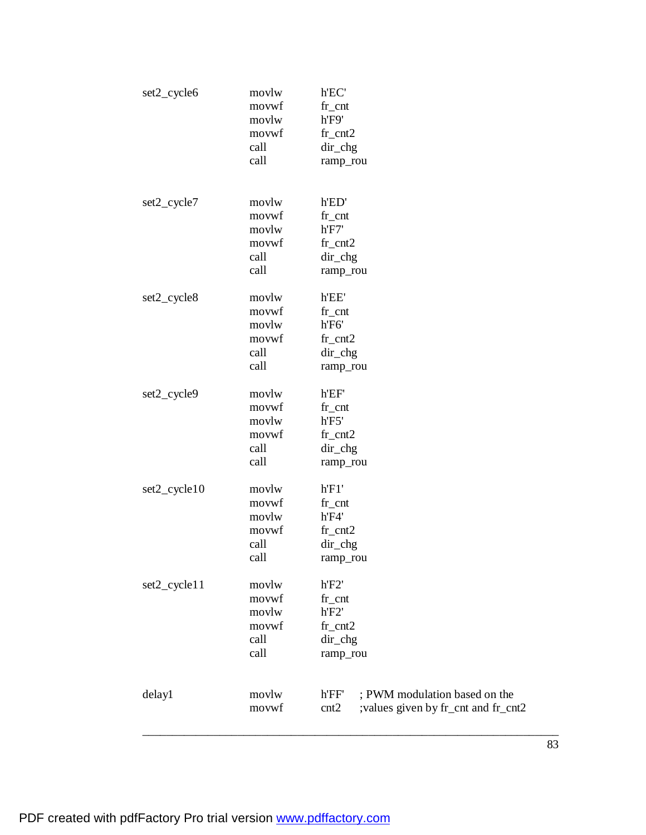| delay1       | movlw<br>movwf | h'FF'<br>cnt2         | ; PWM modulation based on the<br>;values given by fr_cnt and fr_cnt2 |
|--------------|----------------|-----------------------|----------------------------------------------------------------------|
|              | call           | ramp_rou              |                                                                      |
|              | call           | dir_chg               |                                                                      |
|              | movwf          | $fr\_cnt2$            |                                                                      |
|              | movlw          | h'F2'                 |                                                                      |
|              | movwf          | $fr\_cnt$             |                                                                      |
| set2_cycle11 | movlw          | h'F2'                 |                                                                      |
|              |                | ramp_rou              |                                                                      |
|              | call           |                       |                                                                      |
|              | movwf<br>call  | dir_chg               |                                                                      |
|              | movlw          | h'F4'<br>$fr\_cnt2$   |                                                                      |
|              | movwf          | $fr\_cnt$             |                                                                      |
| set2_cycle10 | movlw          | h'F1'                 |                                                                      |
|              |                |                       |                                                                      |
|              | call           | ramp_rou              |                                                                      |
|              | call           | dir_chg               |                                                                      |
|              | movwf          | $fr\_cnt2$            |                                                                      |
|              | movlw          | h'F5'                 |                                                                      |
|              | movwf          | $fr\_cnt$             |                                                                      |
| set2_cycle9  | movlw          | h'EF'                 |                                                                      |
|              |                |                       |                                                                      |
|              | call           | ramp_rou              |                                                                      |
|              | call           | $fr\_cnt2$<br>dir_chg |                                                                      |
|              | movlw<br>movwf | h'F6'                 |                                                                      |
|              |                | $fr\_cnt$             |                                                                      |
| set2_cycle8  | movlw<br>movwf | h'EE'                 |                                                                      |
|              |                |                       |                                                                      |
|              | call           | ramp_rou              |                                                                      |
|              | call           | dir_chg               |                                                                      |
|              | movwf          | $fr\_cnt2$            |                                                                      |
|              | movlw          | h'F7'                 |                                                                      |
|              | movwf          | $fr\_cnt$             |                                                                      |
| set2_cycle7  | movlw          | h'ED'                 |                                                                      |
|              |                |                       |                                                                      |
|              | call           | ramp_rou              |                                                                      |
|              | call           | dir_chg               |                                                                      |
|              | movwf          | $fr\_cnt2$            |                                                                      |
|              | movlw          | h'F9'                 |                                                                      |
|              | movwf          | $fr_{ent}$            |                                                                      |
| set2_cycle6  |                |                       |                                                                      |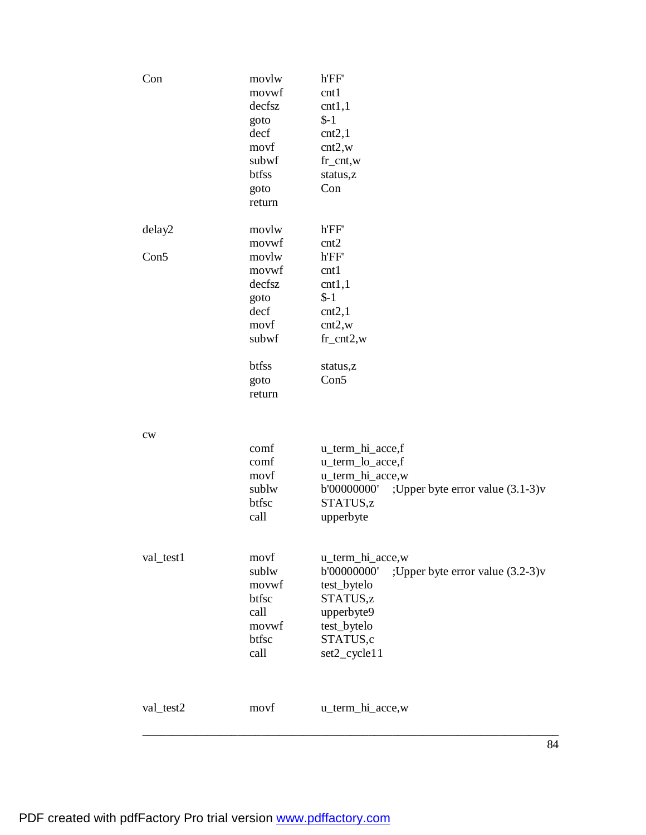| Con           | movlw<br>movwf<br>decfsz<br>goto<br>decf<br>movf<br>subwf<br>btfss<br>goto<br>return | h'FF'<br>cnt1<br>cnt1,1<br>$\frac{1}{2}$<br>cnt2,1<br>cnt2, w<br>$fr\_cnt, w$<br>status,z<br>Con                                                           |
|---------------|--------------------------------------------------------------------------------------|------------------------------------------------------------------------------------------------------------------------------------------------------------|
| delay2        | movlw<br>movwf                                                                       | h'FF'<br>cnt2                                                                                                                                              |
| Con5          | movlw<br>movwf<br>decfsz<br>goto<br>decf<br>movf<br>subwf                            | h'FF'<br>cnt1<br>cnt1,1<br>$\frac{1}{2}$<br>cnt2,1<br>cnt2, w<br>$fr\_cnt2,w$                                                                              |
|               | btfss<br>goto<br>return                                                              | status,z<br>Con <sub>5</sub>                                                                                                                               |
| $\mathrm{cw}$ | comf<br>comf<br>movf<br>sublw<br>btfsc<br>call                                       | u_term_hi_acce,f<br>u_term_lo_acce,f<br>u_term_hi_acce,w<br>b'00000000'<br>; Upper byte error value $(3.1-3)v$<br>STATUS,z<br>upperbyte                    |
| val_test1     | movf<br>sublw<br>movwf<br>btfsc<br>call<br>movwf<br>btfsc<br>call                    | u_term_hi_acce,w<br>b'00000000'<br>; Upper byte error value $(3.2-3)v$<br>test_bytelo<br>STATUS,z<br>upperbyte9<br>test_bytelo<br>STATUS,c<br>set2_cycle11 |
| val_test2     | movf                                                                                 | u_term_hi_acce,w                                                                                                                                           |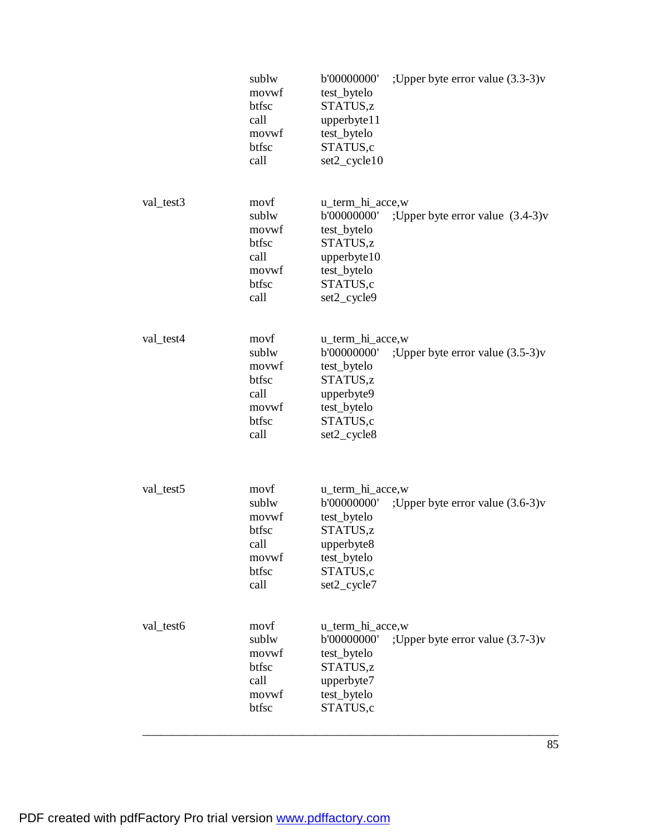|           | sublw<br>movwf<br>btfsc<br>call<br>movwf<br>btfsc<br>call         | b'00000000'<br>test_bytelo<br>STATUS,z<br>upperbyte11<br>test_bytelo<br>STATUS,c<br>set2_cycle10                    | ; Upper byte error value $(3.3-3)v$ |
|-----------|-------------------------------------------------------------------|---------------------------------------------------------------------------------------------------------------------|-------------------------------------|
| val_test3 | movf<br>sublw<br>movwf<br>btfsc<br>call<br>movwf<br>btfsc<br>call | u_term_hi_acce,w<br>b'00000000'<br>test_bytelo<br>STATUS,z<br>upperbyte10<br>test_bytelo<br>STATUS,c<br>set2_cycle9 | ; Upper byte error value $(3.4-3)v$ |
| val_test4 | movf<br>sublw<br>movwf<br>btfsc<br>call<br>movwf<br>btfsc<br>call | u_term_hi_acce,w<br>b'00000000'<br>test_bytelo<br>STATUS,z<br>upperbyte9<br>test_bytelo<br>STATUS,c<br>set2_cycle8  | ; Upper byte error value $(3.5-3)v$ |
| val_test5 | movf<br>sublw<br>movwf<br>btfsc<br>call<br>movwf<br>btfsc<br>call | u_term_hi_acce,w<br>b'00000000'<br>test_bytelo<br>STATUS,z<br>upperbyte8<br>test_bytelo<br>STATUS,c<br>set2_cycle7  | ; Upper byte error value $(3.6-3)v$ |
| val_test6 | movf<br>sublw<br>movwf<br>btfsc<br>call<br>movwf<br>btfsc         | u_term_hi_acce,w<br>b'00000000'<br>test_bytelo<br>STATUS,z<br>upperbyte7<br>test_bytelo<br>STATUS,c                 | ; Upper byte error value $(3.7-3)v$ |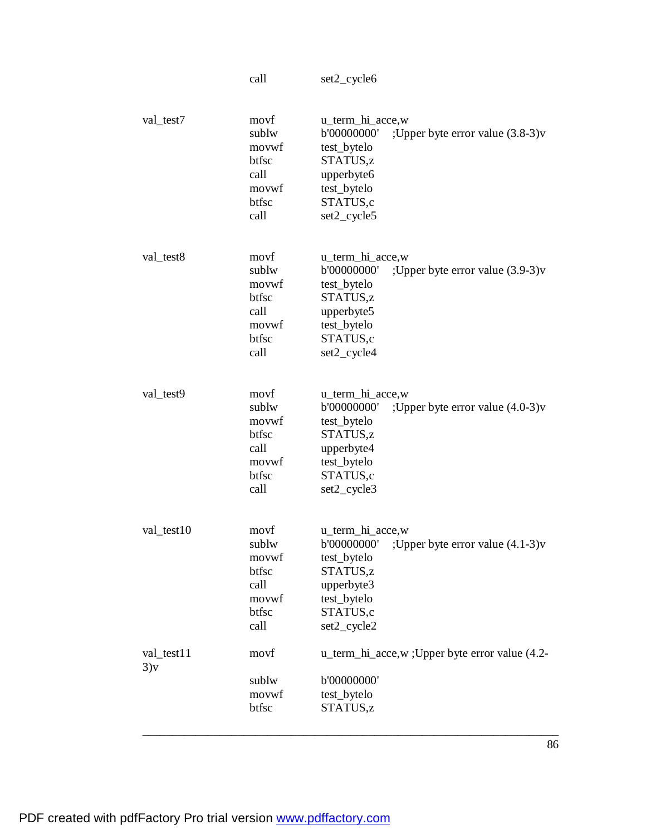call set2\_cycle6

| val_test7         | movf<br>sublw<br>movwf<br>btfsc<br>call<br>movwf<br>btfsc<br>call | u_term_hi_acce,w<br>b'00000000'<br>; Upper byte error value $(3.8-3)v$<br>test_bytelo<br>STATUS,z<br>upperbyte6<br>test_bytelo<br>STATUS,c<br>set2_cycle5 |
|-------------------|-------------------------------------------------------------------|-----------------------------------------------------------------------------------------------------------------------------------------------------------|
| val_test8         | movf<br>sublw<br>movwf<br>btfsc<br>call<br>movwf<br>btfsc<br>call | u_term_hi_acce,w<br>b'00000000'<br>; Upper byte error value $(3.9-3)v$<br>test_bytelo<br>STATUS,z<br>upperbyte5<br>test_bytelo<br>STATUS,c<br>set2_cycle4 |
| val_test9         | movf<br>sublw<br>movwf<br>btfsc<br>call<br>movwf<br>btfsc<br>call | u_term_hi_acce,w<br>b'00000000'<br>; Upper byte error value $(4.0-3)v$<br>test_bytelo<br>STATUS,z<br>upperbyte4<br>test_bytelo<br>STATUS,c<br>set2_cycle3 |
| val_test10        | movf<br>sublw<br>movwf<br>btfsc<br>call<br>movwf<br>btfsc<br>call | u_term_hi_acce,w<br>b'00000000'<br>; Upper byte error value $(4.1-3)v$<br>test_bytelo<br>STATUS,z<br>upperbyte3<br>test_bytelo<br>STATUS,c<br>set2_cycle2 |
| val_test11<br>3)y | movf<br>sublw<br>movwf<br>btfsc                                   | u_term_hi_acce,w ;Upper byte error value (4.2-<br>b'00000000'<br>test_bytelo<br>STATUS,z                                                                  |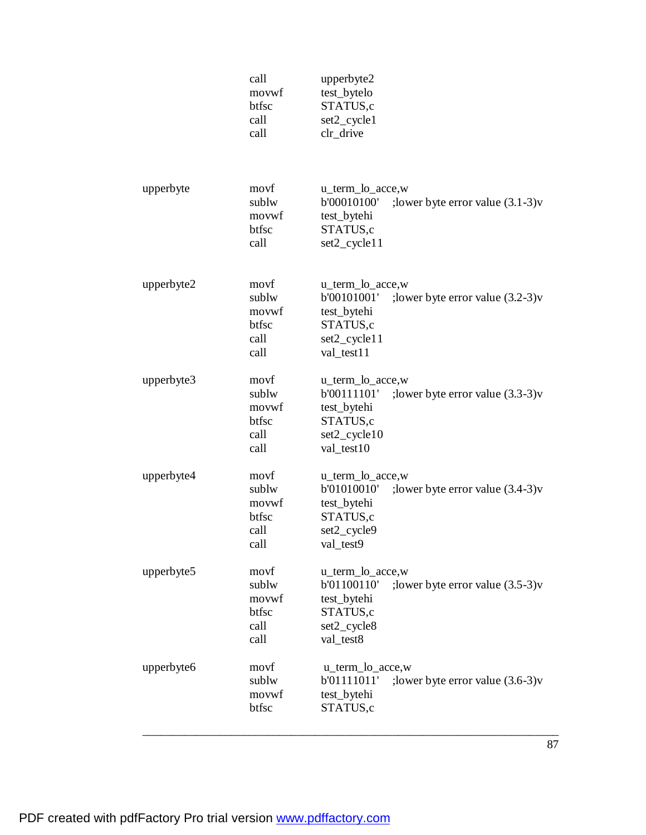|            | call<br>movwf<br>btfsc<br>call<br>call          | upperbyte2<br>test_bytelo<br>STATUS,c<br>set2_cycle1<br>clr_drive                                                               |
|------------|-------------------------------------------------|---------------------------------------------------------------------------------------------------------------------------------|
| upperbyte  | movf<br>sublw<br>movwf<br>btfsc<br>call         | u_term_lo_acce,w<br>b'00010100'<br>; lower byte error value $(3.1-3)v$<br>test_bytehi<br>STATUS,c<br>set2_cycle11               |
| upperbyte2 | movf<br>sublw<br>movwf<br>btfsc<br>call<br>call | u_term_lo_acce,w<br>b'00101001'<br>; lower byte error value $(3.2-3)v$<br>test_bytehi<br>STATUS,c<br>set2_cycle11<br>val_test11 |
| upperbyte3 | movf<br>sublw<br>movwf<br>btfsc<br>call<br>call | u_term_lo_acce,w<br>b'00111101'<br>;lower byte error value (3.3-3)v<br>test_bytehi<br>STATUS,c<br>set2_cycle10<br>val_test10    |
| upperbyte4 | movf<br>sublw<br>movwf<br>btfsc<br>call<br>call | u_term_lo_acce,w<br>b'01010010'<br>; lower byte error value $(3.4-3)v$<br>test_bytehi<br>STATUS,c<br>set2_cycle9<br>val_test9   |
| upperbyte5 | movf<br>sublw<br>movwf<br>btfsc<br>call<br>call | u_term_lo_acce,w<br>b'01100110'<br>; lower byte error value $(3.5-3)v$<br>test_bytehi<br>STATUS,c<br>set2_cycle8<br>val_test8   |
| upperbyte6 | movf<br>sublw<br>movwf<br>btfsc                 | u_term_lo_acce,w<br>b'01111011'<br>; lower byte error value $(3.6-3)v$<br>test_bytehi<br>STATUS,c                               |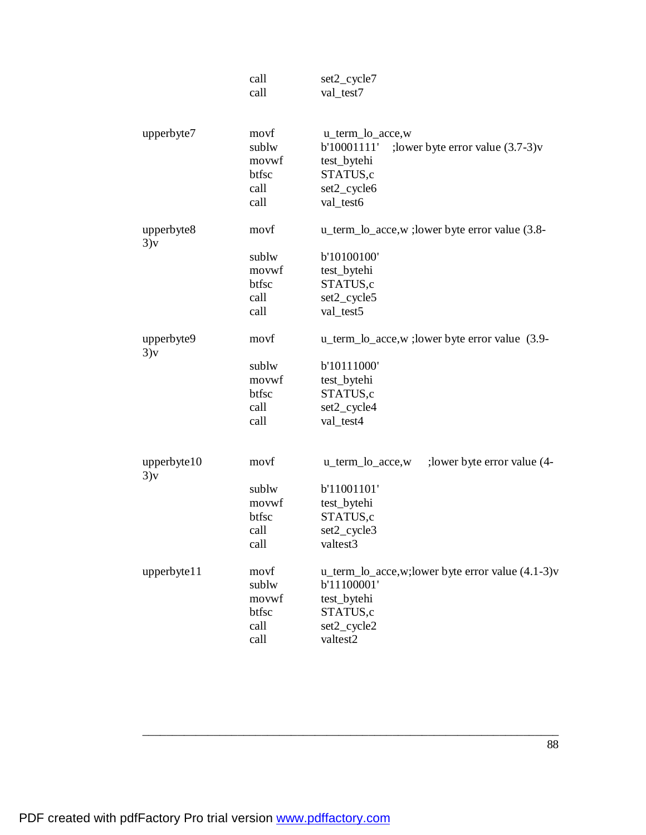|                    | call  | set2_cycle7                                        |
|--------------------|-------|----------------------------------------------------|
|                    | call  | val_test7                                          |
|                    |       |                                                    |
| upperbyte7         | movf  | u_term_lo_acce,w                                   |
|                    | sublw | b'10001111'<br>; lower byte error value $(3.7-3)v$ |
|                    | movwf | test_bytehi                                        |
|                    | btfsc | STATUS,c                                           |
|                    | call  | set2_cycle6                                        |
|                    | call  | val_test6                                          |
| upperbyte8<br>3)y  | movf  | u_term_lo_acce,w ;lower byte error value (3.8-     |
|                    | sublw | b'10100100'                                        |
|                    | movwf | test_bytehi                                        |
|                    | btfsc | STATUS,c                                           |
|                    | call  | set2_cycle5                                        |
|                    | call  | val_test5                                          |
|                    |       |                                                    |
| upperbyte9<br>3)v  | movf  | u_term_lo_acce,w ;lower byte error value (3.9-     |
|                    | sublw | b'10111000'                                        |
|                    | movwf | test_bytehi                                        |
|                    | btfsc | STATUS,c                                           |
|                    | call  | set2_cycle4                                        |
|                    | call  | val_test4                                          |
|                    |       |                                                    |
| upperbyte10<br>3)y | movf  | u_term_lo_acce,w<br>; lower byte error value (4-   |
|                    | sublw | b'11001101'                                        |
|                    | movwf | test_bytehi                                        |
|                    | btfsc | STATUS,c                                           |
|                    | call  | set2_cycle3                                        |
|                    | call  | valtest3                                           |
| upperbyte11        | movf  | u_term_lo_acce,w;lower byte error value (4.1-3)v   |
|                    | sublw | b'11100001'                                        |
|                    | movwf | test_bytehi                                        |
|                    | btfsc | STATUS,c                                           |
|                    | call  | set2_cycle2                                        |
|                    | call  | valtest2                                           |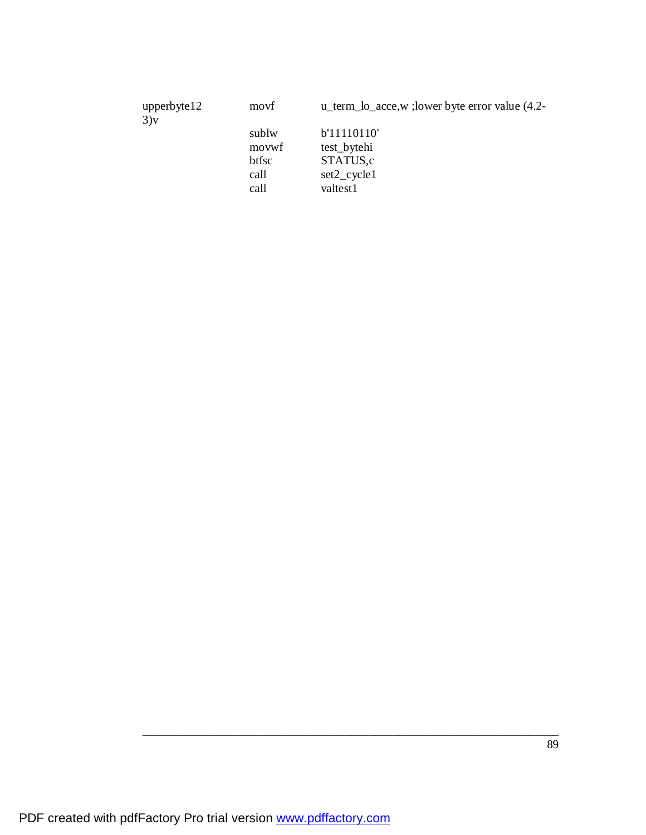| upperbyte12<br>3)y | movf  | u_term_lo_acce,w ; lower byte error value (4.2- |
|--------------------|-------|-------------------------------------------------|
|                    | sublw | b'11110110'                                     |
|                    | movwf | test_bytehi                                     |
|                    | btfsc | STATUS,c                                        |
|                    | call  | $set2_{cycle1}$                                 |
|                    | call  | valtest1                                        |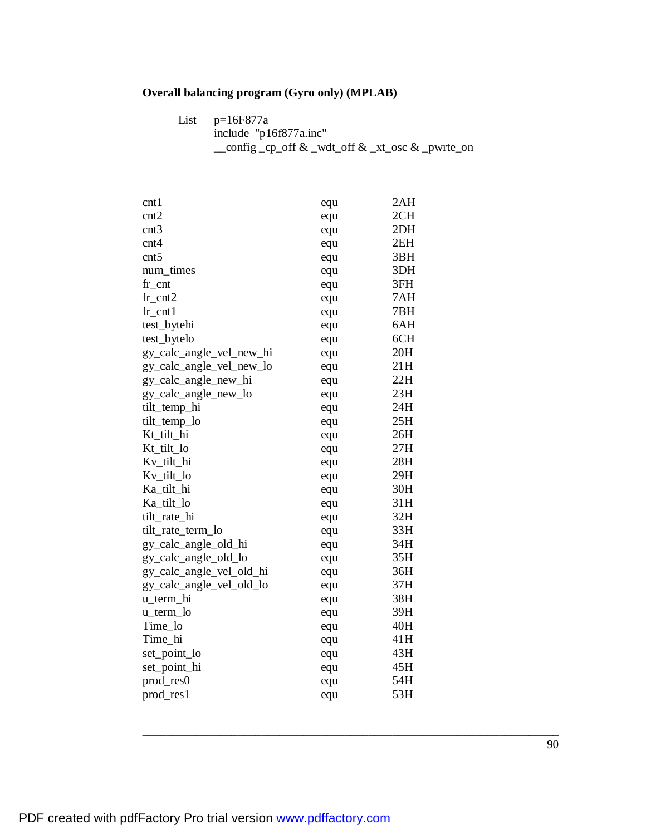# **Overall balancing program (Gyro only) (MPLAB)**

List p=16F877a

 include "p16f877a.inc" \_\_config \_cp\_off & \_wdt\_off & \_xt\_osc & \_pwrte\_on

| cnt1                     | equ | 2AH |
|--------------------------|-----|-----|
| cnt2                     | equ | 2CH |
| cnt3                     | equ | 2DH |
| cnt4                     | equ | 2EH |
| cnt5                     | equ | 3BH |
| num times                | equ | 3DH |
| $fr\_cnt$                | equ | 3FH |
| $fr\_cnt2$               | equ | 7AH |
| $fr_{\text{ent}}1$       | equ | 7BH |
| test_bytehi              | equ | 6AH |
| test_bytelo              | equ | 6CH |
| gy_calc_angle_vel_new_hi | equ | 20H |
| gy_calc_angle_vel_new_lo | equ | 21H |
| gy_calc_angle_new_hi     | equ | 22H |
| gy_calc_angle_new_lo     | equ | 23H |
| tilt_temp_hi             | equ | 24H |
| tilt_temp_lo             | equ | 25H |
| Kt_tilt_hi               | equ | 26H |
| Kt_tilt_lo               | equ | 27H |
| Kv_tilt_hi               | equ | 28H |
| Kv_tilt_lo               | equ | 29H |
| Ka_tilt_hi               | equ | 30H |
| Ka_tilt_lo               | equ | 31H |
| tilt_rate_hi             | equ | 32H |
| tilt_rate_term_lo        | equ | 33H |
| gy_calc_angle_old_hi     | equ | 34H |
| gy_calc_angle_old_lo     | equ | 35H |
| gy_calc_angle_vel_old_hi | equ | 36H |
| gy_calc_angle_vel_old_lo | equ | 37H |
| u_term_hi                | equ | 38H |
| u_term_lo                | equ | 39H |
| Time_lo                  | equ | 40H |
| Time_hi                  | equ | 41H |
| set_point_lo             | equ | 43H |
| set_point_hi             | equ | 45H |
| prod_res0                | equ | 54H |
| prod_res1                | equ | 53H |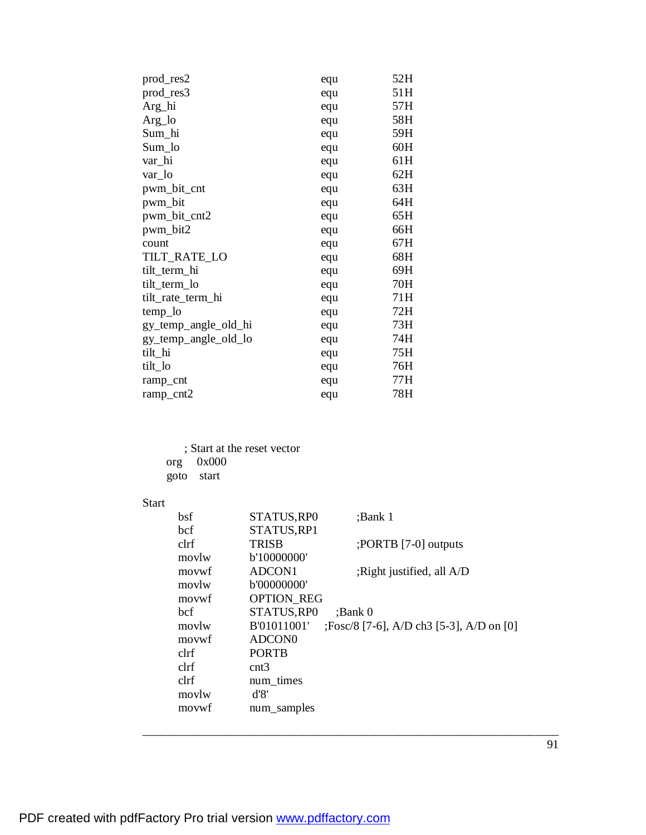| prod_res2            | equ | 52H |
|----------------------|-----|-----|
| prod_res3            | equ | 51H |
| Arg_hi               | equ | 57H |
| Arg_lo               | equ | 58H |
| Sum_hi               | equ | 59H |
| Sum_lo               | equ | 60H |
| var_hi               | equ | 61H |
| var_lo               | equ | 62H |
| pwm_bit_cnt          | equ | 63H |
| pwm_bit              | equ | 64H |
| pwm_bit_cnt2         | equ | 65H |
| pwm_bit2             | equ | 66H |
| count                | equ | 67H |
| TILT_RATE_LO         | equ | 68H |
| tilt_term_hi         | equ | 69H |
| tilt_term_lo         | equ | 70H |
| tilt_rate_term_hi    | equ | 71H |
| temp_lo              | equ | 72H |
| gy_temp_angle_old_hi | equ | 73H |
| gy_temp_angle_old_lo | equ | 74H |
| tilt_hi              | equ | 75H |
| tilt_lo              | equ | 76H |
| ramp_cnt             | equ | 77H |
| ramp_cnt2            | equ | 78H |

 ; Start at the reset vector org 0x000 goto start

#### Start

| iai i |       |                    |                                          |
|-------|-------|--------------------|------------------------------------------|
|       | bsf   | STATUS, RP0        | :Bank 1                                  |
|       | bcf   | STATUS, RP1        |                                          |
|       | clrf  | <b>TRISB</b>       | $PORTB$ [7-0] outputs                    |
|       | movlw | b'10000000'        |                                          |
|       | movwf | ADCON1             | ; Right justified, all A/D               |
|       | movlw | b'00000000'        |                                          |
|       | movwf | <b>OPTION_REG</b>  |                                          |
|       | bcf.  | STATUS, RP0        | Banh 0                                   |
|       | movlw | B'01011001'        | ;Fosc/8 [7-6], A/D ch3 [5-3], A/D on [0] |
|       | movwf | ADCON <sub>0</sub> |                                          |
|       | clrf  | <b>PORTB</b>       |                                          |
|       | clrf  | cnt3               |                                          |
|       | clrf  | num times          |                                          |
|       | movlw | d'8'               |                                          |
|       | movwf | num_samples        |                                          |
|       |       |                    |                                          |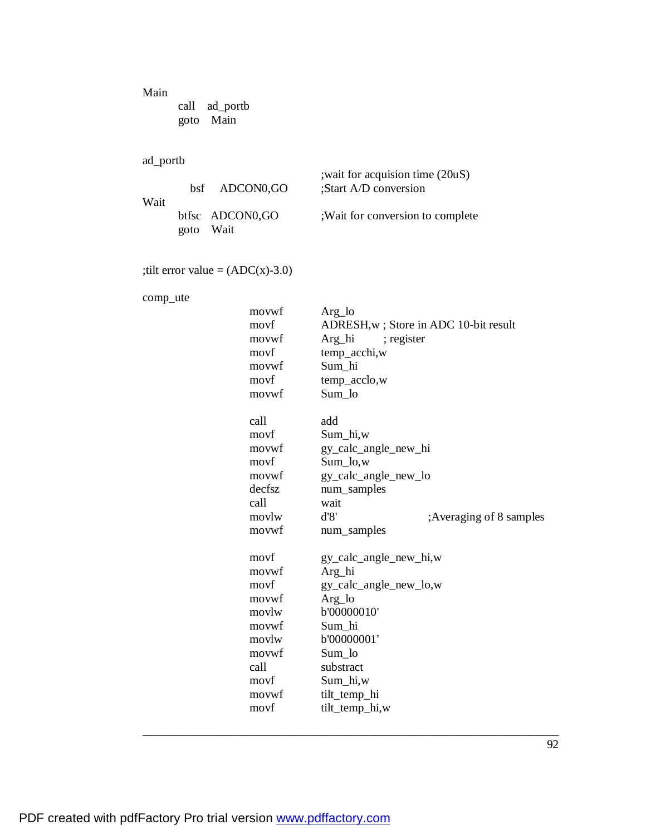Main

 call ad\_portb goto Main

ad\_portb

| Wait |           | bsf ADCON0.GO   | ; wait for acquision time (20uS)<br>;Start A/D conversion |
|------|-----------|-----------------|-----------------------------------------------------------|
|      | goto Wait | btfsc ADCON0,GO | ; Wait for conversion to complete                         |

;tilt error value  $= (ADC(x)-3.0)$ 

comp\_ute

| movwf  | Arg_lo                                |
|--------|---------------------------------------|
| movf   | ADRESH, w; Store in ADC 10-bit result |
| movwf  | Arg_hi<br>; register                  |
| movf   | temp_acchi,w                          |
| movwf  | Sum_hi                                |
| movf   | temp_acclo,w                          |
| movwf  | Sum lo                                |
| call   | add                                   |
| movf   | Sum_hi,w                              |
| movwf  | gy_calc_angle_new_hi                  |
| movf   | $Sum\_lo, w$                          |
| movwf  | gy_calc_angle_new_lo                  |
| decfsz | num_samples                           |
| call   | wait                                  |
| movlw  | d'8'<br>Averaging of 8 samples        |
| movwf  | num_samples                           |
|        |                                       |
| movf   | gy_calc_angle_new_hi,w                |
| movwf  | Arg_hi                                |
| movf   | gy_calc_angle_new_lo,w                |
| movwf  | $Arg\_lo$                             |
| movlw  | b'00000010'                           |
| movwf  | Sum_hi                                |
| movlw  | b'00000001'                           |
| movwf  | Sum_lo                                |
| call   | substract                             |
| movf   | Sum_hi,w                              |
| movwf  | tilt_temp_hi                          |
| movf   | tilt_temp_hi,w                        |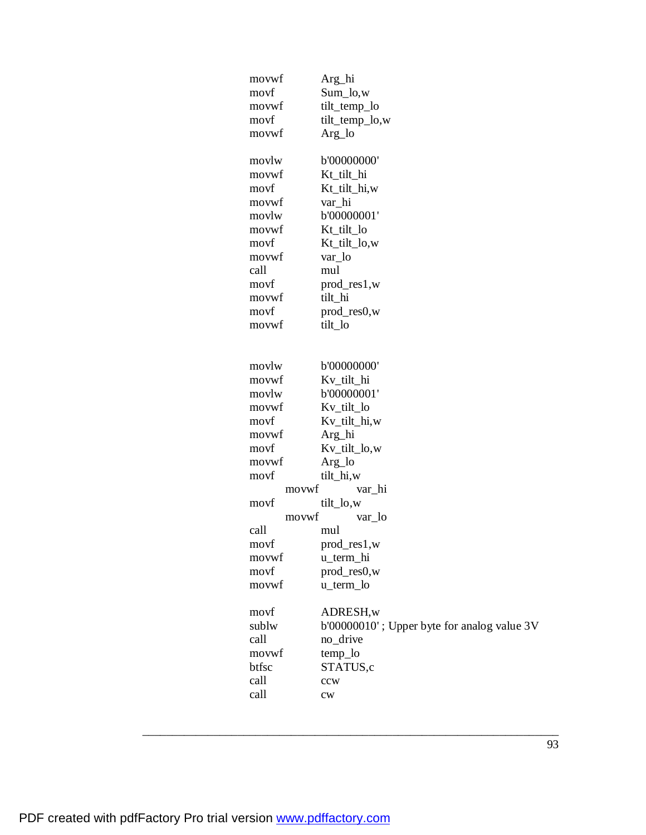|       | movwf | Arg_hi                                      |
|-------|-------|---------------------------------------------|
| movf  |       | Sum_lo,w                                    |
|       | movwf | tilt_temp_lo                                |
| movf  |       | tilt_temp_lo,w                              |
|       | movwf | Arg_lo                                      |
|       |       |                                             |
| movlw |       | b'00000000'                                 |
|       | movwf | Kt_tilt_hi                                  |
| movf  |       | Kt_tilt_hi,w                                |
|       | movwf | var_hi                                      |
| movlw |       | b'00000001'                                 |
|       | movwf | Kt_tilt_lo                                  |
| movf  |       | Kt_tilt_lo,w                                |
|       | movwf | var_lo                                      |
| call  |       | mul                                         |
| movf  |       | $prod\_res1, w$                             |
|       | movwf | tilt_hi                                     |
| movf  |       | prod_res0,w                                 |
|       | movwf | tilt_lo                                     |
|       |       |                                             |
|       |       |                                             |
| movlw |       | b'00000000'                                 |
|       | movwf | Kv_tilt_hi                                  |
| movlw |       | b'00000001'                                 |
|       | movwf | Kv_tilt_lo                                  |
| movf  |       | Kv_tilt_hi,w                                |
|       | movwf | Arg_hi                                      |
| movf  |       | Kv_tilt_lo,w                                |
|       | movwf | $Arg_$ lo                                   |
| movf  |       | tilt_hi,w                                   |
|       | movwf | var_hi                                      |
| movf  | movwf | $tilt_l$ lo,w                               |
| call  |       | var_lo<br>mul                               |
| movf  |       | prod_res1,w                                 |
|       | movwf | u_term_hi                                   |
| movf  |       | prod_res0,w                                 |
|       | movwf | u_term_lo                                   |
|       |       |                                             |
| movf  |       | ADRESH,w                                    |
| sublw |       | b'00000010'; Upper byte for analog value 3V |
| call  |       | no_drive                                    |
|       | movwf | temp_lo                                     |
| btfsc |       | STATUS,c                                    |
| call  |       | ccw                                         |
| call  |       | cw                                          |
|       |       |                                             |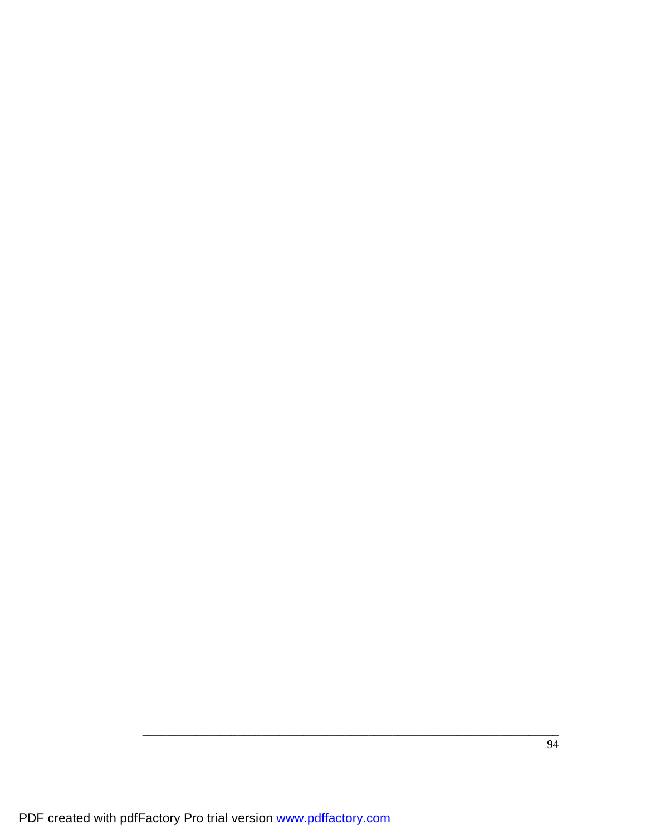\_\_\_\_\_\_\_\_\_\_\_\_\_\_\_\_\_\_\_\_\_\_\_\_\_\_\_\_\_\_\_\_\_\_\_\_\_\_\_\_\_\_\_\_\_\_\_\_\_\_\_\_\_\_\_\_\_\_\_\_\_\_\_\_\_\_\_\_\_\_

94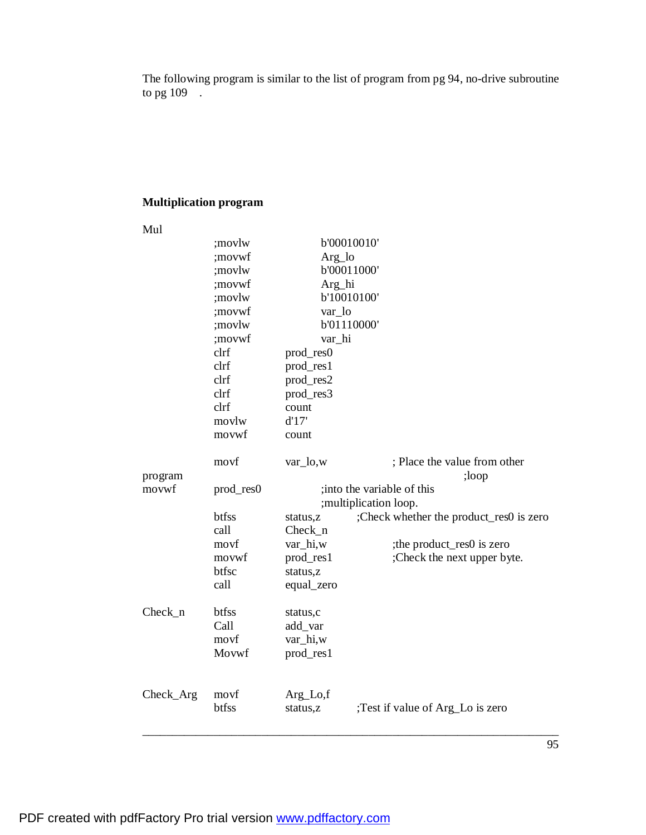The following program is similar to the list of program from pg 94, no-drive subroutine to pg 109 .

## **Multiplication program**

| Mul       |           |                        |                                         |
|-----------|-----------|------------------------|-----------------------------------------|
|           | ;movlw    | b'00010010'            |                                         |
|           | ;movwf    | Arg_lo                 |                                         |
|           | ;movlw    | b'00011000'            |                                         |
|           | ;movwf    | Arg_hi                 |                                         |
|           | ;movlw    | b'10010100'            |                                         |
|           | ;movwf    | var_lo                 |                                         |
|           | ;movlw    | b'01110000'            |                                         |
|           | ;movwf    | var_hi                 |                                         |
|           | clrf      | prod_res0              |                                         |
|           | clrf      | prod_res1              |                                         |
|           | clrf      | prod_res2              |                                         |
|           | clrf      | prod_res3              |                                         |
|           | clrf      | count                  |                                         |
|           | movlw     | d'17'                  |                                         |
|           | movwf     | count                  |                                         |
|           | movf      | var_lo,w               | ; Place the value from other            |
| program   |           |                        | ;loop                                   |
| movwf     | prod_res0 |                        | ; into the variable of this             |
|           |           | ; multiplication loop. |                                         |
|           | btfss     | status,z               | ;Check whether the product_res0 is zero |
|           | call      | $Check_n$              |                                         |
|           | movf      | var_hi,w               | ;the product_res0 is zero               |
|           | movwf     | prod_res1              | ;Check the next upper byte.             |
|           | btfsc     | status,z               |                                         |
|           | call      | equal_zero             |                                         |
| Check_n   | btfss     | status,c               |                                         |
|           | Call      | add_var                |                                         |
|           | movf      | var_hi,w               |                                         |
|           | Movwf     | prod_res1              |                                         |
|           |           |                        |                                         |
| Check_Arg | movf      | Arg_Lo,f               |                                         |
|           | btfss     | status,z               | ;Test if value of Arg_Lo is zero        |
|           |           |                        |                                         |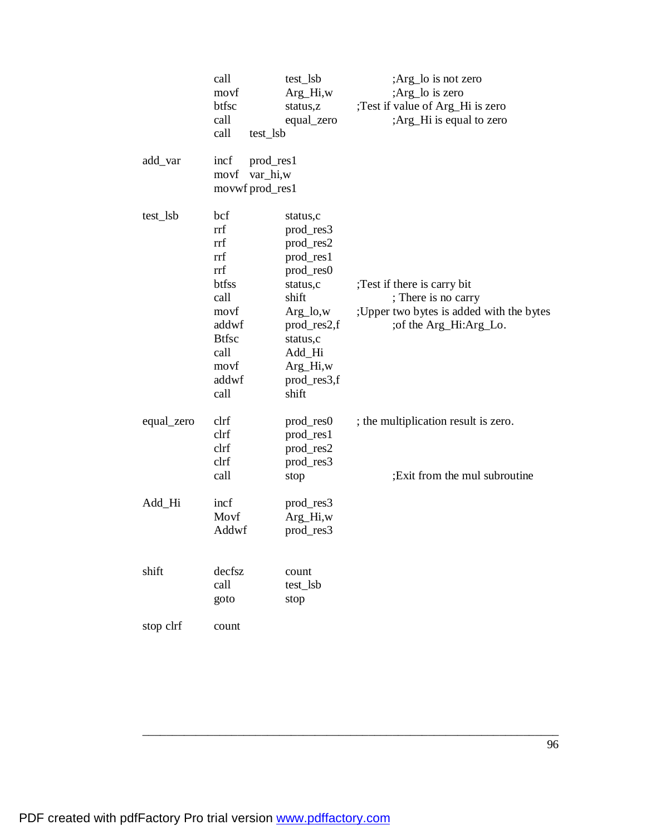|            | call<br>movf<br>btfsc<br>call<br>call<br>test_lsb                                                                  | test_lsb<br>Arg_Hi,w<br>status,z<br>equal_zero                                                                                                                         | ;Arg_lo is not zero<br>;Arg_lo is zero<br>;Test if value of Arg_Hi is zero<br>;Arg_Hi is equal to zero                    |
|------------|--------------------------------------------------------------------------------------------------------------------|------------------------------------------------------------------------------------------------------------------------------------------------------------------------|---------------------------------------------------------------------------------------------------------------------------|
| add_var    | incf<br>prod_res1<br>movf<br>var_hi,w<br>movwf prod_res1                                                           |                                                                                                                                                                        |                                                                                                                           |
| test_lsb   | bcf<br>rrf<br>rrf<br>rrf<br>rrf<br>btfss<br>call<br>movf<br>addwf<br><b>Btfsc</b><br>call<br>movf<br>addwf<br>call | status,c<br>prod_res3<br>prod_res2<br>prod_res1<br>prod_res0<br>status,c<br>shift<br>Arg_lo,w<br>prod_res2,f<br>status,c<br>Add_Hi<br>Arg_Hi,w<br>prod_res3,f<br>shift | ;Test if there is carry bit<br>; There is no carry<br>; Upper two bytes is added with the bytes<br>;of the Arg_Hi:Arg_Lo. |
| equal_zero | clrf<br>clrf<br>clrf<br>clrf<br>call                                                                               | prod_res0<br>prod_res1<br>prod_res2<br>prod_res3<br>stop                                                                                                               | ; the multiplication result is zero.<br>; Exit from the mul subroutine                                                    |
| Add_Hi     | incf<br>Movf<br>Addwf                                                                                              | prod_res3<br>Arg_Hi,w<br>prod_res3                                                                                                                                     |                                                                                                                           |
| shift      | decfsz<br>call<br>goto                                                                                             | count<br>test_lsb<br>stop                                                                                                                                              |                                                                                                                           |
| stop clrf  | count                                                                                                              |                                                                                                                                                                        |                                                                                                                           |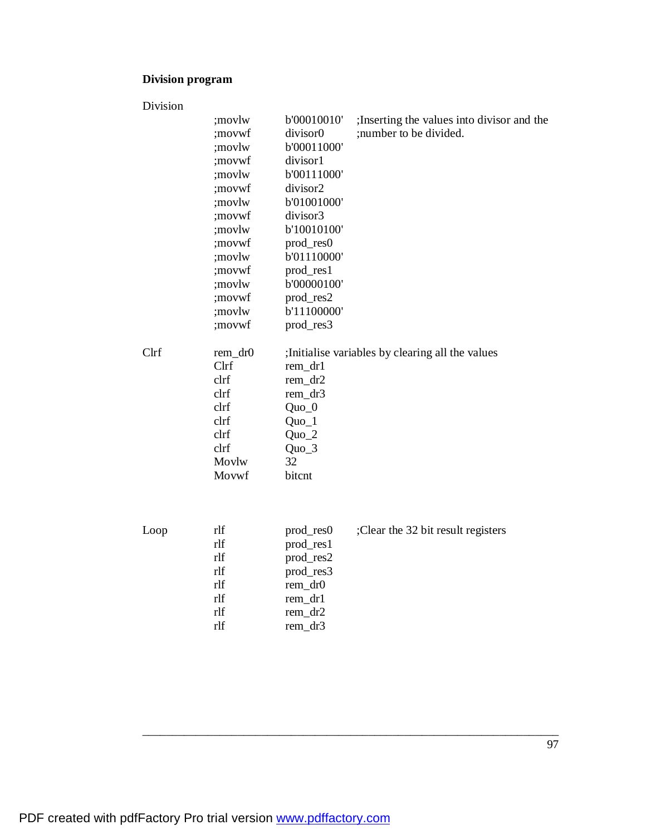# **Division program**

| Division |                                                                                                                                                    |                                                                                                                                                                                                             |                                                                        |
|----------|----------------------------------------------------------------------------------------------------------------------------------------------------|-------------------------------------------------------------------------------------------------------------------------------------------------------------------------------------------------------------|------------------------------------------------------------------------|
|          | ;movlw<br>;movwf<br>;movlw<br>;movwf<br>;movlw<br>;movwf<br>;movlw<br>;movwf<br>;movlw<br>;movwf<br>;movlw<br>;movwf<br>;movlw<br>;movwf<br>;movlw | b'00010010'<br>divisor0<br>b'00011000'<br>divisor1<br>b'00111000'<br>divisor2<br>b'01001000'<br>divisor3<br>b'10010100'<br>prod_res0<br>b'01110000'<br>prod_res1<br>b'00000100'<br>prod_res2<br>b'11100000' | ; Inserting the values into divisor and the<br>; number to be divided. |
|          | ;movwf                                                                                                                                             | prod_res3                                                                                                                                                                                                   |                                                                        |
| Clrf     | rem_dr0<br>Clrf<br>clrf<br>clrf<br>clrf<br>clrf<br>clrf<br>clrf<br>Movlw<br>Movwf                                                                  | rem_dr1<br>rem_dr2<br>rem_dr3<br>$Quo_0$<br>$Quo_1$<br>$Quo_2$<br>Quo_3<br>32<br>bitcnt                                                                                                                     | ; Initialise variables by clearing all the values                      |
| Loop     | rlf<br>rlf<br>rlf<br>rlf<br>rlf<br>rlf<br>rlf<br>rlf                                                                                               | prod_res0<br>prod_res1<br>prod_res2<br>prod_res3<br>rem_dr0<br>rem_dr1<br>rem_dr2<br>rem_dr3                                                                                                                | ;Clear the 32 bit result registers                                     |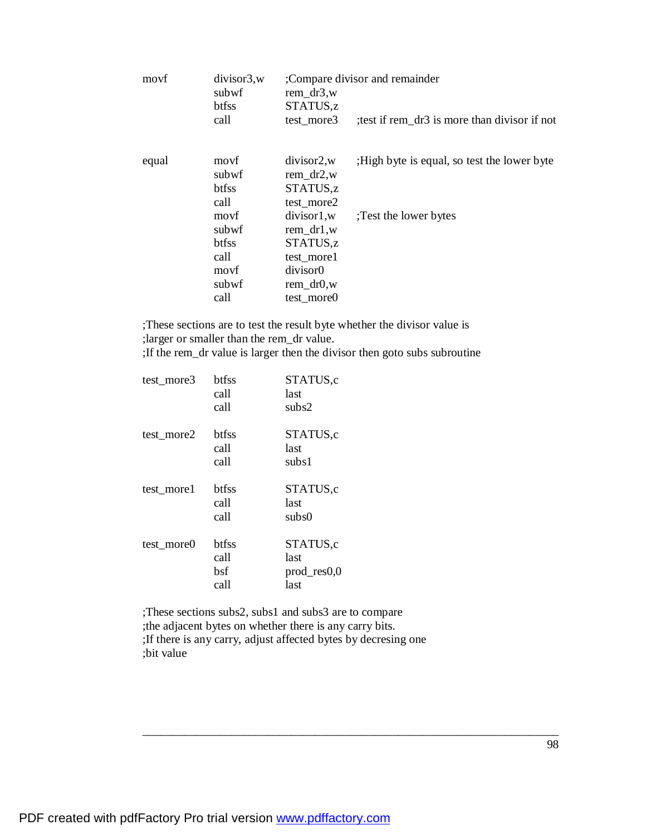| movf  | divisor3,w<br>subwf<br>btfss                            | ;Compare divisor and remainder<br>rem $dr3,w$<br>STATUS,z                                               |                                             |  |
|-------|---------------------------------------------------------|---------------------------------------------------------------------------------------------------------|---------------------------------------------|--|
|       | call                                                    | test more3                                                                                              | test if rem_dr3 is more than divisor if not |  |
| equal | movf<br>subwf<br><b>btfss</b><br>call                   | divisor <sub>2</sub> ,w<br>rem_dr2, $w$<br>STATUS,z<br>test_more2                                       | High byte is equal, so test the lower byte  |  |
|       | movf<br>subwf<br>btfss<br>call<br>movf<br>subwf<br>call | divisor1, w<br>rem dr1,w<br>STATUS,z<br>test_more1<br>divisor0<br>rem $dr0,w$<br>test more <sub>0</sub> | :Test the lower bytes                       |  |

;These sections are to test the result byte whether the divisor value is ;larger or smaller than the rem\_dr value.

;If the rem\_dr value is larger then the divisor then goto subs subroutine

| test_more3 | btfss<br>call<br>call        | STATUS,c<br>last<br>subs2               |
|------------|------------------------------|-----------------------------------------|
| test more2 | <b>btfss</b><br>call<br>call | STATUS,c<br>last<br>subs1               |
| test morel | <b>btfss</b><br>call<br>call | STATUS,c<br>last<br>subs0               |
| test_more0 | btfss<br>call<br>bsf<br>call | STATUS,c<br>last<br>prod_res0,0<br>last |

;These sections subs2, subs1 and subs3 are to compare ;the adjacent bytes on whether there is any carry bits. ;If there is any carry, adjust affected bytes by decresing one ;bit value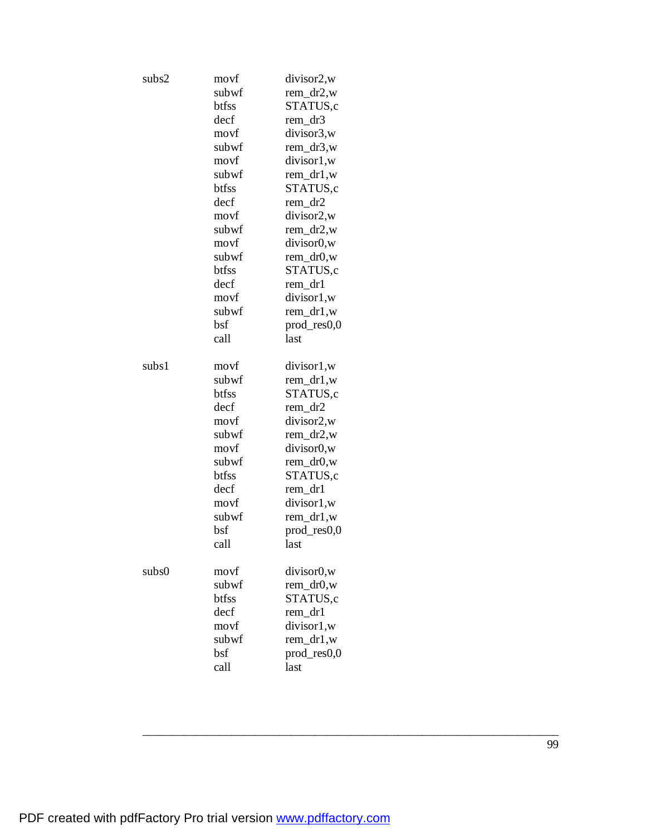| subs2 | movf<br>subwf<br>btfss<br>decf<br>movf<br>subwf<br>movf<br>subwf<br>btfss<br>decf<br>movf<br>subwf<br>movf<br>subwf<br>btfss<br>decf<br>movf<br>subwf<br>bsf<br>call | divisor2,w<br>$rem_dr2,w$<br>STATUS,c<br>rem_dr3<br>divisor3,w<br>rem_dr3,w<br>divisor1,w<br>rem_dr1,w<br>STATUS,c<br>$rem_dr2$<br>divisor2,w<br>$rem_dr2,w$<br>divisor0,w<br>rem_dr0,w<br>STATUS,c<br>rem_dr1<br>divisor1,w<br>rem_dr1,w<br>prod_res0,0<br>last |
|-------|----------------------------------------------------------------------------------------------------------------------------------------------------------------------|------------------------------------------------------------------------------------------------------------------------------------------------------------------------------------------------------------------------------------------------------------------|
| subs1 | movf<br>subwf<br>btfss<br>decf<br>movf<br>subwf<br>movf<br>subwf<br>btfss<br>decf<br>movf<br>subwf<br>bsf<br>call                                                    | divisor1,w<br>rem_dr1,w<br>STATUS,c<br>$rem_dr2$<br>divisor2,w<br>rem_dr2,w<br>divisor0,w<br>rem_dr0,w<br>STATUS,c<br>rem_dr1<br>divisor1,w<br>rem_dr1,w<br>prod_res0,0<br>last                                                                                  |
| subs0 | movf<br>subwf<br><b>btfss</b><br>decf<br>movf<br>subwf<br>bsf<br>call                                                                                                | divisor <sub>0,w</sub><br>rem_dr0,w<br>STATUS,c<br>rem_dr1<br>divisor1,w<br>rem_dr1,w<br>prod_res0,0<br>last                                                                                                                                                     |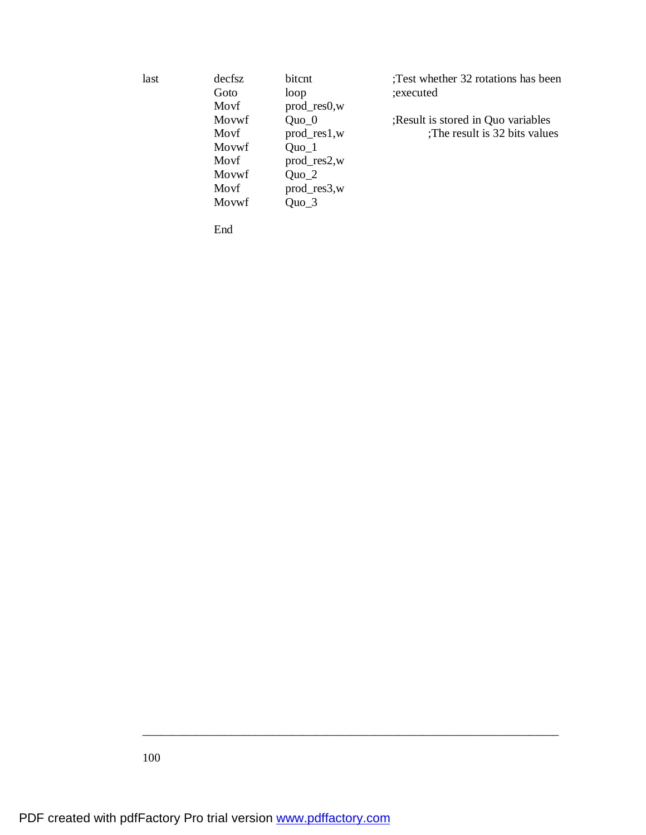| decfsz | bitcnt         | Test whether 32 rotations has been |
|--------|----------------|------------------------------------|
| Goto   | loop           | :executed                          |
| Movf   | $prod\_res0,w$ |                                    |
| Movwf  | $Quo_0$        | Result is stored in Quo variables  |
| Movf   | $prod\_res1,w$ | The result is 32 bits values       |
| Movwf  | $Quo_1$        |                                    |
| Movf   | $prod_r$ es2,w |                                    |
| Movwf  | $Quo_2$        |                                    |
|        |                |                                    |

End

Movf prod\_res3,w Movwf Quo\_3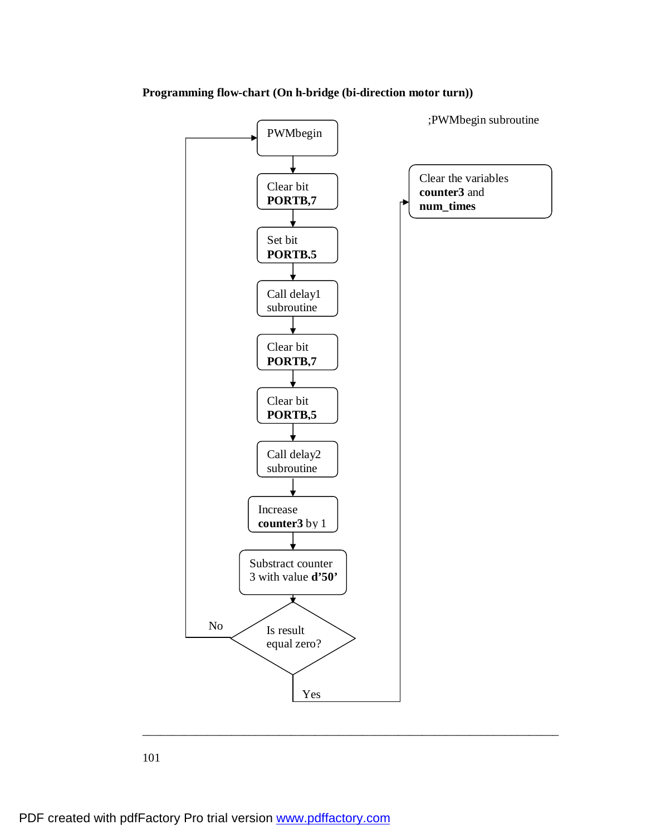### **Programming flow-chart (On h-bridge (bi-direction motor turn))**

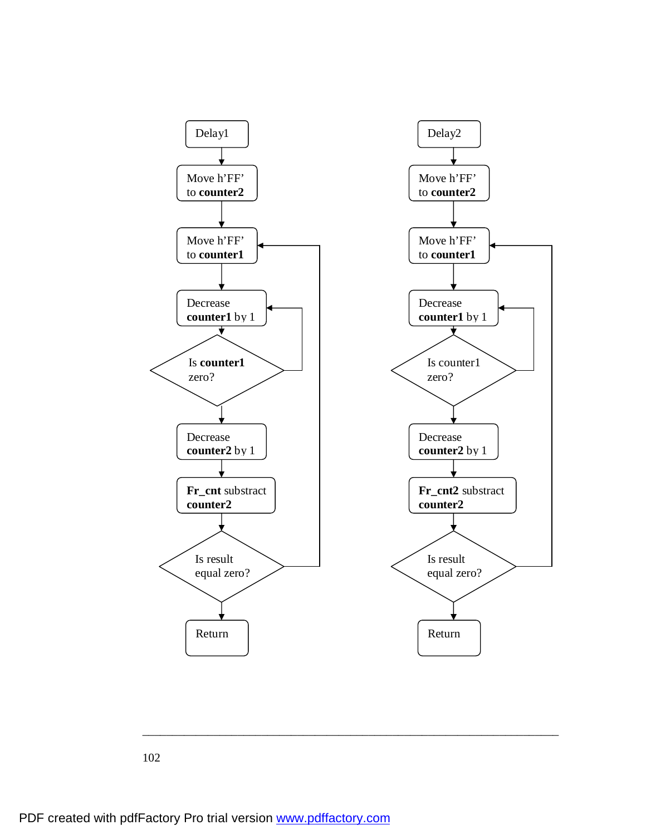

\_\_\_\_\_\_\_\_\_\_\_\_\_\_\_\_\_\_\_\_\_\_\_\_\_\_\_\_\_\_\_\_\_\_\_\_\_\_\_\_\_\_\_\_\_\_\_\_\_\_\_\_\_\_\_\_\_\_\_\_\_\_\_\_\_\_\_\_\_\_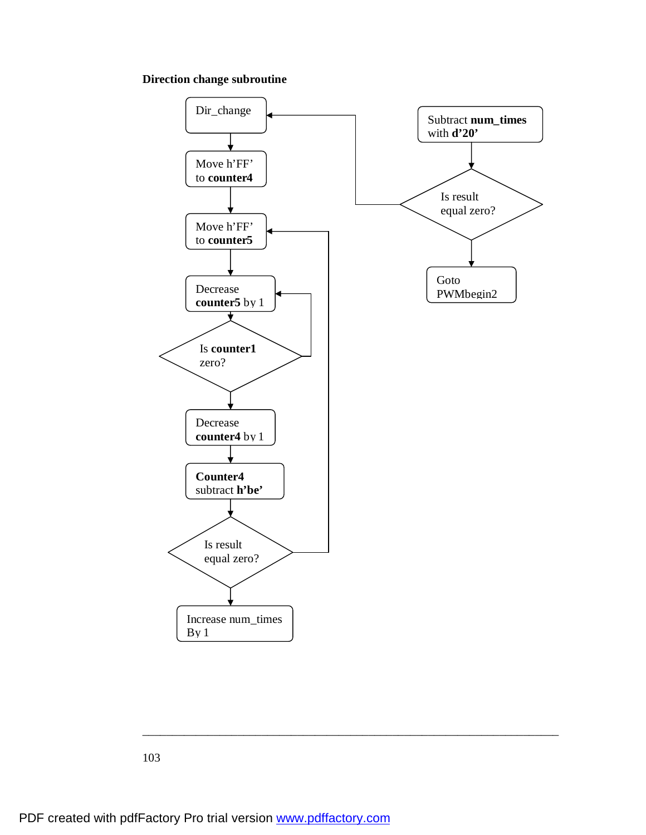#### **Direction change subroutine**



\_\_\_\_\_\_\_\_\_\_\_\_\_\_\_\_\_\_\_\_\_\_\_\_\_\_\_\_\_\_\_\_\_\_\_\_\_\_\_\_\_\_\_\_\_\_\_\_\_\_\_\_\_\_\_\_\_\_\_\_\_\_\_\_\_\_\_\_\_\_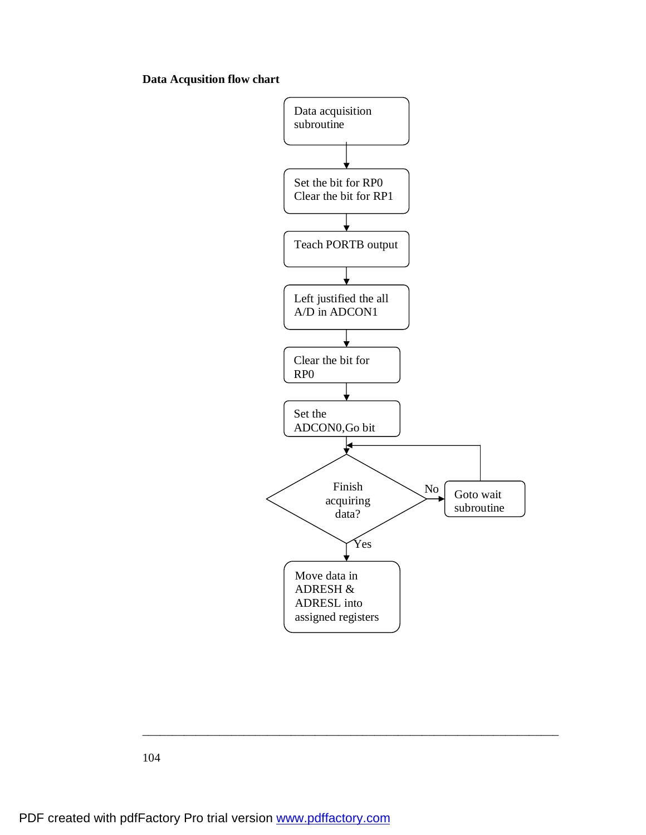#### **Data Acqusition flow chart**



\_\_\_\_\_\_\_\_\_\_\_\_\_\_\_\_\_\_\_\_\_\_\_\_\_\_\_\_\_\_\_\_\_\_\_\_\_\_\_\_\_\_\_\_\_\_\_\_\_\_\_\_\_\_\_\_\_\_\_\_\_\_\_\_\_\_\_\_\_\_